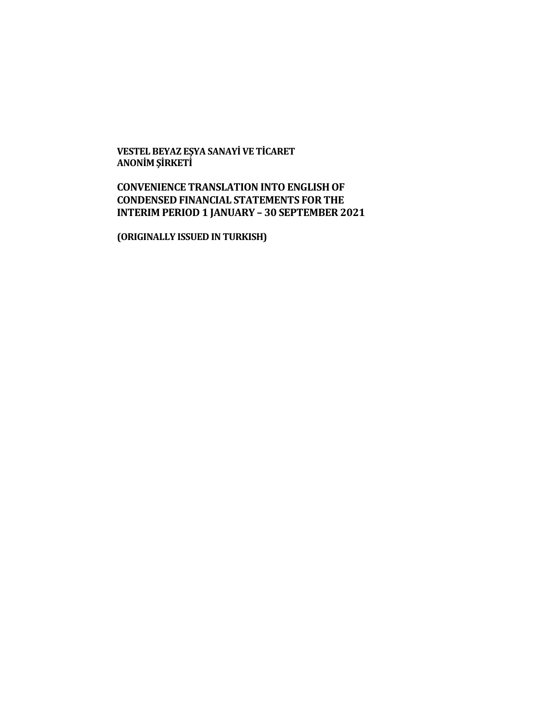**VESTEL BEYAZ EŞYA SANAYİ VE TİCARET ANONİM ŞİRKETİ**

# **CONVENIENCE TRANSLATION INTO ENGLISH OF CONDENSED FINANCIAL STATEMENTS FOR THE INTERIM PERIOD 1 JANUARY – 30 SEPTEMBER 2021**

**(ORIGINALLY ISSUED IN TURKISH)**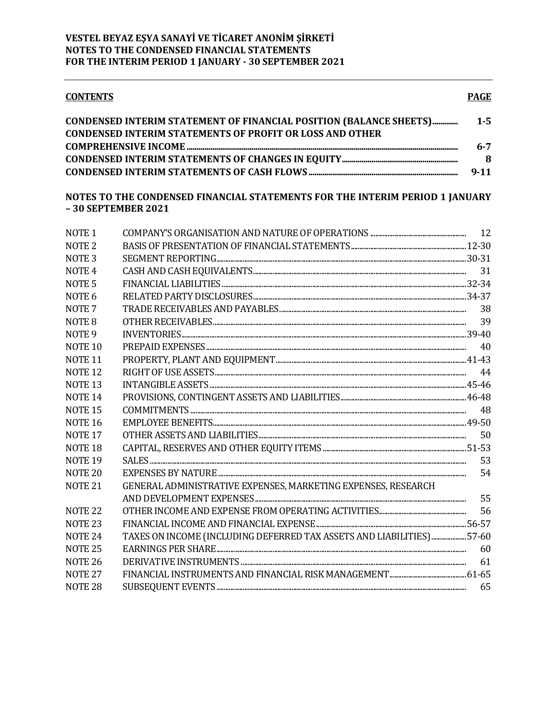#### **CONTENTS**

| CONDENSED INTERIM STATEMENT OF FINANCIAL POSITION (BALANCE SHEETS) | $1 - 5$  |
|--------------------------------------------------------------------|----------|
| <b>CONDENSED INTERIM STATEMENTS OF PROFIT OR LOSS AND OTHER</b>    |          |
|                                                                    | $6 - 7$  |
|                                                                    | -8       |
|                                                                    | $9 - 11$ |

# NOTES TO THE CONDENSED FINANCIAL STATEMENTS FOR THE INTERIM PERIOD 1 JANUARY  $-30$  SEPTEMBER 2021

| NOTE <sub>1</sub>  |                                                                       |    |
|--------------------|-----------------------------------------------------------------------|----|
| NOTE <sub>2</sub>  |                                                                       |    |
| NOTE <sub>3</sub>  |                                                                       |    |
| NOTE <sub>4</sub>  |                                                                       |    |
| NOTE <sub>5</sub>  |                                                                       |    |
| NOTE <sub>6</sub>  |                                                                       |    |
| NOTE <sub>7</sub>  |                                                                       | 38 |
| NOTE <sub>8</sub>  |                                                                       |    |
| NOTE <sub>9</sub>  |                                                                       |    |
| NOTE <sub>10</sub> |                                                                       | 40 |
| NOTE <sub>11</sub> |                                                                       |    |
| <b>NOTE 12</b>     |                                                                       |    |
| NOTE <sub>13</sub> |                                                                       |    |
| NOTE <sub>14</sub> |                                                                       |    |
| <b>NOTE 15</b>     |                                                                       |    |
| <b>NOTE 16</b>     |                                                                       |    |
| NOTE <sub>17</sub> |                                                                       | 50 |
| NOTE <sub>18</sub> |                                                                       |    |
| NOTE <sub>19</sub> |                                                                       | 53 |
| NOTE <sub>20</sub> |                                                                       | 54 |
| NOTE <sub>21</sub> | GENERAL ADMINISTRATIVE EXPENSES, MARKETING EXPENSES, RESEARCH         |    |
|                    |                                                                       |    |
| <b>NOTE 22</b>     |                                                                       | 56 |
| NOTE <sub>23</sub> |                                                                       |    |
| NOTE <sub>24</sub> | TAXES ON INCOME (INCLUDING DEFERRED TAX ASSETS AND LIABILITIES) 57-60 |    |
| <b>NOTE 25</b>     |                                                                       |    |
| <b>NOTE 26</b>     |                                                                       | 61 |
| <b>NOTE 27</b>     |                                                                       |    |
| NOTE <sub>28</sub> |                                                                       | 65 |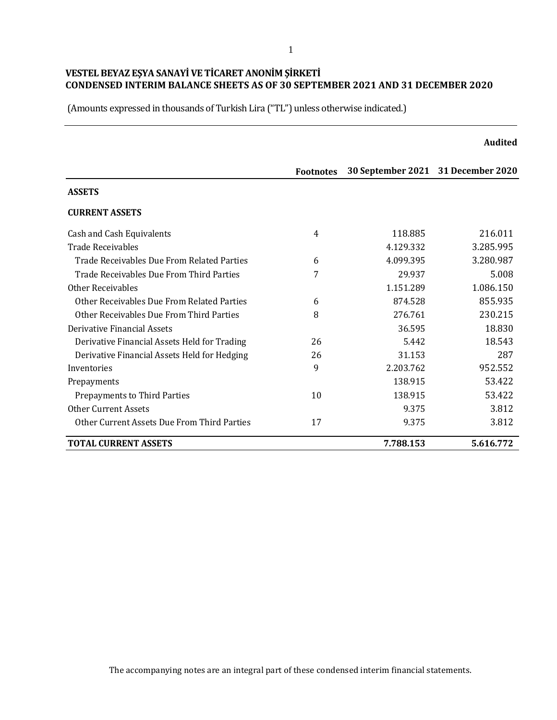|                                              |                  |                                    | <b>Audited</b> |
|----------------------------------------------|------------------|------------------------------------|----------------|
|                                              | <b>Footnotes</b> | 30 September 2021 31 December 2020 |                |
| <b>ASSETS</b>                                |                  |                                    |                |
| <b>CURRENT ASSETS</b>                        |                  |                                    |                |
| Cash and Cash Equivalents                    | 4                | 118.885                            | 216.011        |
| Trade Receivables                            |                  | 4.129.332                          | 3.285.995      |
| Trade Receivables Due From Related Parties   | 6                | 4.099.395                          | 3.280.987      |
| Trade Receivables Due From Third Parties     | 7                | 29.937                             | 5.008          |
| <b>Other Receivables</b>                     |                  | 1.151.289                          | 1.086.150      |
| Other Receivables Due From Related Parties   | 6                | 874.528                            | 855.935        |
| Other Receivables Due From Third Parties     | 8                | 276.761                            | 230.215        |
| Derivative Financial Assets                  |                  | 36.595                             | 18.830         |
| Derivative Financial Assets Held for Trading | 26               | 5.442                              | 18.543         |
| Derivative Financial Assets Held for Hedging | 26               | 31.153                             | 287            |
| Inventories                                  | 9                | 2.203.762                          | 952.552        |
| Prepayments                                  |                  | 138.915                            | 53.422         |
| Prepayments to Third Parties                 | 10               | 138.915                            | 53.422         |
| <b>Other Current Assets</b>                  |                  | 9.375                              | 3.812          |
| Other Current Assets Due From Third Parties  | 17               | 9.375                              | 3.812          |
| <b>TOTAL CURRENT ASSETS</b>                  |                  | 7.788.153                          | 5.616.772      |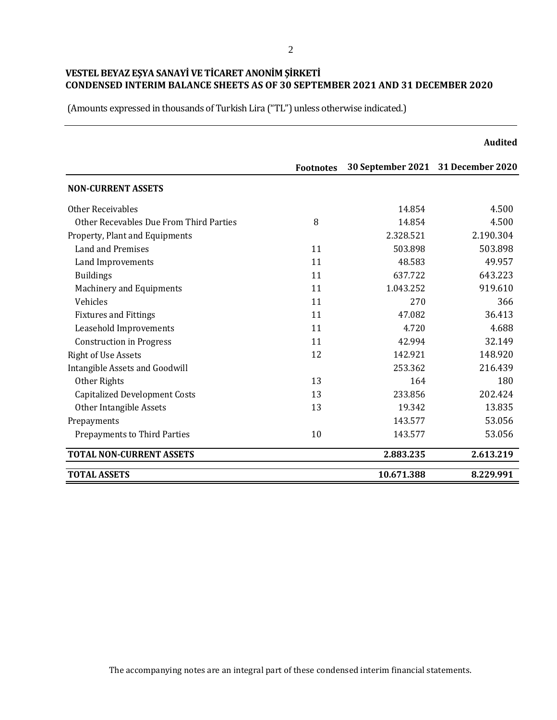|                                         |                  |                                    | <b>Audited</b> |
|-----------------------------------------|------------------|------------------------------------|----------------|
|                                         | <b>Footnotes</b> | 30 September 2021 31 December 2020 |                |
| <b>NON-CURRENT ASSETS</b>               |                  |                                    |                |
| Other Receivables                       |                  | 14.854                             | 4.500          |
| Other Recevables Due From Third Parties | 8                | 14.854                             | 4.500          |
| Property, Plant and Equipments          |                  | 2.328.521                          | 2.190.304      |
| Land and Premises                       | 11               | 503.898                            | 503.898        |
| Land Improvements                       | 11               | 48.583                             | 49.957         |
| <b>Buildings</b>                        | 11               | 637.722                            | 643.223        |
| Machinery and Equipments                | 11               | 1.043.252                          | 919.610        |
| Vehicles                                | 11               | 270                                | 366            |
| <b>Fixtures and Fittings</b>            | 11               | 47.082                             | 36.413         |
| Leasehold Improvements                  | 11               | 4.720                              | 4.688          |
| <b>Construction in Progress</b>         | 11               | 42.994                             | 32.149         |
| <b>Right of Use Assets</b>              | 12               | 142.921                            | 148.920        |
| Intangible Assets and Goodwill          |                  | 253.362                            | 216.439        |
| Other Rights                            | 13               | 164                                | 180            |
| <b>Capitalized Development Costs</b>    | 13               | 233.856                            | 202.424        |
| Other Intangible Assets                 | 13               | 19.342                             | 13.835         |
| Prepayments                             |                  | 143.577                            | 53.056         |
| Prepayments to Third Parties            | 10               | 143.577                            | 53.056         |
| <b>TOTAL NON-CURRENT ASSETS</b>         |                  | 2.883.235                          | 2.613.219      |
| <b>TOTAL ASSETS</b>                     |                  | 10.671.388                         | 8.229.991      |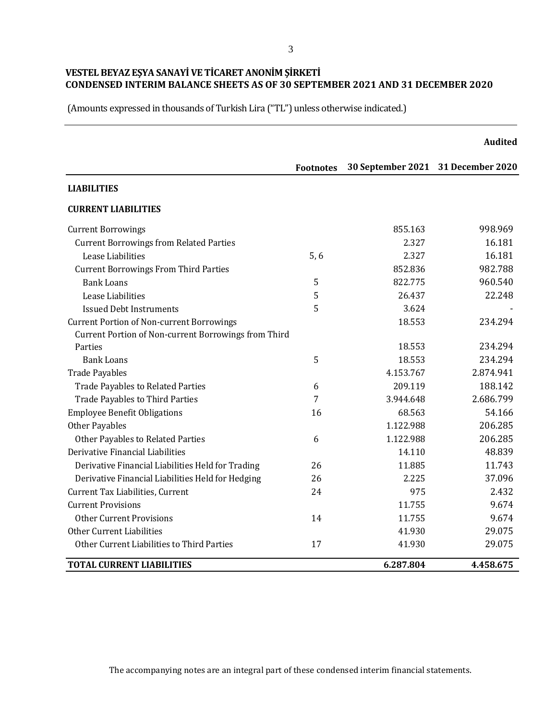(Amounts expressed in thousands of Turkish Lira ("TL") unless otherwise indicated.)

|                                                      |                  |                                    | <b>Audited</b> |
|------------------------------------------------------|------------------|------------------------------------|----------------|
|                                                      | <b>Footnotes</b> | 30 September 2021 31 December 2020 |                |
| <b>LIABILITIES</b>                                   |                  |                                    |                |
| <b>CURRENT LIABILITIES</b>                           |                  |                                    |                |
| <b>Current Borrowings</b>                            |                  | 855.163                            | 998.969        |
| <b>Current Borrowings from Related Parties</b>       |                  | 2.327                              | 16.181         |
| Lease Liabilities                                    | 5, 6             | 2.327                              | 16.181         |
| <b>Current Borrowings From Third Parties</b>         |                  | 852.836                            | 982.788        |
| <b>Bank Loans</b>                                    | 5                | 822.775                            | 960.540        |
| Lease Liabilities                                    | 5                | 26.437                             | 22.248         |
| <b>Issued Debt Instruments</b>                       | 5                | 3.624                              |                |
| <b>Current Portion of Non-current Borrowings</b>     |                  | 18.553                             | 234.294        |
| Current Portion of Non-current Borrowings from Third |                  |                                    |                |
| Parties                                              |                  | 18.553                             | 234.294        |
| <b>Bank Loans</b>                                    | 5                | 18.553                             | 234.294        |
| <b>Trade Payables</b>                                |                  | 4.153.767                          | 2.874.941      |
| <b>Trade Payables to Related Parties</b>             | 6                | 209.119                            | 188.142        |
| <b>Trade Payables to Third Parties</b>               | 7                | 3.944.648                          | 2.686.799      |
| <b>Employee Benefit Obligations</b>                  | 16               | 68.563                             | 54.166         |
| <b>Other Payables</b>                                |                  | 1.122.988                          | 206.285        |
| Other Payables to Related Parties                    | 6                | 1.122.988                          | 206.285        |
| Derivative Financial Liabilities                     |                  | 14.110                             | 48.839         |
| Derivative Financial Liabilities Held for Trading    | 26               | 11.885                             | 11.743         |
| Derivative Financial Liabilities Held for Hedging    | 26               | 2.225                              | 37.096         |
| Current Tax Liabilities, Current                     | 24               | 975                                | 2.432          |
| <b>Current Provisions</b>                            |                  | 11.755                             | 9.674          |
| <b>Other Current Provisions</b>                      | 14               | 11.755                             | 9.674          |
| Other Current Liabilities                            |                  | 41.930                             | 29.075         |
| Other Current Liabilities to Third Parties           | 17               | 41.930                             | 29.075         |
| <b>TOTAL CURRENT LIABILITIES</b>                     |                  | 6.287.804                          | 4.458.675      |

The accompanying notes are an integral part of these condensed interim financial statements.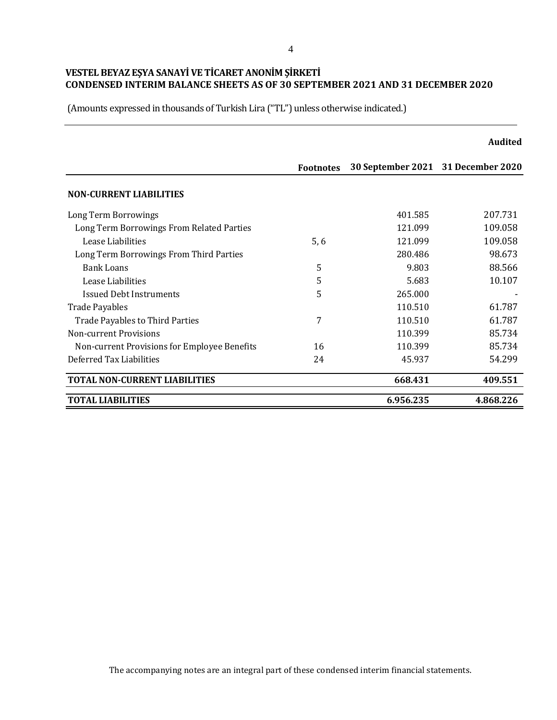|                                              |                  |                                    | <b>Audited</b> |
|----------------------------------------------|------------------|------------------------------------|----------------|
|                                              | <b>Footnotes</b> | 30 September 2021 31 December 2020 |                |
| <b>NON-CURRENT LIABILITIES</b>               |                  |                                    |                |
| Long Term Borrowings                         |                  | 401.585                            | 207.731        |
| Long Term Borrowings From Related Parties    |                  | 121.099                            | 109.058        |
| Lease Liabilities                            | 5,6              | 121.099                            | 109.058        |
| Long Term Borrowings From Third Parties      |                  | 280.486                            | 98.673         |
| <b>Bank Loans</b>                            | 5                | 9.803                              | 88.566         |
| Lease Liabilities                            | 5                | 5.683                              | 10.107         |
| <b>Issued Debt Instruments</b>               | 5                | 265.000                            |                |
| <b>Trade Payables</b>                        |                  | 110.510                            | 61.787         |
| <b>Trade Payables to Third Parties</b>       | 7                | 110.510                            | 61.787         |
| Non-current Provisions                       |                  | 110.399                            | 85.734         |
| Non-current Provisions for Employee Benefits | 16               | 110.399                            | 85.734         |
| Deferred Tax Liabilities                     | 24               | 45.937                             | 54.299         |
| <b>TOTAL NON-CURRENT LIABILITIES</b>         |                  | 668.431                            | 409.551        |
| <b>TOTAL LIABILITIES</b>                     |                  | 6.956.235                          | 4.868.226      |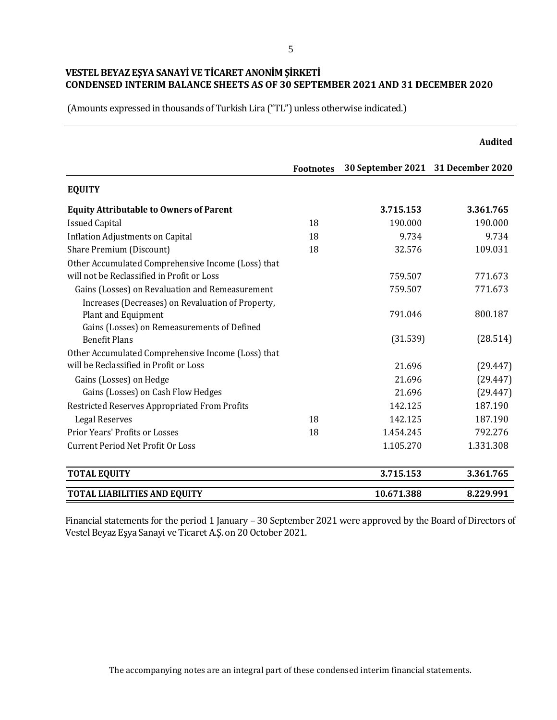(Amounts expressed in thousands of Turkish Lira ("TL") unless otherwise indicated.)

|                                                                                                                         |                  |                                    | <b>Audited</b> |
|-------------------------------------------------------------------------------------------------------------------------|------------------|------------------------------------|----------------|
|                                                                                                                         | <b>Footnotes</b> | 30 September 2021 31 December 2020 |                |
| <b>EQUITY</b>                                                                                                           |                  |                                    |                |
| <b>Equity Attributable to Owners of Parent</b>                                                                          |                  | 3.715.153                          | 3.361.765      |
| <b>Issued Capital</b>                                                                                                   | 18               | 190.000                            | 190.000        |
| <b>Inflation Adjustments on Capital</b>                                                                                 | 18               | 9.734                              | 9.734          |
| Share Premium (Discount)                                                                                                | 18               | 32.576                             | 109.031        |
| Other Accumulated Comprehensive Income (Loss) that<br>will not be Reclassified in Profit or Loss                        |                  | 759.507                            | 771.673        |
| Gains (Losses) on Revaluation and Remeasurement                                                                         |                  | 759.507                            | 771.673        |
| Increases (Decreases) on Revaluation of Property,<br>Plant and Equipment<br>Gains (Losses) on Remeasurements of Defined |                  | 791.046                            | 800.187        |
| <b>Benefit Plans</b>                                                                                                    |                  | (31.539)                           | (28.514)       |
| Other Accumulated Comprehensive Income (Loss) that<br>will be Reclassified in Profit or Loss                            |                  | 21.696                             | (29.447)       |
| Gains (Losses) on Hedge                                                                                                 |                  | 21.696                             | (29.447)       |
| Gains (Losses) on Cash Flow Hedges                                                                                      |                  | 21.696                             | (29.447)       |
| Restricted Reserves Appropriated From Profits                                                                           |                  | 142.125                            | 187.190        |
| <b>Legal Reserves</b>                                                                                                   | 18               | 142.125                            | 187.190        |
| Prior Years' Profits or Losses                                                                                          | 18               | 1.454.245                          | 792.276        |
| <b>Current Period Net Profit Or Loss</b>                                                                                |                  | 1.105.270                          | 1.331.308      |
| <b>TOTAL EQUITY</b>                                                                                                     |                  | 3.715.153                          | 3.361.765      |
| TOTAL LIABILITIES AND EQUITY                                                                                            |                  | 10.671.388                         | 8.229.991      |

Financial statements for the period 1 January – 30 September 2021 were approved by the Board of Directors of Vestel Beyaz Eşya Sanayi ve Ticaret A.Ş. on 20 October 2021.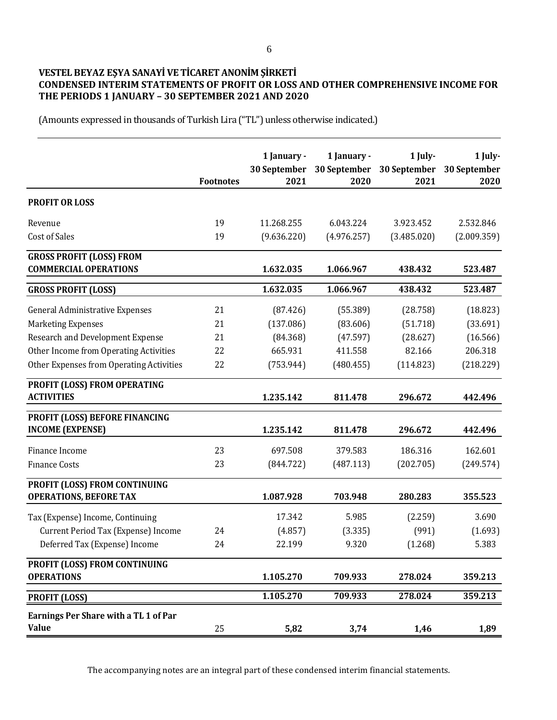# **VESTEL BEYAZ EŞYA SANAYİ VE TİCARET ANONİM ŞİRKETİ CONDENSED INTERIM STATEMENTS OF PROFIT OR LOSS AND OTHER COMPREHENSIVE INCOME FOR THE PERIODS 1 JANUARY – 30 SEPTEMBER 2021 AND 2020**

(Amounts expressed in thousands of Turkish Lira ("TL") unless otherwise indicated.)

|                                                                 | <b>Footnotes</b> | 1 January -<br>30 September<br>2021 | 1 January -<br>2020 | 1 July-<br>30 September 30 September<br>2021 | 1 July-<br>30 September<br>2020 |
|-----------------------------------------------------------------|------------------|-------------------------------------|---------------------|----------------------------------------------|---------------------------------|
| <b>PROFIT OR LOSS</b>                                           |                  |                                     |                     |                                              |                                 |
| Revenue                                                         | 19               | 11.268.255                          | 6.043.224           | 3.923.452                                    | 2.532.846                       |
| <b>Cost of Sales</b>                                            | 19               | (9.636.220)                         | (4.976.257)         | (3.485.020)                                  | (2.009.359)                     |
| <b>GROSS PROFIT (LOSS) FROM</b><br><b>COMMERCIAL OPERATIONS</b> |                  | 1.632.035                           | 1.066.967           | 438.432                                      | 523.487                         |
| <b>GROSS PROFIT (LOSS)</b>                                      |                  | 1.632.035                           | 1.066.967           | 438.432                                      | 523.487                         |
| <b>General Administrative Expenses</b>                          | 21               | (87.426)                            | (55.389)            | (28.758)                                     | (18.823)                        |
| <b>Marketing Expenses</b>                                       | 21               | (137.086)                           | (83.606)            | (51.718)                                     | (33.691)                        |
| <b>Research and Development Expense</b>                         | 21               | (84.368)                            | (47.597)            | (28.627)                                     | (16.566)                        |
| Other Income from Operating Activities                          | 22               | 665.931                             | 411.558             | 82.166                                       | 206.318                         |
| Other Expenses from Operating Activities                        | 22               | (753.944)                           | (480.455)           | (114.823)                                    | (218.229)                       |
| PROFIT (LOSS) FROM OPERATING<br><b>ACTIVITIES</b>               |                  | 1.235.142                           | 811.478             | 296.672                                      | 442.496                         |
| PROFIT (LOSS) BEFORE FINANCING<br><b>INCOME (EXPENSE)</b>       |                  | 1.235.142                           | 811.478             | 296.672                                      | 442.496                         |
| Finance Income                                                  | 23               | 697.508                             | 379.583             | 186.316                                      | 162.601                         |
| <b>Finance Costs</b>                                            | 23               | (844.722)                           | (487.113)           | (202.705)                                    | (249.574)                       |
| PROFIT (LOSS) FROM CONTINUING<br><b>OPERATIONS, BEFORE TAX</b>  |                  | 1.087.928                           | 703.948             | 280.283                                      | 355.523                         |
| Tax (Expense) Income, Continuing                                |                  | 17.342                              | 5.985               | (2.259)                                      | 3.690                           |
| Current Period Tax (Expense) Income                             | 24               | (4.857)                             | (3.335)             | (991)                                        | (1.693)                         |
| Deferred Tax (Expense) Income                                   | 24               | 22.199                              | 9.320               | (1.268)                                      | 5.383                           |
| PROFIT (LOSS) FROM CONTINUING<br><b>OPERATIONS</b>              |                  | 1.105.270                           | 709.933             | 278.024                                      | 359.213                         |
| <b>PROFIT (LOSS)</b>                                            |                  | 1.105.270                           | 709.933             | 278.024                                      | 359.213                         |
| Earnings Per Share with a TL 1 of Par<br><b>Value</b>           | 25               | 5,82                                | 3,74                | 1,46                                         | 1,89                            |

The accompanying notes are an integral part of these condensed interim financial statements.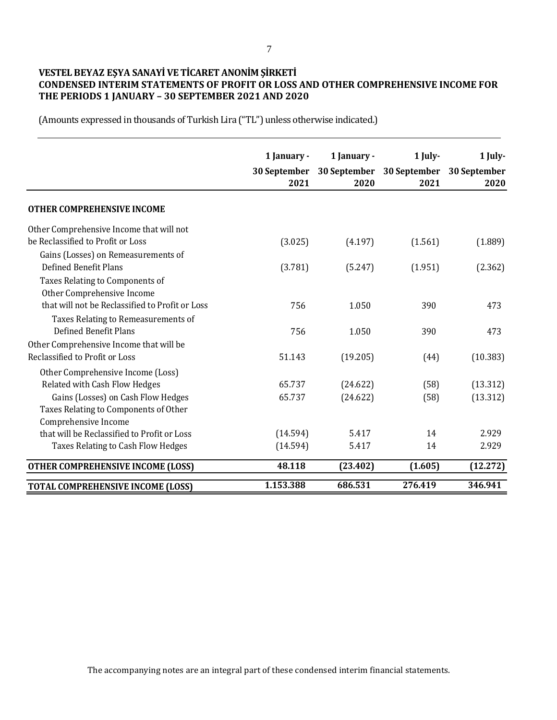# **VESTEL BEYAZ EŞYA SANAYİ VE TİCARET ANONİM ŞİRKETİ CONDENSED INTERIM STATEMENTS OF PROFIT OR LOSS AND OTHER COMPREHENSIVE INCOME FOR THE PERIODS 1 JANUARY – 30 SEPTEMBER 2021 AND 2020**

(Amounts expressed in thousands of Turkish Lira ("TL") unless otherwise indicated.)

|                                                 | 1 January -          | 1 January - | 1 July-                                        | $1$ July- |
|-------------------------------------------------|----------------------|-------------|------------------------------------------------|-----------|
|                                                 | 30 September<br>2021 | 2020        | 30 September 30 September 30 September<br>2021 | 2020      |
| <b>OTHER COMPREHENSIVE INCOME</b>               |                      |             |                                                |           |
| Other Comprehensive Income that will not        |                      |             |                                                |           |
| be Reclassified to Profit or Loss               | (3.025)              | (4.197)     | (1.561)                                        | (1.889)   |
| Gains (Losses) on Remeasurements of             |                      |             |                                                |           |
| Defined Benefit Plans                           | (3.781)              | (5.247)     | (1.951)                                        | (2.362)   |
| Taxes Relating to Components of                 |                      |             |                                                |           |
| Other Comprehensive Income                      |                      |             |                                                |           |
| that will not be Reclassified to Profit or Loss | 756                  | 1.050       | 390                                            | 473       |
| Taxes Relating to Remeasurements of             |                      |             |                                                |           |
| <b>Defined Benefit Plans</b>                    | 756                  | 1.050       | 390                                            | 473       |
| Other Comprehensive Income that will be         |                      |             |                                                |           |
| Reclassified to Profit or Loss                  | 51.143               | (19.205)    | (44)                                           | (10.383)  |
| Other Comprehensive Income (Loss)               |                      |             |                                                |           |
| Related with Cash Flow Hedges                   | 65.737               | (24.622)    | (58)                                           | (13.312)  |
| Gains (Losses) on Cash Flow Hedges              | 65.737               | (24.622)    | (58)                                           | (13.312)  |
| Taxes Relating to Components of Other           |                      |             |                                                |           |
| Comprehensive Income                            |                      |             |                                                |           |
| that will be Reclassified to Profit or Loss     | (14.594)             | 5.417       | 14                                             | 2.929     |
| Taxes Relating to Cash Flow Hedges              | (14.594)             | 5.417       | 14                                             | 2.929     |
| <b>OTHER COMPREHENSIVE INCOME (LOSS)</b>        | 48.118               | (23.402)    | (1.605)                                        | (12.272)  |
| <b>TOTAL COMPREHENSIVE INCOME (LOSS)</b>        | 1.153.388            | 686.531     | 276.419                                        | 346.941   |

The accompanying notes are an integral part of these condensed interim financial statements.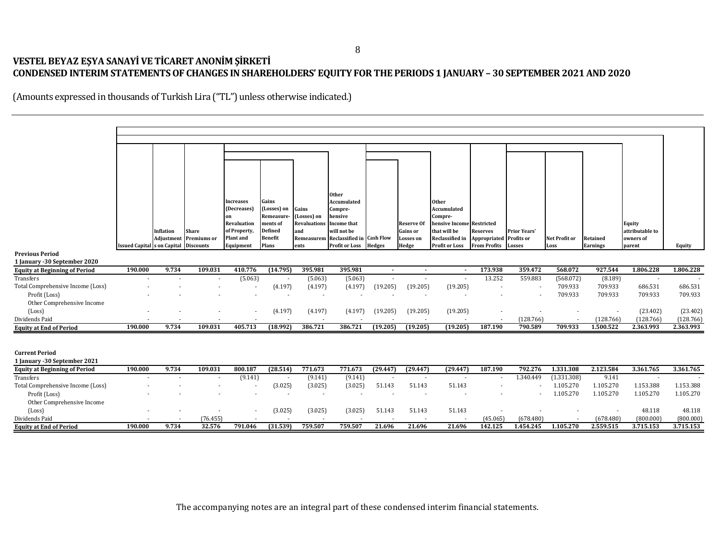# **VESTEL BEYAZ EŞYA SANAYİ VE TİCARET ANONİM ŞİRKETİ CONDENSED INTERIM STATEMENTS OF CHANGES IN SHAREHOLDERS' EQUITY FORTHE PERIODS 1 JANUARY – 30 SEPTEMBER 2021 AND 2020**

|                                                        |                                    |            |                  |                   |                               |                                    | <b>Other</b>                         |               |                          |                                      |                     |              |               |           |                 |           |
|--------------------------------------------------------|------------------------------------|------------|------------------|-------------------|-------------------------------|------------------------------------|--------------------------------------|---------------|--------------------------|--------------------------------------|---------------------|--------------|---------------|-----------|-----------------|-----------|
|                                                        |                                    |            |                  | <b>Increases</b>  | Gains                         |                                    | Accumulated                          |               |                          | <b>Other</b>                         |                     |              |               |           |                 |           |
|                                                        |                                    |            |                  | (Decreases)       | (Losses) on                   | Gains                              | Compre-                              |               |                          | Accumulated                          |                     |              |               |           |                 |           |
|                                                        |                                    |            |                  | on<br>Revaluation | <b>Remeasure-</b><br>ments of | (Losses) on<br><b>Revaluations</b> | hensive<br><b>Income that</b>        |               | <b>Reserve Of</b>        | Compre-<br>hensive Income Restricted |                     |              |               |           | Equity          |           |
|                                                        |                                    | Inflation  | <b>Share</b>     | of Property,      | Defined                       | and                                | will not be                          |               | Gains or                 | that will be                         | <b>Reserves</b>     | Prior Years' |               |           | attributable to |           |
|                                                        |                                    | Adjustment | Premiums or      | <b>Plant</b> and  | <b>Benefit</b>                |                                    | Remeasurem Reclassified in Cash Flow |               | <b>Losses</b> on         | Reclassified in                      | Appropriated        | Profits or   | Net Profit or | Retained  | owners of       |           |
|                                                        | <b>Issued Capital</b> s on Capital |            | <b>Discounts</b> | Equipment         | Plans                         | ents                               | <b>Profit or Loss</b>                | <b>Hedges</b> | Hedge                    | <b>Profit or Loss</b>                | <b>From Profits</b> | Losses       | Loss          | Earnings  | parent          | Equity    |
| <b>Previous Period</b><br>1 January -30 September 2020 |                                    |            |                  |                   |                               |                                    |                                      |               |                          |                                      |                     |              |               |           |                 |           |
| <b>Equity at Beginning of Period</b>                   | 190.000                            | 9.734      | 109.031          | 410.776           | (14.795)                      | 395.981                            | 395.981                              | $\sim$        | $\sim$                   | $\sim$                               | 173.938             | 359.472      | 568.072       | 927.544   | 1.806.228       | 1.806.228 |
| Transfers                                              |                                    |            |                  | (5.063)           |                               | (5.063)                            | (5.063)                              |               | $\overline{\phantom{a}}$ |                                      | 13.252              | 559.883      | (568.072)     | (8.189)   |                 |           |
| Total Comprehensive Income (Loss)                      |                                    |            |                  |                   | (4.197)                       | (4.197)                            | (4.197)                              | (19.205)      | (19.205)                 | (19.205)                             |                     |              | 709.933       | 709.933   | 686.531         | 686.531   |
| Profit (Loss)                                          |                                    |            |                  |                   |                               | $\sim$                             |                                      |               | $\overline{\phantom{a}}$ | $\sim$                               |                     |              | 709.933       | 709.933   | 709.933         | 709.933   |
| Other Comprehensive Income<br>(Loss)                   |                                    |            |                  |                   | (4.197)                       | (4.197)                            | (4.197)                              | (19.205)      | (19.205)                 | (19.205)                             |                     |              |               |           | (23.402)        | (23.402)  |
| Dividends Paid                                         |                                    |            |                  |                   |                               |                                    |                                      |               |                          |                                      |                     | (128.766)    |               | (128.766) | (128.766)       | (128.766) |
| <b>Equity at End of Period</b>                         | 190.000                            | 9.734      | 109.031          | 405.713           | (18.992)                      | 386.721                            | 386.721                              | (19.205)      | (19.205)                 | (19.205)                             | 187.190             | 790.589      | 709.933       | 1.500.522 | 2.363.993       | 2.363.993 |
|                                                        |                                    |            |                  |                   |                               |                                    |                                      |               |                          |                                      |                     |              |               |           |                 |           |
| <b>Current Period</b>                                  |                                    |            |                  |                   |                               |                                    |                                      |               |                          |                                      |                     |              |               |           |                 |           |
| 1 January - 30 September 2021                          |                                    |            |                  |                   |                               |                                    |                                      |               |                          |                                      |                     |              |               |           |                 |           |
| <b>Equity at Beginning of Period</b>                   | 190.000                            | 9.734      | 109.031          | 800.187           | (28.514)                      | 771.673                            | 771.673                              | (29.447)      | (29.447)                 | (29.447)                             | 187.190             | 792.276      | 1.331.308     | 2.123.584 | 3.361.765       | 3.361.765 |
| Transfers                                              |                                    |            |                  | (9.141)           |                               | (9.141)                            | (9.141)                              |               | $\overline{\phantom{a}}$ |                                      |                     | 1.340.449    | (1.331.308)   | 9.141     |                 |           |
| Total Comprehensive Income (Loss)                      |                                    |            |                  |                   | (3.025)                       | (3.025)                            | (3.025)                              | 51.143        | 51.143                   | 51.143                               |                     |              | 1.105.270     | 1.105.270 | 1.153.388       | 1.153.388 |
| Profit (Loss)                                          |                                    |            |                  |                   | $\sim$                        | $\sim$                             | $\overline{\phantom{a}}$             | $\sim$        | $\sim$                   | $\overline{\phantom{a}}$             |                     |              | 1.105.270     | 1.105.270 | 1.105.270       | 1.105.270 |
| Other Comprehensive Income<br>(Loss)                   |                                    |            |                  |                   | (3.025)                       | (3.025)                            | (3.025)                              | 51.143        | 51.143                   | 51.143                               |                     |              |               |           | 48.118          | 48.118    |
|                                                        |                                    |            | (76.455)         |                   |                               |                                    |                                      |               |                          |                                      | (45.065)            | (678.480)    |               | (678.480) | (800.000)       | (800.000) |
| Dividends Paid                                         |                                    |            | 32.576           | 791.046           | (31.539)                      | 759.507                            | 759.507                              | 21.696        | 21.696                   | 21.696                               | 142.125             | 1.454.245    | 1.105.270     | 2.559.515 | 3.715.153       | 3.715.153 |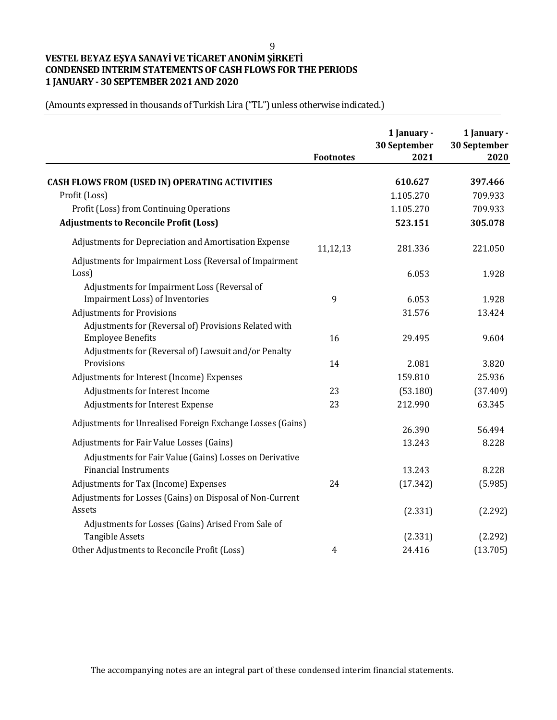# **VESTEL BEYAZ EŞYA SANAYİ VE TİCARET ANONİM ŞİRKETİ CONDENSED INTERIM STATEMENTS OF CASH FLOWS FOR THE PERIODS 1 JANUARY - 30 SEPTEMBER 2021 AND 2020**

|                                                            | <b>Footnotes</b> | 1 January -<br>30 September<br>2021 | 1 January -<br>30 September<br>2020 |
|------------------------------------------------------------|------------------|-------------------------------------|-------------------------------------|
|                                                            |                  |                                     |                                     |
| <b>CASH FLOWS FROM (USED IN) OPERATING ACTIVITIES</b>      |                  | 610.627                             | 397.466                             |
| Profit (Loss)                                              |                  | 1.105.270                           | 709.933                             |
| Profit (Loss) from Continuing Operations                   |                  | 1.105.270                           | 709.933                             |
| <b>Adjustments to Reconcile Profit (Loss)</b>              |                  | 523.151                             | 305.078                             |
| Adjustments for Depreciation and Amortisation Expense      | 11,12,13         | 281.336                             | 221.050                             |
| Adjustments for Impairment Loss (Reversal of Impairment    |                  |                                     |                                     |
| Loss)                                                      |                  | 6.053                               | 1.928                               |
| Adjustments for Impairment Loss (Reversal of               |                  |                                     |                                     |
| <b>Impairment Loss) of Inventories</b>                     | 9                | 6.053                               | 1.928                               |
| <b>Adjustments for Provisions</b>                          |                  | 31.576                              | 13.424                              |
| Adjustments for (Reversal of) Provisions Related with      |                  |                                     |                                     |
| <b>Employee Benefits</b>                                   | 16               | 29.495                              | 9.604                               |
| Adjustments for (Reversal of) Lawsuit and/or Penalty       |                  |                                     |                                     |
| Provisions                                                 | 14               | 2.081                               | 3.820                               |
| Adjustments for Interest (Income) Expenses                 |                  | 159.810                             | 25.936                              |
| Adjustments for Interest Income                            | 23               | (53.180)                            | (37.409)                            |
| Adjustments for Interest Expense                           | 23               | 212.990                             | 63.345                              |
| Adjustments for Unrealised Foreign Exchange Losses (Gains) |                  | 26.390                              | 56.494                              |
| Adjustments for Fair Value Losses (Gains)                  |                  | 13.243                              | 8.228                               |
| Adjustments for Fair Value (Gains) Losses on Derivative    |                  |                                     |                                     |
| <b>Financial Instruments</b>                               |                  | 13.243                              | 8.228                               |
| Adjustments for Tax (Income) Expenses                      | 24               | (17.342)                            | (5.985)                             |
| Adjustments for Losses (Gains) on Disposal of Non-Current  |                  |                                     |                                     |
| Assets                                                     |                  | (2.331)                             | (2.292)                             |
| Adjustments for Losses (Gains) Arised From Sale of         |                  |                                     |                                     |
| <b>Tangible Assets</b>                                     |                  | (2.331)                             | (2.292)                             |
| Other Adjustments to Reconcile Profit (Loss)               | $\overline{4}$   | 24.416                              | (13.705)                            |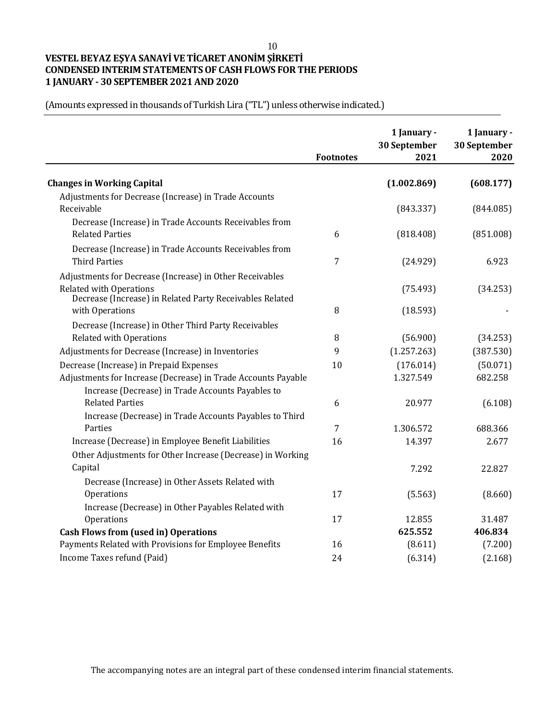# **VESTEL BEYAZ EŞYA SANAYİ VE TİCARET ANONİM ŞİRKETİ CONDENSED INTERIM STATEMENTS OF CASH FLOWS FOR THE PERIODS 1 JANUARY - 30 SEPTEMBER 2021 AND 2020**

|                                                               | <b>Footnotes</b> | 1 January -<br>30 September<br>2021 | 1 January -<br>30 September<br>2020 |
|---------------------------------------------------------------|------------------|-------------------------------------|-------------------------------------|
| <b>Changes in Working Capital</b>                             |                  | (1.002.869)                         | (608.177)                           |
| Adjustments for Decrease (Increase) in Trade Accounts         |                  |                                     |                                     |
| Receivable                                                    |                  | (843.337)                           | (844.085)                           |
| Decrease (Increase) in Trade Accounts Receivables from        |                  |                                     |                                     |
| <b>Related Parties</b>                                        | 6                | (818.408)                           | (851.008)                           |
| Decrease (Increase) in Trade Accounts Receivables from        |                  |                                     |                                     |
| <b>Third Parties</b>                                          | $\overline{7}$   | (24.929)                            | 6.923                               |
| Adjustments for Decrease (Increase) in Other Receivables      |                  |                                     |                                     |
| <b>Related with Operations</b>                                |                  | (75.493)                            | (34.253)                            |
| Decrease (Increase) in Related Party Receivables Related      |                  |                                     |                                     |
| with Operations                                               | 8                | (18.593)                            |                                     |
| Decrease (Increase) in Other Third Party Receivables          |                  |                                     |                                     |
| <b>Related with Operations</b>                                | 8                | (56.900)                            | (34.253)                            |
| Adjustments for Decrease (Increase) in Inventories            | 9                | (1.257.263)                         | (387.530)                           |
| Decrease (Increase) in Prepaid Expenses                       | 10               | (176.014)                           | (50.071)                            |
| Adjustments for Increase (Decrease) in Trade Accounts Payable |                  | 1.327.549                           | 682.258                             |
| Increase (Decrease) in Trade Accounts Payables to             |                  |                                     |                                     |
| <b>Related Parties</b>                                        | 6                | 20.977                              | (6.108)                             |
| Increase (Decrease) in Trade Accounts Payables to Third       |                  |                                     |                                     |
| Parties                                                       | 7                | 1.306.572                           | 688.366                             |
| Increase (Decrease) in Employee Benefit Liabilities           | 16               | 14.397                              | 2.677                               |
| Other Adjustments for Other Increase (Decrease) in Working    |                  |                                     |                                     |
| Capital                                                       |                  | 7.292                               | 22.827                              |
| Decrease (Increase) in Other Assets Related with              |                  |                                     |                                     |
| Operations                                                    | 17               | (5.563)                             | (8.660)                             |
| Increase (Decrease) in Other Payables Related with            |                  |                                     |                                     |
| Operations                                                    | 17               | 12.855                              | 31.487                              |
| <b>Cash Flows from (used in) Operations</b>                   |                  | 625.552                             | 406.834                             |
| Payments Related with Provisions for Employee Benefits        | 16               | (8.611)                             | (7.200)                             |
| Income Taxes refund (Paid)                                    | 24               | (6.314)                             | (2.168)                             |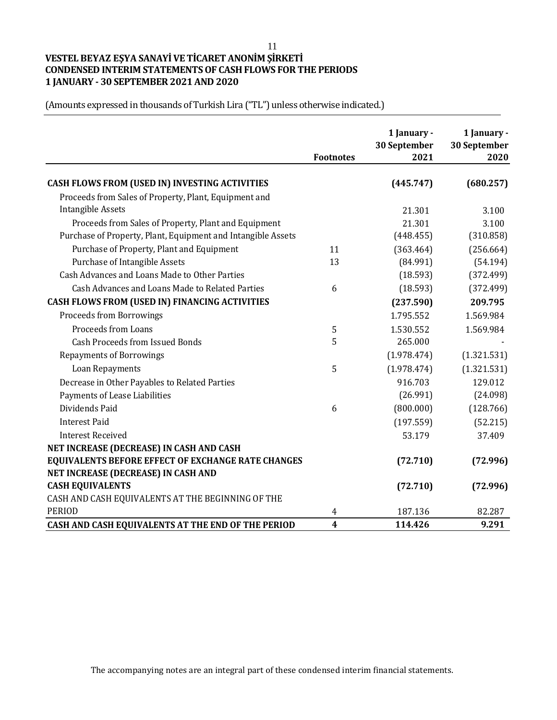# **VESTEL BEYAZ EŞYA SANAYİ VE TİCARET ANONİM ŞİRKETİ CONDENSED INTERIM STATEMENTS OF CASH FLOWS FOR THE PERIODS 1 JANUARY - 30 SEPTEMBER 2021 AND 2020**

|                                                              | <b>Footnotes</b>        | 1 January -<br>30 September<br>2021 | 1 January -<br>30 September<br>2020 |
|--------------------------------------------------------------|-------------------------|-------------------------------------|-------------------------------------|
| CASH FLOWS FROM (USED IN) INVESTING ACTIVITIES               |                         | (445.747)                           | (680.257)                           |
| Proceeds from Sales of Property, Plant, Equipment and        |                         |                                     |                                     |
| <b>Intangible Assets</b>                                     |                         | 21.301                              | 3.100                               |
| Proceeds from Sales of Property, Plant and Equipment         |                         | 21.301                              | 3.100                               |
| Purchase of Property, Plant, Equipment and Intangible Assets |                         | (448.455)                           | (310.858)                           |
| Purchase of Property, Plant and Equipment                    | 11                      | (363.464)                           | (256.664)                           |
| Purchase of Intangible Assets                                | 13                      | (84.991)                            | (54.194)                            |
| Cash Advances and Loans Made to Other Parties                |                         | (18.593)                            | (372.499)                           |
| Cash Advances and Loans Made to Related Parties              | 6                       | (18.593)                            | (372.499)                           |
| CASH FLOWS FROM (USED IN) FINANCING ACTIVITIES               |                         | (237.590)                           | 209.795                             |
| <b>Proceeds from Borrowings</b>                              |                         | 1.795.552                           | 1.569.984                           |
| Proceeds from Loans                                          | 5                       | 1.530.552                           | 1.569.984                           |
| <b>Cash Proceeds from Issued Bonds</b>                       | 5                       | 265.000                             |                                     |
| <b>Repayments of Borrowings</b>                              |                         | (1.978.474)                         | (1.321.531)                         |
| Loan Repayments                                              | 5                       | (1.978.474)                         | (1.321.531)                         |
| Decrease in Other Payables to Related Parties                |                         | 916.703                             | 129.012                             |
| Payments of Lease Liabilities                                |                         | (26.991)                            | (24.098)                            |
| Dividends Paid                                               | 6                       | (800.000)                           | (128.766)                           |
| <b>Interest Paid</b>                                         |                         | (197.559)                           | (52.215)                            |
| <b>Interest Received</b>                                     |                         | 53.179                              | 37.409                              |
| NET INCREASE (DECREASE) IN CASH AND CASH                     |                         |                                     |                                     |
| EQUIVALENTS BEFORE EFFECT OF EXCHANGE RATE CHANGES           |                         | (72.710)                            | (72.996)                            |
| NET INCREASE (DECREASE) IN CASH AND                          |                         |                                     |                                     |
| <b>CASH EQUIVALENTS</b>                                      |                         | (72.710)                            | (72.996)                            |
| CASH AND CASH EQUIVALENTS AT THE BEGINNING OF THE            |                         |                                     |                                     |
| <b>PERIOD</b>                                                | 4                       | 187.136                             | 82.287                              |
| CASH AND CASH EQUIVALENTS AT THE END OF THE PERIOD           | $\overline{\mathbf{4}}$ | 114.426                             | 9.291                               |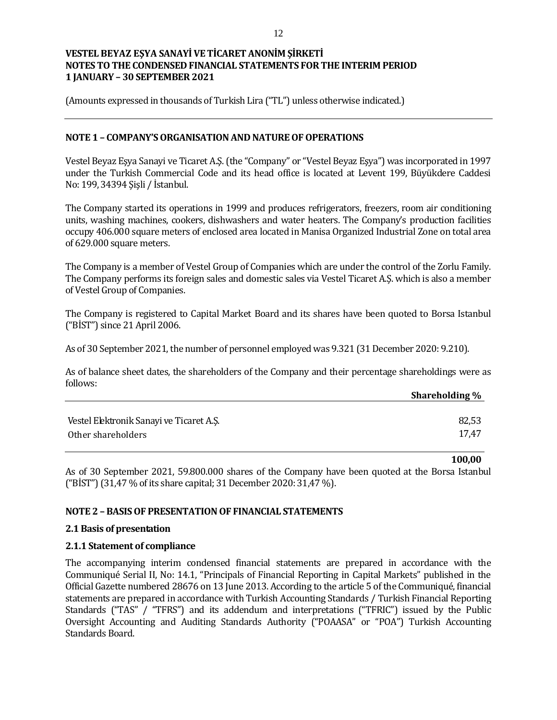(Amounts expressed in thousands of Turkish Lira ("TL") unless otherwise indicated.)

#### **NOTE 1 – COMPANY'S ORGANISATION AND NATURE OF OPERATIONS**

Vestel Beyaz Eşya Sanayi ve Ticaret A.Ş. (the "Company" or "Vestel Beyaz Eşya") was incorporated in 1997 under the Turkish Commercial Code and its head office is located at Levent 199, Büyükdere Caddesi No: 199, 34394 Şişli / İstanbul.

The Company started its operations in 1999 and produces refrigerators, freezers, room air conditioning units, washing machines, cookers, dishwashers and water heaters. The Company's production facilities occupy 406.000 square meters of enclosed area located in Manisa Organized Industrial Zone on total area of 629.000 square meters.

The Company is a member of Vestel Group of Companies which are under the control of the Zorlu Family. The Company performs its foreign sales and domestic sales via Vestel Ticaret A.Ş. which is also a member of Vestel Group of Companies.

The Company is registered to Capital Market Board and its shares have been quoted to Borsa Istanbul ("BİST") since 21 April 2006.

As of 30 September 2021, the number of personnel employed was 9.321 (31 December 2020: 9.210).

As of balance sheet dates, the shareholders of the Company and their percentage shareholdings were as follows:

|                                          | Shareholding % |
|------------------------------------------|----------------|
|                                          |                |
| Vestel Elektronik Sanayi ve Ticaret A.Ş. | 82,53          |
| Other shareholders                       | 17.47          |

**100,00**

As of 30 September 2021, 59.800.000 shares of the Company have been quoted at the Borsa Istanbul ("BİST") (31,47 % of its share capital; 31 December 2020: 31,47 %).

#### **NOTE 2 – BASIS OF PRESENTATION OF FINANCIAL STATEMENTS**

#### **2.1 Basis of presentation**

#### **2.1.1 Statement of compliance**

The accompanying interim condensed financial statements are prepared in accordance with the Communiqué Serial II, No: 14.1, "Principals of Financial Reporting in Capital Markets" published in the Official Gazette numbered 28676 on 13 June 2013. According to the article 5 of the Communiqué, financial statements are prepared in accordance with Turkish Accounting Standards / Turkish Financial Reporting Standards ("TAS" / "TFRS") and its addendum and interpretations ("TFRIC") issued by the Public Oversight Accounting and Auditing Standards Authority ("POAASA" or "POA") Turkish Accounting Standards Board.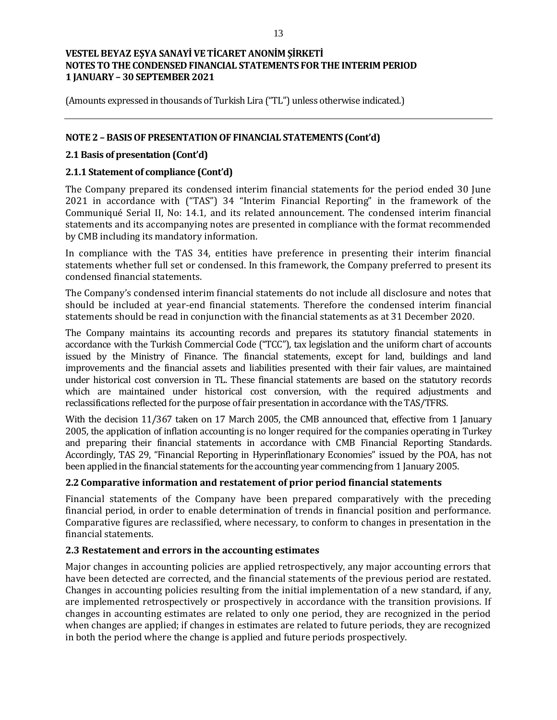(Amounts expressed in thousands of Turkish Lira ("TL") unless otherwise indicated.)

## **NOTE 2 – BASIS OF PRESENTATION OF FINANCIAL STATEMENTS (Cont'd)**

#### **2.1 Basis of presentation (Cont'd)**

#### **2.1.1 Statement of compliance (Cont'd)**

The Company prepared its condensed interim financial statements for the period ended 30 June 2021 in accordance with ("TAS") 34 "Interim Financial Reporting" in the framework of the Communiqué Serial II, No: 14.1, and its related announcement. The condensed interim financial statements and its accompanying notes are presented in compliance with the format recommended by CMB including its mandatory information.

In compliance with the TAS 34, entities have preference in presenting their interim financial statements whether full set or condensed. In this framework, the Company preferred to present its condensed financial statements.

The Company's condensed interim financial statements do not include all disclosure and notes that should be included at year-end financial statements. Therefore the condensed interim financial statements should be read in conjunction with the financial statements as at 31 December 2020.

The Company maintains its accounting records and prepares its statutory financial statements in accordance with the Turkish Commercial Code ("TCC"), tax legislation and the uniform chart of accounts issued by the Ministry of Finance. The financial statements, except for land, buildings and land improvements and the financial assets and liabilities presented with their fair values, are maintained under historical cost conversion in TL. These financial statements are based on the statutory records which are maintained under historical cost conversion, with the required adjustments and reclassifications reflected for the purpose of fair presentation in accordance with the TAS/TFRS.

With the decision 11/367 taken on 17 March 2005, the CMB announced that, effective from 1 January 2005, the application of inflation accounting is no longer required for the companies operating in Turkey and preparing their financial statements in accordance with CMB Financial Reporting Standards. Accordingly, TAS 29, "Financial Reporting in Hyperinflationary Economies" issued by the POA, has not been applied in the financial statements for the accounting year commencing from 1 January 2005.

# **2.2 Comparative information and restatement of prior period financial statements**

Financial statements of the Company have been prepared comparatively with the preceding financial period, in order to enable determination of trends in financial position and performance. Comparative figures are reclassified, where necessary, to conform to changes in presentation in the financial statements.

#### **2.3 Restatement and errors in the accounting estimates**

Major changes in accounting policies are applied retrospectively, any major accounting errors that have been detected are corrected, and the financial statements of the previous period are restated. Changes in accounting policies resulting from the initial implementation of a new standard, if any, are implemented retrospectively or prospectively in accordance with the transition provisions. If changes in accounting estimates are related to only one period, they are recognized in the period when changes are applied; if changes in estimates are related to future periods, they are recognized in both the period where the change is applied and future periods prospectively.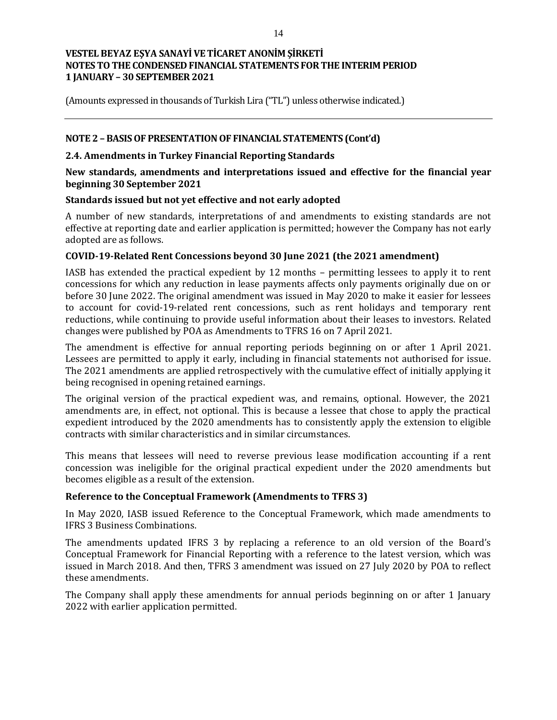(Amounts expressed in thousands of Turkish Lira ("TL") unless otherwise indicated.)

## **NOTE 2 – BASIS OF PRESENTATION OF FINANCIAL STATEMENTS (Cont'd)**

## **2.4. Amendments in Turkey Financial Reporting Standards**

## **New standards, amendments and interpretations issued and effective for the financial year beginning 30 September 2021**

## **Standards issued but not yet effective and not early adopted**

A number of new standards, interpretations of and amendments to existing standards are not effective at reporting date and earlier application is permitted; however the Company has not early adopted are as follows.

## **COVID-19-Related Rent Concessions beyond 30 June 2021 (the 2021 amendment)**

IASB has extended the practical expedient by 12 months – permitting lessees to apply it to rent concessions for which any reduction in lease payments affects only payments originally due on or before 30 June 2022. The original amendment was issued in May 2020 to make it easier for lessees to account for covid-19-related rent concessions, such as rent holidays and temporary rent reductions, while continuing to provide useful information about their leases to investors. Related changes were published by POA as Amendments to TFRS 16 on 7 April 2021.

The amendment is effective for annual reporting periods beginning on or after 1 April 2021. Lessees are permitted to apply it early, including in financial statements not authorised for issue. The 2021 amendments are applied retrospectively with the cumulative effect of initially applying it being recognised in opening retained earnings.

The original version of the practical expedient was, and remains, optional. However, the 2021 amendments are, in effect, not optional. This is because a lessee that chose to apply the practical expedient introduced by the 2020 amendments has to consistently apply the extension to eligible contracts with similar characteristics and in similar circumstances.

This means that lessees will need to reverse previous lease modification accounting if a rent concession was ineligible for the original practical expedient under the 2020 amendments but becomes eligible as a result of the extension.

#### **Reference to the Conceptual Framework (Amendments to TFRS 3)**

In May 2020, IASB issued Reference to the Conceptual Framework, which made amendments to IFRS 3 Business Combinations.

The amendments updated IFRS 3 by replacing a reference to an old version of the Board's Conceptual Framework for Financial Reporting with a reference to the latest version, which was issued in March 2018. And then, TFRS 3 amendment was issued on 27 July 2020 by POA to reflect these amendments.

The Company shall apply these amendments for annual periods beginning on or after 1 January 2022 with earlier application permitted.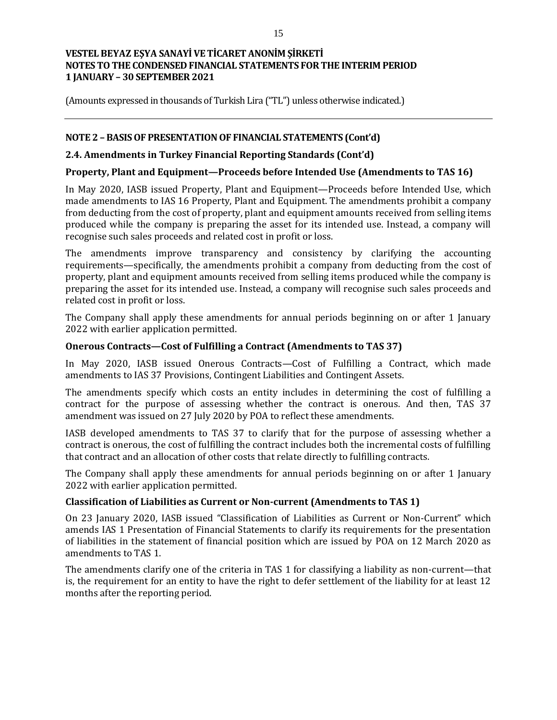(Amounts expressed in thousands of Turkish Lira ("TL") unless otherwise indicated.)

## **NOTE 2 – BASIS OF PRESENTATION OF FINANCIAL STATEMENTS (Cont'd)**

#### **2.4. Amendments in Turkey Financial Reporting Standards (Cont'd)**

# **Property, Plant and Equipment—Proceeds before Intended Use (Amendments to TAS 16)**

In May 2020, IASB issued Property, Plant and Equipment—Proceeds before Intended Use, which made amendments to IAS 16 Property, Plant and Equipment. The amendments prohibit a company from deducting from the cost of property, plant and equipment amounts received from selling items produced while the company is preparing the asset for its intended use. Instead, a company will recognise such sales proceeds and related cost in profit or loss.

The amendments improve transparency and consistency by clarifying the accounting requirements—specifically, the amendments prohibit a company from deducting from the cost of property, plant and equipment amounts received from selling items produced while the company is preparing the asset for its intended use. Instead, a company will recognise such sales proceeds and related cost in profit or loss.

The Company shall apply these amendments for annual periods beginning on or after 1 January 2022 with earlier application permitted.

#### **Onerous Contracts—Cost of Fulfilling a Contract (Amendments to TAS 37)**

In May 2020, IASB issued Onerous Contracts—Cost of Fulfilling a Contract, which made amendments to IAS 37 Provisions, Contingent Liabilities and Contingent Assets.

The amendments specify which costs an entity includes in determining the cost of fulfilling a contract for the purpose of assessing whether the contract is onerous. And then, TAS 37 amendment was issued on 27 July 2020 by POA to reflect these amendments.

IASB developed amendments to TAS 37 to clarify that for the purpose of assessing whether a contract is onerous, the cost of fulfilling the contract includes both the incremental costs of fulfilling that contract and an allocation of other costs that relate directly to fulfilling contracts.

The Company shall apply these amendments for annual periods beginning on or after 1 January 2022 with earlier application permitted.

#### **Classification of Liabilities as Current or Non-current (Amendments to TAS 1)**

On 23 January 2020, IASB issued "Classification of Liabilities as Current or Non-Current" which amends IAS 1 Presentation of Financial Statements to clarify its requirements for the presentation of liabilities in the statement of financial position which are issued by POA on 12 March 2020 as amendments to TAS 1.

The amendments clarify one of the criteria in TAS 1 for classifying a liability as non-current—that is, the requirement for an entity to have the right to defer settlement of the liability for at least 12 months after the reporting period.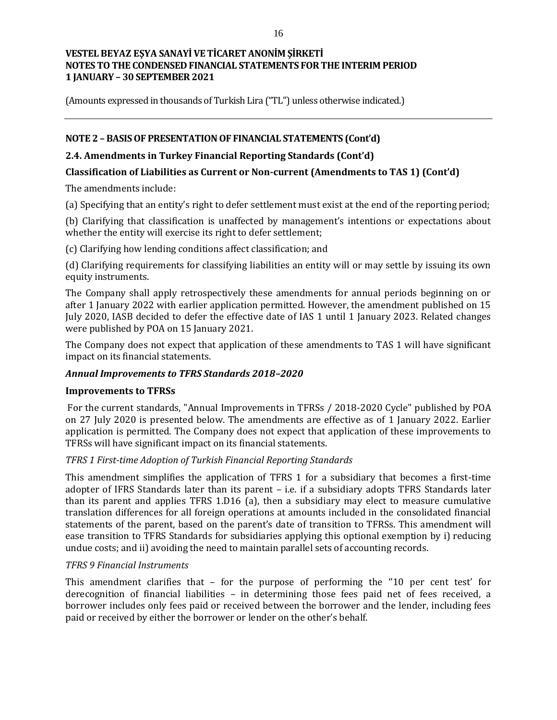(Amounts expressed in thousands of Turkish Lira ("TL") unless otherwise indicated.)

## **NOTE 2 – BASIS OF PRESENTATION OF FINANCIAL STATEMENTS (Cont'd)**

## **2.4. Amendments in Turkey Financial Reporting Standards (Cont'd)**

## **Classification of Liabilities as Current or Non-current (Amendments to TAS 1) (Cont'd)**

The amendments include:

(a) Specifying that an entity's right to defer settlement must exist at the end of the reporting period;

(b) Clarifying that classification is unaffected by management's intentions or expectations about whether the entity will exercise its right to defer settlement;

(c) Clarifying how lending conditions affect classification; and

(d) Clarifying requirements for classifying liabilities an entity will or may settle by issuing its own equity instruments.

The Company shall apply retrospectively these amendments for annual periods beginning on or after 1 January 2022 with earlier application permitted. However, the amendment published on 15 July 2020, IASB decided to defer the effective date of IAS 1 until 1 January 2023. Related changes were published by POA on 15 January 2021.

The Company does not expect that application of these amendments to TAS 1 will have significant impact on its financial statements.

#### *Annual Improvements to TFRS Standards 2018–2020*

#### **Improvements to TFRSs**

For the current standards, "Annual Improvements in TFRSs / 2018-2020 Cycle" published by POA on 27 July 2020 is presented below. The amendments are effective as of 1 January 2022. Earlier application is permitted. The Company does not expect that application of these improvements to TFRSs will have significant impact on its financial statements.

#### *TFRS 1 First-time Adoption of Turkish Financial Reporting Standards*

This amendment simplifies the application of TFRS 1 for a subsidiary that becomes a first-time adopter of IFRS Standards later than its parent – i.e. if a subsidiary adopts TFRS Standards later than its parent and applies TFRS 1.D16 (a), then a subsidiary may elect to measure cumulative translation differences for all foreign operations at amounts included in the consolidated financial statements of the parent, based on the parent's date of transition to TFRSs. This amendment will ease transition to TFRS Standards for subsidiaries applying this optional exemption by i) reducing undue costs; and ii) avoiding the need to maintain parallel sets of accounting records.

#### *TFRS 9 Financial Instruments*

This amendment clarifies that – for the purpose of performing the "10 per cent test' for derecognition of financial liabilities – in determining those fees paid net of fees received, a borrower includes only fees paid or received between the borrower and the lender, including fees paid or received by either the borrower or lender on the other's behalf.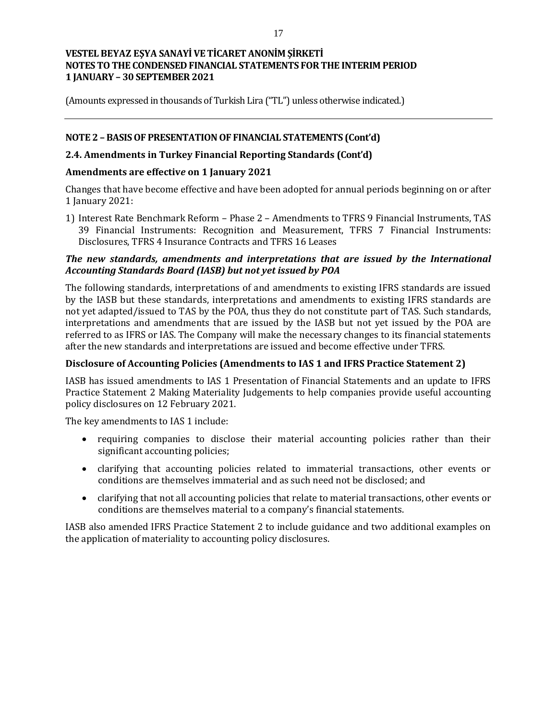(Amounts expressed in thousands of Turkish Lira ("TL") unless otherwise indicated.)

## **NOTE 2 – BASIS OF PRESENTATION OF FINANCIAL STATEMENTS (Cont'd)**

## **2.4. Amendments in Turkey Financial Reporting Standards (Cont'd)**

#### **Amendments are effectiv***e* **on 1 January 2021**

Changes that have become effective and have been adopted for annual periods beginning on or after 1 January 2021:

1) Interest Rate Benchmark Reform – Phase 2 – Amendments to TFRS 9 Financial Instruments, TAS 39 Financial Instruments: Recognition and Measurement, TFRS 7 Financial Instruments: Disclosures, TFRS 4 Insurance Contracts and TFRS 16 Leases

## *The new standards, amendments and interpretations that are issued by the International Accounting Standards Board (IASB) but not yet issued by POA*

The following standards, interpretations of and amendments to existing IFRS standards are issued by the IASB but these standards, interpretations and amendments to existing IFRS standards are not yet adapted/issued to TAS by the POA, thus they do not constitute part of TAS. Such standards, interpretations and amendments that are issued by the IASB but not yet issued by the POA are referred to as IFRS or IAS. The Company will make the necessary changes to its financial statements after the new standards and interpretations are issued and become effective under TFRS.

## **Disclosure of Accounting Policies (Amendments to IAS 1 and IFRS Practice Statement 2)**

IASB has issued amendments to IAS 1 Presentation of Financial Statements and an update to IFRS Practice Statement 2 Making Materiality Judgements to help companies provide useful accounting policy disclosures on 12 February 2021.

The key amendments to IAS 1 include:

- requiring companies to disclose their material accounting policies rather than their significant accounting policies;
- clarifying that accounting policies related to immaterial transactions, other events or conditions are themselves immaterial and as such need not be disclosed; and
- clarifying that not all accounting policies that relate to material transactions, other events or conditions are themselves material to a company's financial statements.

IASB also amended IFRS Practice Statement 2 to include guidance and two additional examples on the application of materiality to accounting policy disclosures.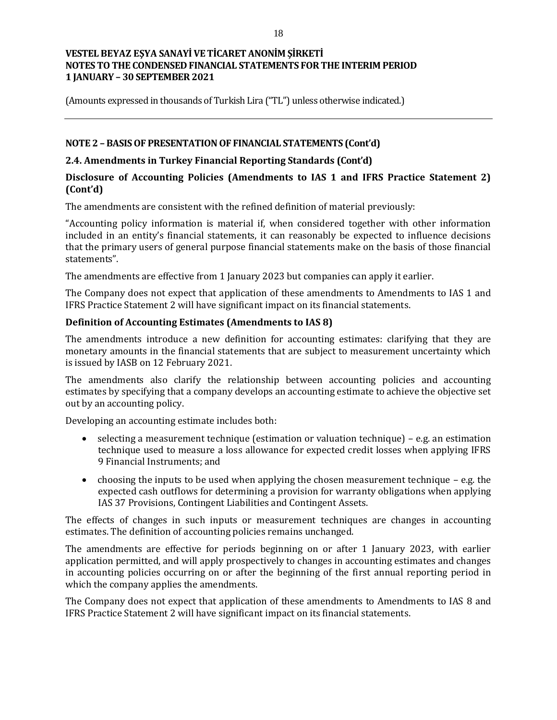(Amounts expressed in thousands of Turkish Lira ("TL") unless otherwise indicated.)

## **NOTE 2 – BASIS OF PRESENTATION OF FINANCIAL STATEMENTS (Cont'd)**

## **2.4. Amendments in Turkey Financial Reporting Standards (Cont'd)**

## **Disclosure of Accounting Policies (Amendments to IAS 1 and IFRS Practice Statement 2) (Cont'd)**

The amendments are consistent with the refined definition of material previously:

"Accounting policy information is material if, when considered together with other information included in an entity's financial statements, it can reasonably be expected to influence decisions that the primary users of general purpose financial statements make on the basis of those financial statements".

The amendments are effective from 1 January 2023 but companies can apply it earlier.

The Company does not expect that application of these amendments to Amendments to IAS 1 and IFRS Practice Statement 2 will have significant impact on its financial statements.

## **Definition of Accounting Estimates (Amendments to IAS 8)**

The amendments introduce a new definition for accounting estimates: clarifying that they are monetary amounts in the financial statements that are subject to measurement uncertainty which is issued by IASB on 12 February 2021.

The amendments also clarify the relationship between accounting policies and accounting estimates by specifying that a company develops an accounting estimate to achieve the objective set out by an accounting policy.

Developing an accounting estimate includes both:

- $\bullet$  selecting a measurement technique (estimation or valuation technique) e.g. an estimation technique used to measure a loss allowance for expected credit losses when applying IFRS 9 Financial Instruments; and
- choosing the inputs to be used when applying the chosen measurement technique e.g. the expected cash outflows for determining a provision for warranty obligations when applying IAS 37 Provisions, Contingent Liabilities and Contingent Assets.

The effects of changes in such inputs or measurement techniques are changes in accounting estimates. The definition of accounting policies remains unchanged.

The amendments are effective for periods beginning on or after 1 January 2023, with earlier application permitted, and will apply prospectively to changes in accounting estimates and changes in accounting policies occurring on or after the beginning of the first annual reporting period in which the company applies the amendments.

The Company does not expect that application of these amendments to Amendments to IAS 8 and IFRS Practice Statement 2 will have significant impact on its financial statements.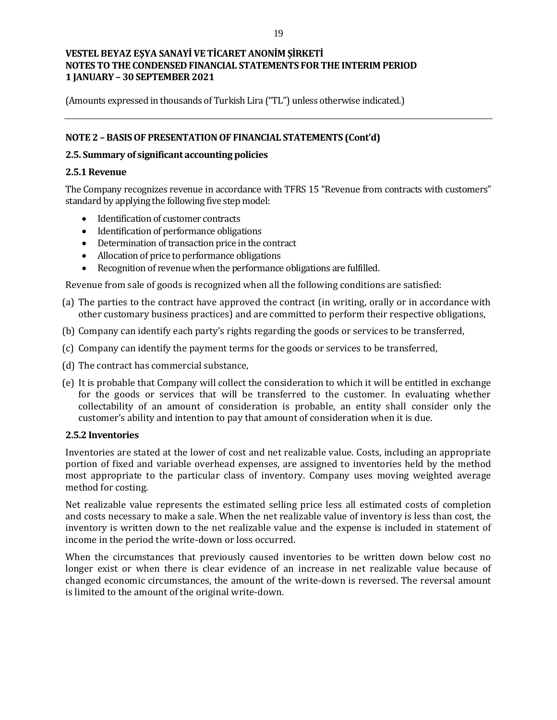(Amounts expressed in thousands of Turkish Lira ("TL") unless otherwise indicated.)

## **NOTE 2 – BASIS OF PRESENTATION OF FINANCIAL STATEMENTS (Cont'd)**

#### **2.5. Summary of significant accounting policies**

#### **2.5.1 Revenue**

The Company recognizes revenue in accordance with TFRS 15 "Revenue from contracts with customers" standard by applying the following five step model:

- Identification of customer contracts
- Identification of performance obligations
- Determination of transaction price in the contract
- Allocation of price to performance obligations
- Recognition of revenue when the performance obligations are fulfilled.

Revenue from sale of goods is recognized when all the following conditions are satisfied:

- (a) The parties to the contract have approved the contract (in writing, orally or in accordance with other customary business practices) and are committed to perform their respective obligations,
- (b) Company can identify each party's rights regarding the goods or services to be transferred,
- (c) Company can identify the payment terms for the goods or services to be transferred,
- (d) The contract has commercial substance,
- (e) It is probable that Company will collect the consideration to which it will be entitled in exchange for the goods or services that will be transferred to the customer. In evaluating whether collectability of an amount of consideration is probable, an entity shall consider only the customer's ability and intention to pay that amount of consideration when it is due.

#### **2.5.2 Inventories**

Inventories are stated at the lower of cost and net realizable value. Costs, including an appropriate portion of fixed and variable overhead expenses, are assigned to inventories held by the method most appropriate to the particular class of inventory. Company uses moving weighted average method for costing.

Net realizable value represents the estimated selling price less all estimated costs of completion and costs necessary to make a sale. When the net realizable value of inventory is less than cost, the inventory is written down to the net realizable value and the expense is included in statement of income in the period the write-down or loss occurred.

When the circumstances that previously caused inventories to be written down below cost no longer exist or when there is clear evidence of an increase in net realizable value because of changed economic circumstances, the amount of the write-down is reversed. The reversal amount is limited to the amount of the original write-down.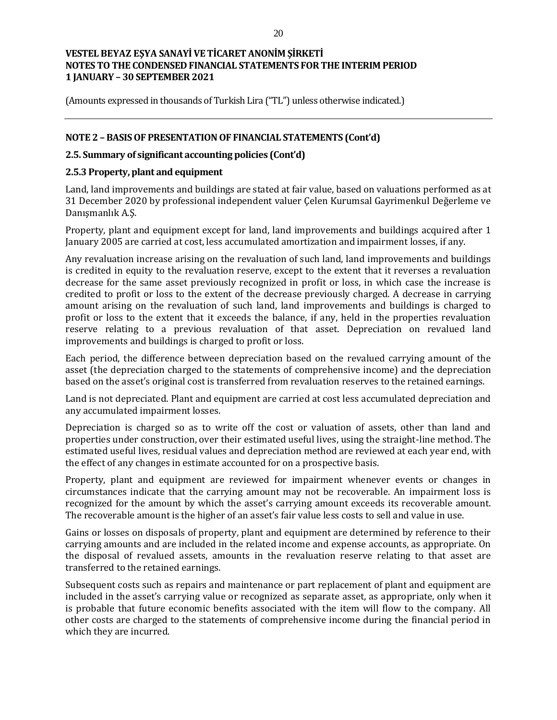(Amounts expressed in thousands of Turkish Lira ("TL") unless otherwise indicated.)

## **NOTE 2 – BASIS OF PRESENTATION OF FINANCIAL STATEMENTS (Cont'd)**

#### **2.5. Summary of significant accounting policies (Cont'd)**

#### **2.5.3 Property, plant and equipment**

Land, land improvements and buildings are stated at fair value, based on valuations performed as at 31 December 2020 by professional independent valuer Çelen Kurumsal Gayrimenkul Değerleme ve Danışmanlık A.Ş.

Property, plant and equipment except for land, land improvements and buildings acquired after 1 January 2005 are carried at cost, less accumulated amortization and impairment losses, if any.

Any revaluation increase arising on the revaluation of such land, land improvements and buildings is credited in equity to the revaluation reserve, except to the extent that it reverses a revaluation decrease for the same asset previously recognized in profit or loss, in which case the increase is credited to profit or loss to the extent of the decrease previously charged. A decrease in carrying amount arising on the revaluation of such land, land improvements and buildings is charged to profit or loss to the extent that it exceeds the balance, if any, held in the properties revaluation reserve relating to a previous revaluation of that asset. Depreciation on revalued land improvements and buildings is charged to profit or loss.

Each period, the difference between depreciation based on the revalued carrying amount of the asset (the depreciation charged to the statements of comprehensive income) and the depreciation based on the asset's original cost is transferred from revaluation reserves to the retained earnings.

Land is not depreciated. Plant and equipment are carried at cost less accumulated depreciation and any accumulated impairment losses.

Depreciation is charged so as to write off the cost or valuation of assets, other than land and properties under construction, over their estimated useful lives, using the straight-line method. The estimated useful lives, residual values and depreciation method are reviewed at each year end, with the effect of any changes in estimate accounted for on a prospective basis.

Property, plant and equipment are reviewed for impairment whenever events or changes in circumstances indicate that the carrying amount may not be recoverable. An impairment loss is recognized for the amount by which the asset's carrying amount exceeds its recoverable amount. The recoverable amount is the higher of an asset's fair value less costs to sell and value in use.

Gains or losses on disposals of property, plant and equipment are determined by reference to their carrying amounts and are included in the related income and expense accounts, as appropriate. On the disposal of revalued assets, amounts in the revaluation reserve relating to that asset are transferred to the retained earnings.

Subsequent costs such as repairs and maintenance or part replacement of plant and equipment are included in the asset's carrying value or recognized as separate asset, as appropriate, only when it is probable that future economic benefits associated with the item will flow to the company. All other costs are charged to the statements of comprehensive income during the financial period in which they are incurred.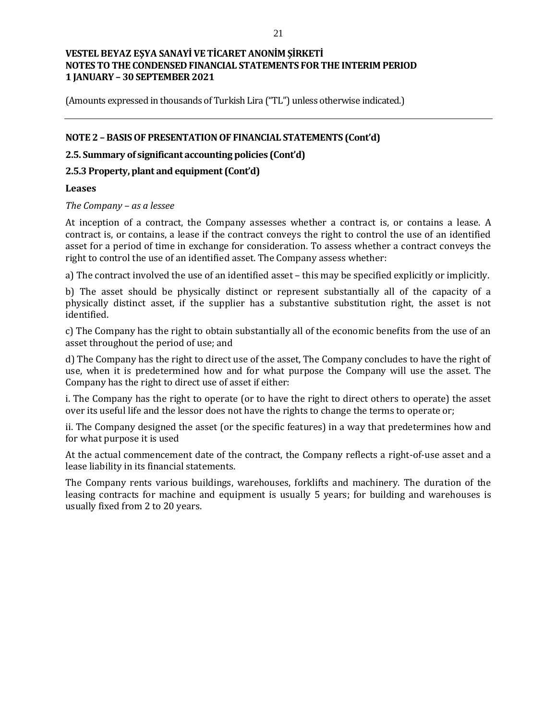(Amounts expressed in thousands of Turkish Lira ("TL") unless otherwise indicated.)

## **NOTE 2 – BASIS OF PRESENTATION OF FINANCIAL STATEMENTS (Cont'd)**

## **2.5. Summary of significant accounting policies (Cont'd)**

## **2.5.3 Property, plant and equipment (Cont'd)**

#### **Leases**

*The Company – as a lessee* 

At inception of a contract, the Company assesses whether a contract is, or contains a lease. A contract is, or contains, a lease if the contract conveys the right to control the use of an identified asset for a period of time in exchange for consideration. To assess whether a contract conveys the right to control the use of an identified asset. The Company assess whether:

a) The contract involved the use of an identified asset – this may be specified explicitly or implicitly.

b) The asset should be physically distinct or represent substantially all of the capacity of a physically distinct asset, if the supplier has a substantive substitution right, the asset is not identified.

c) The Company has the right to obtain substantially all of the economic benefits from the use of an asset throughout the period of use; and

d) The Company has the right to direct use of the asset, The Company concludes to have the right of use, when it is predetermined how and for what purpose the Company will use the asset. The Company has the right to direct use of asset if either:

i. The Company has the right to operate (or to have the right to direct others to operate) the asset over its useful life and the lessor does not have the rights to change the terms to operate or;

ii. The Company designed the asset (or the specific features) in a way that predetermines how and for what purpose it is used

At the actual commencement date of the contract, the Company reflects a right-of-use asset and a lease liability in its financial statements.

The Company rents various buildings, warehouses, forklifts and machinery. The duration of the leasing contracts for machine and equipment is usually 5 years; for building and warehouses is usually fixed from 2 to 20 years.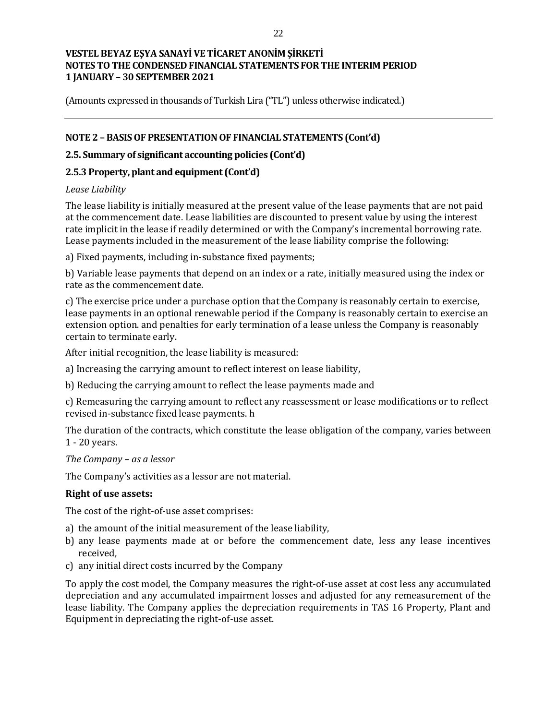(Amounts expressed in thousands of Turkish Lira ("TL") unless otherwise indicated.)

## **NOTE 2 – BASIS OF PRESENTATION OF FINANCIAL STATEMENTS (Cont'd)**

## **2.5. Summary of significant accounting policies (Cont'd)**

## **2.5.3 Property, plant and equipment (Cont'd)**

## *Lease Liability*

The lease liability is initially measured at the present value of the lease payments that are not paid at the commencement date. Lease liabilities are discounted to present value by using the interest rate implicit in the lease if readily determined or with the Company's incremental borrowing rate. Lease payments included in the measurement of the lease liability comprise the following:

a) Fixed payments, including in-substance fixed payments;

b) Variable lease payments that depend on an index or a rate, initially measured using the index or rate as the commencement date.

c) The exercise price under a purchase option that the Company is reasonably certain to exercise, lease payments in an optional renewable period if the Company is reasonably certain to exercise an extension option. and penalties for early termination of a lease unless the Company is reasonably certain to terminate early.

After initial recognition, the lease liability is measured:

a) Increasing the carrying amount to reflect interest on lease liability,

b) Reducing the carrying amount to reflect the lease payments made and

c) Remeasuring the carrying amount to reflect any reassessment or lease modifications or to reflect revised in-substance fixed lease payments. h

The duration of the contracts, which constitute the lease obligation of the company, varies between 1 - 20 years.

*The Company – as a lessor* 

The Company's activities as a lessor are not material.

## **Right of use assets:**

The cost of the right-of-use asset comprises:

- a) the amount of the initial measurement of the lease liability,
- b) any lease payments made at or before the commencement date, less any lease incentives received,
- c) any initial direct costs incurred by the Company

To apply the cost model, the Company measures the right-of-use asset at cost less any accumulated depreciation and any accumulated impairment losses and adjusted for any remeasurement of the lease liability. The Company applies the depreciation requirements in TAS 16 Property, Plant and Equipment in depreciating the right-of-use asset.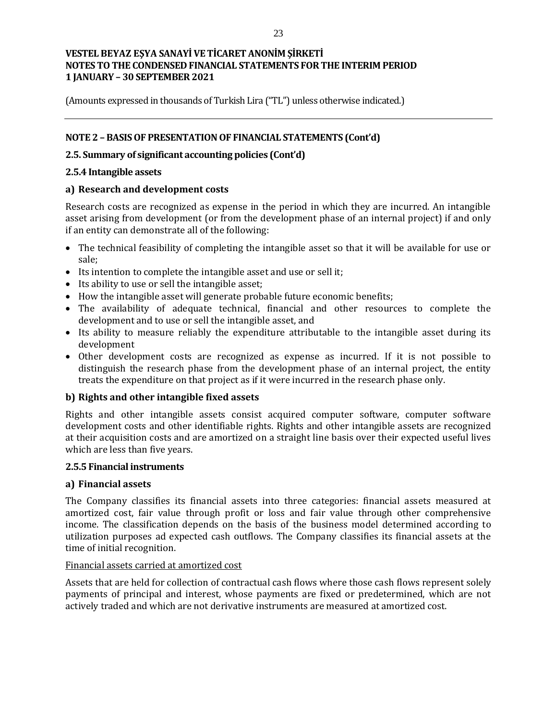(Amounts expressed in thousands of Turkish Lira ("TL") unless otherwise indicated.)

## **NOTE 2 – BASIS OF PRESENTATION OF FINANCIAL STATEMENTS (Cont'd)**

## **2.5. Summary of significant accounting policies (Cont'd)**

#### **2.5.4 Intangible assets**

## **a) Research and development costs**

Research costs are recognized as expense in the period in which they are incurred. An intangible asset arising from development (or from the development phase of an internal project) if and only if an entity can demonstrate all of the following:

- The technical feasibility of completing the intangible asset so that it will be available for use or sale;
- Its intention to complete the intangible asset and use or sell it;
- Its ability to use or sell the intangible asset;
- How the intangible asset will generate probable future economic benefits;
- The availability of adequate technical, financial and other resources to complete the development and to use or sell the intangible asset, and
- Its ability to measure reliably the expenditure attributable to the intangible asset during its development
- Other development costs are recognized as expense as incurred. If it is not possible to distinguish the research phase from the development phase of an internal project, the entity treats the expenditure on that project as if it were incurred in the research phase only.

#### **b) Rights and other intangible fixed assets**

Rights and other intangible assets consist acquired computer software, computer software development costs and other identifiable rights. Rights and other intangible assets are recognized at their acquisition costs and are amortized on a straight line basis over their expected useful lives which are less than five years.

#### **2.5.5 Financial instruments**

#### **a) Financial assets**

The Company classifies its financial assets into three categories: financial assets measured at amortized cost, fair value through profit or loss and fair value through other comprehensive income. The classification depends on the basis of the business model determined according to utilization purposes ad expected cash outflows. The Company classifies its financial assets at the time of initial recognition.

#### Financial assets carried at amortized cost

Assets that are held for collection of contractual cash flows where those cash flows represent solely payments of principal and interest, whose payments are fixed or predetermined, which are not actively traded and which are not derivative instruments are measured at amortized cost.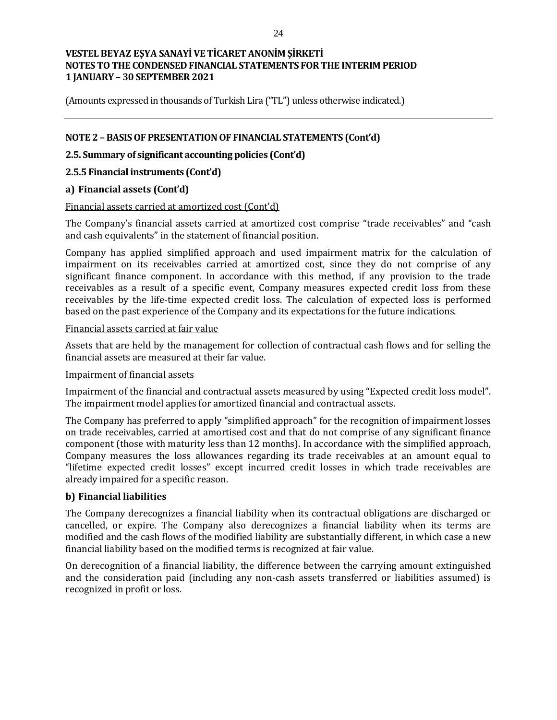(Amounts expressed in thousands of Turkish Lira ("TL") unless otherwise indicated.)

## **NOTE 2 – BASIS OF PRESENTATION OF FINANCIAL STATEMENTS (Cont'd)**

## **2.5. Summary of significant accounting policies (Cont'd)**

#### **2.5.5 Financial instruments (Cont'd)**

#### **a) Financial assets (Cont'd)**

#### Financial assets carried at amortized cost (Cont'd)

The Company's financial assets carried at amortized cost comprise "trade receivables" and "cash and cash equivalents" in the statement of financial position.

Company has applied simplified approach and used impairment matrix for the calculation of impairment on its receivables carried at amortized cost, since they do not comprise of any significant finance component. In accordance with this method, if any provision to the trade receivables as a result of a specific event, Company measures expected credit loss from these receivables by the life-time expected credit loss. The calculation of expected loss is performed based on the past experience of the Company and its expectations for the future indications.

#### Financial assets carried at fair value

Assets that are held by the management for collection of contractual cash flows and for selling the financial assets are measured at their far value.

#### Impairment of financial assets

Impairment of the financial and contractual assets measured by using "Expected credit loss model". The impairment model applies for amortized financial and contractual assets.

The Company has preferred to apply "simplified approach" for the recognition of impairment losses on trade receivables, carried at amortised cost and that do not comprise of any significant finance component (those with maturity less than 12 months). In accordance with the simplified approach, Company measures the loss allowances regarding its trade receivables at an amount equal to "lifetime expected credit losses" except incurred credit losses in which trade receivables are already impaired for a specific reason.

#### **b) Financial liabilities**

The Company derecognizes a financial liability when its contractual obligations are discharged or cancelled, or expire. The Company also derecognizes a financial liability when its terms are modified and the cash flows of the modified liability are substantially different, in which case a new financial liability based on the modified terms is recognized at fair value.

On derecognition of a financial liability, the difference between the carrying amount extinguished and the consideration paid (including any non-cash assets transferred or liabilities assumed) is recognized in profit or loss.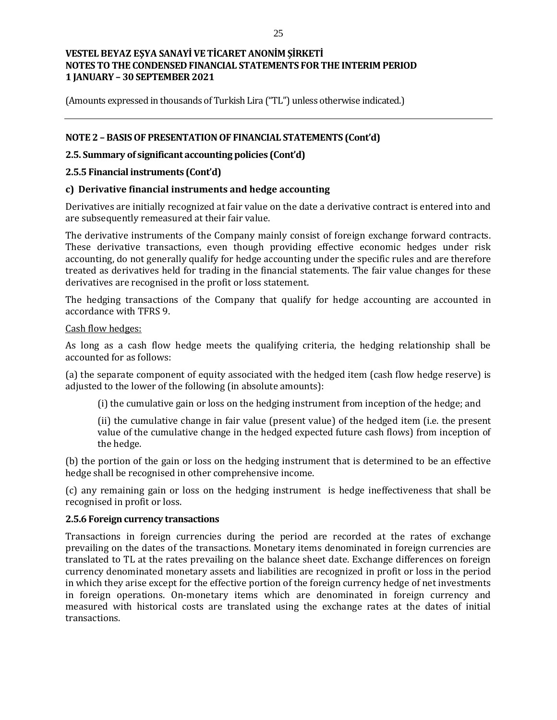(Amounts expressed in thousands of Turkish Lira ("TL") unless otherwise indicated.)

## **NOTE 2 – BASIS OF PRESENTATION OF FINANCIAL STATEMENTS (Cont'd)**

## **2.5. Summary of significant accounting policies (Cont'd)**

#### **2.5.5 Financial instruments (Cont'd)**

## **c) Derivative financial instruments and hedge accounting**

Derivatives are initially recognized at fair value on the date a derivative contract is entered into and are subsequently remeasured at their fair value.

The derivative instruments of the Company mainly consist of foreign exchange forward contracts. These derivative transactions, even though providing effective economic hedges under risk accounting, do not generally qualify for hedge accounting under the specific rules and are therefore treated as derivatives held for trading in the financial statements. The fair value changes for these derivatives are recognised in the profit or loss statement.

The hedging transactions of the Company that qualify for hedge accounting are accounted in accordance with TFRS 9.

#### Cash flow hedges:

As long as a cash flow hedge meets the qualifying criteria, the hedging relationship shall be accounted for as follows:

(a) the separate component of equity associated with the hedged item (cash flow hedge reserve) is adjusted to the lower of the following (in absolute amounts):

(i) the cumulative gain or loss on the hedging instrument from inception of the hedge; and

(ii) the cumulative change in fair value (present value) of the hedged item (i.e. the present value of the cumulative change in the hedged expected future cash flows) from inception of the hedge.

(b) the portion of the gain or loss on the hedging instrument that is determined to be an effective hedge shall be recognised in other comprehensive income.

(c) any remaining gain or loss on the hedging instrument is hedge ineffectiveness that shall be recognised in profit or loss.

#### **2.5.6 Foreign currency transactions**

Transactions in foreign currencies during the period are recorded at the rates of exchange prevailing on the dates of the transactions. Monetary items denominated in foreign currencies are translated to TL at the rates prevailing on the balance sheet date. Exchange differences on foreign currency denominated monetary assets and liabilities are recognized in profit or loss in the period in which they arise except for the effective portion of the foreign currency hedge of net investments in foreign operations. On-monetary items which are denominated in foreign currency and measured with historical costs are translated using the exchange rates at the dates of initial transactions.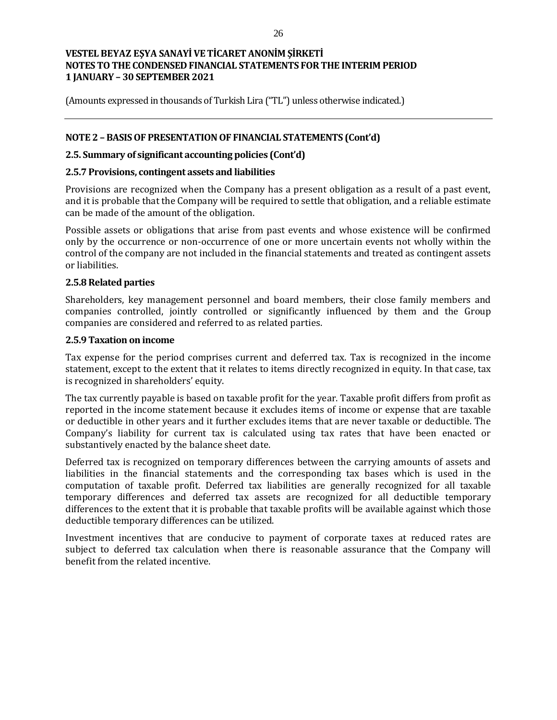(Amounts expressed in thousands of Turkish Lira ("TL") unless otherwise indicated.)

## **NOTE 2 – BASIS OF PRESENTATION OF FINANCIAL STATEMENTS (Cont'd)**

#### **2.5. Summary of significant accounting policies (Cont'd)**

#### **2.5.7 Provisions, contingent assets and liabilities**

Provisions are recognized when the Company has a present obligation as a result of a past event, and it is probable that the Company will be required to settle that obligation, and a reliable estimate can be made of the amount of the obligation.

Possible assets or obligations that arise from past events and whose existence will be confirmed only by the occurrence or non-occurrence of one or more uncertain events not wholly within the control of the company are not included in the financial statements and treated as contingent assets or liabilities.

## **2.5.8 Related parties**

Shareholders, key management personnel and board members, their close family members and companies controlled, jointly controlled or significantly influenced by them and the Group companies are considered and referred to as related parties.

#### **2.5.9 Taxation on income**

Tax expense for the period comprises current and deferred tax. Tax is recognized in the income statement, except to the extent that it relates to items directly recognized in equity. In that case, tax is recognized in shareholders' equity.

The tax currently payable is based on taxable profit for the year. Taxable profit differs from profit as reported in the income statement because it excludes items of income or expense that are taxable or deductible in other years and it further excludes items that are never taxable or deductible. The Company's liability for current tax is calculated using tax rates that have been enacted or substantively enacted by the balance sheet date.

Deferred tax is recognized on temporary differences between the carrying amounts of assets and liabilities in the financial statements and the corresponding tax bases which is used in the computation of taxable profit. Deferred tax liabilities are generally recognized for all taxable temporary differences and deferred tax assets are recognized for all deductible temporary differences to the extent that it is probable that taxable profits will be available against which those deductible temporary differences can be utilized.

Investment incentives that are conducive to payment of corporate taxes at reduced rates are subject to deferred tax calculation when there is reasonable assurance that the Company will benefit from the related incentive.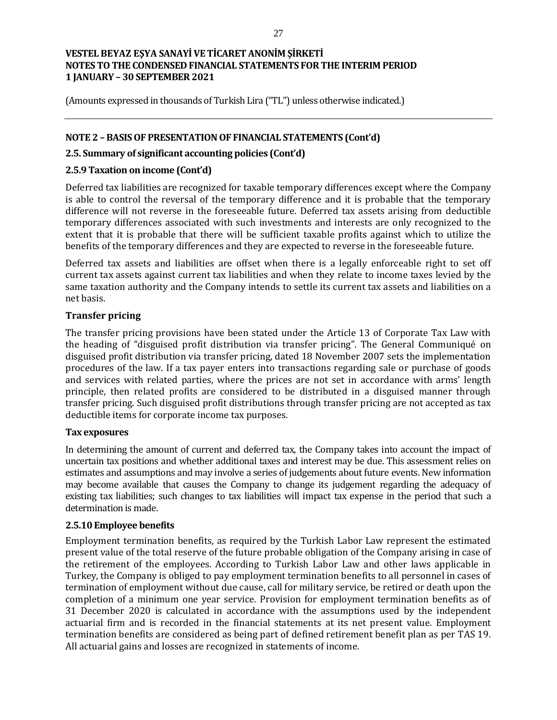(Amounts expressed in thousands of Turkish Lira ("TL") unless otherwise indicated.)

## **NOTE 2 – BASIS OF PRESENTATION OF FINANCIAL STATEMENTS (Cont'd)**

## **2.5. Summary of significant accounting policies (Cont'd)**

#### **2.5.9 Taxation on income (Cont'd)**

Deferred tax liabilities are recognized for taxable temporary differences except where the Company is able to control the reversal of the temporary difference and it is probable that the temporary difference will not reverse in the foreseeable future. Deferred tax assets arising from deductible temporary differences associated with such investments and interests are only recognized to the extent that it is probable that there will be sufficient taxable profits against which to utilize the benefits of the temporary differences and they are expected to reverse in the foreseeable future.

Deferred tax assets and liabilities are offset when there is a legally enforceable right to set off current tax assets against current tax liabilities and when they relate to income taxes levied by the same taxation authority and the Company intends to settle its current tax assets and liabilities on a net basis.

## **Transfer pricing**

The transfer pricing provisions have been stated under the Article 13 of Corporate Tax Law with the heading of "disguised profit distribution via transfer pricing". The General Communiqué on disguised profit distribution via transfer pricing, dated 18 November 2007 sets the implementation procedures of the law. If a tax payer enters into transactions regarding sale or purchase of goods and services with related parties, where the prices are not set in accordance with arms' length principle, then related profits are considered to be distributed in a disguised manner through transfer pricing. Such disguised profit distributions through transfer pricing are not accepted as tax deductible items for corporate income tax purposes.

#### **Tax exposures**

In determining the amount of current and deferred tax, the Company takes into account the impact of uncertain tax positions and whether additional taxes and interest may be due. This assessment relies on estimates and assumptions and may involve a series of judgements about future events. New information may become available that causes the Company to change its judgement regarding the adequacy of existing tax liabilities; such changes to tax liabilities will impact tax expense in the period that such a determination is made.

#### **2.5.10 Employee benefits**

Employment termination benefits, as required by the Turkish Labor Law represent the estimated present value of the total reserve of the future probable obligation of the Company arising in case of the retirement of the employees. According to Turkish Labor Law and other laws applicable in Turkey, the Company is obliged to pay employment termination benefits to all personnel in cases of termination of employment without due cause, call for military service, be retired or death upon the completion of a minimum one year service. Provision for employment termination benefits as of 31 December 2020 is calculated in accordance with the assumptions used by the independent actuarial firm and is recorded in the financial statements at its net present value. Employment termination benefits are considered as being part of defined retirement benefit plan as per TAS 19. All actuarial gains and losses are recognized in statements of income.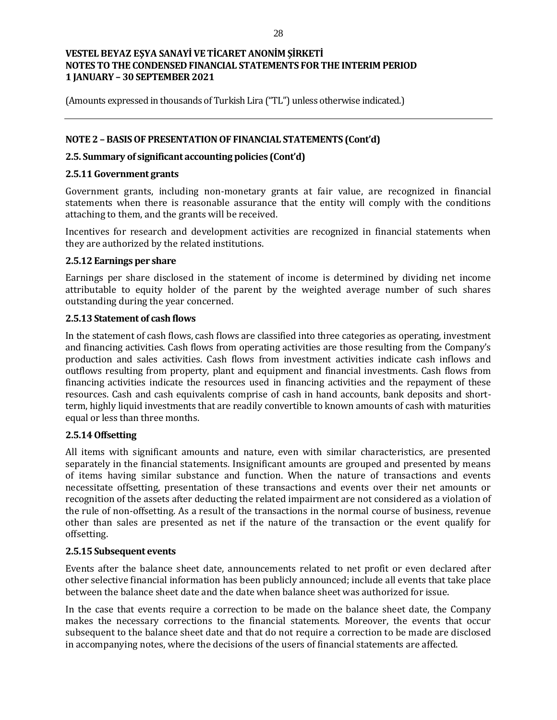(Amounts expressed in thousands of Turkish Lira ("TL") unless otherwise indicated.)

## **NOTE 2 – BASIS OF PRESENTATION OF FINANCIAL STATEMENTS (Cont'd)**

#### **2.5. Summary of significant accounting policies (Cont'd)**

#### **2.5.11 Government grants**

Government grants, including non-monetary grants at fair value, are recognized in financial statements when there is reasonable assurance that the entity will comply with the conditions attaching to them, and the grants will be received.

Incentives for research and development activities are recognized in financial statements when they are authorized by the related institutions.

#### **2.5.12 Earnings per share**

Earnings per share disclosed in the statement of income is determined by dividing net income attributable to equity holder of the parent by the weighted average number of such shares outstanding during the year concerned.

#### **2.5.13 Statement of cash flows**

In the statement of cash flows, cash flows are classified into three categories as operating, investment and financing activities. Cash flows from operating activities are those resulting from the Company's production and sales activities. Cash flows from investment activities indicate cash inflows and outflows resulting from property, plant and equipment and financial investments. Cash flows from financing activities indicate the resources used in financing activities and the repayment of these resources. Cash and cash equivalents comprise of cash in hand accounts, bank deposits and shortterm, highly liquid investments that are readily convertible to known amounts of cash with maturities equal or less than three months.

#### **2.5.14 Offsetting**

All items with significant amounts and nature, even with similar characteristics, are presented separately in the financial statements. Insignificant amounts are grouped and presented by means of items having similar substance and function. When the nature of transactions and events necessitate offsetting, presentation of these transactions and events over their net amounts or recognition of the assets after deducting the related impairment are not considered as a violation of the rule of non-offsetting. As a result of the transactions in the normal course of business, revenue other than sales are presented as net if the nature of the transaction or the event qualify for offsetting.

#### **2.5.15 Subsequent events**

Events after the balance sheet date, announcements related to net profit or even declared after other selective financial information has been publicly announced; include all events that take place between the balance sheet date and the date when balance sheet was authorized for issue.

In the case that events require a correction to be made on the balance sheet date, the Company makes the necessary corrections to the financial statements. Moreover, the events that occur subsequent to the balance sheet date and that do not require a correction to be made are disclosed in accompanying notes, where the decisions of the users of financial statements are affected.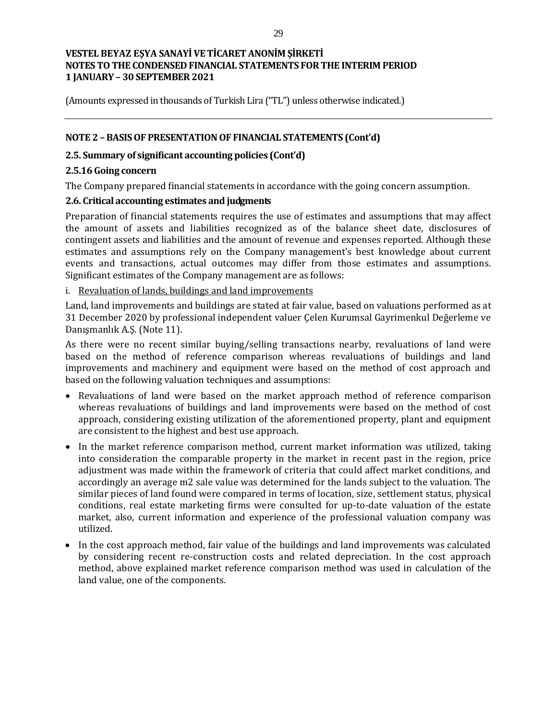(Amounts expressed in thousands of Turkish Lira ("TL") unless otherwise indicated.)

## **NOTE 2 – BASIS OF PRESENTATION OF FINANCIAL STATEMENTS (Cont'd)**

## **2.5. Summary of significant accounting policies (Cont'd)**

## **2.5.16 Going concern**

The Company prepared financial statements in accordance with the going concern assumption.

## **2.6. Critical accounting estimates and judgments**

Preparation of financial statements requires the use of estimates and assumptions that may affect the amount of assets and liabilities recognized as of the balance sheet date, disclosures of contingent assets and liabilities and the amount of revenue and expenses reported. Although these estimates and assumptions rely on the Company management's best knowledge about current events and transactions, actual outcomes may differ from those estimates and assumptions. Significant estimates of the Company management are as follows:

## i. Revaluation of lands, buildings and land improvements

Land, land improvements and buildings are stated at fair value, based on valuations performed as at 31 December 2020 by professional independent valuer Çelen Kurumsal Gayrimenkul Değerleme ve Danışmanlık A.Ş. (Note 11).

As there were no recent similar buying/selling transactions nearby, revaluations of land were based on the method of reference comparison whereas revaluations of buildings and land improvements and machinery and equipment were based on the method of cost approach and based on the following valuation techniques and assumptions:

- Revaluations of land were based on the market approach method of reference comparison whereas revaluations of buildings and land improvements were based on the method of cost approach, considering existing utilization of the aforementioned property, plant and equipment are consistent to the highest and best use approach.
- In the market reference comparison method, current market information was utilized, taking into consideration the comparable property in the market in recent past in the region, price adjustment was made within the framework of criteria that could affect market conditions, and accordingly an average m2 sale value was determined for the lands subject to the valuation. The similar pieces of land found were compared in terms of location, size, settlement status, physical conditions, real estate marketing firms were consulted for up-to-date valuation of the estate market, also, current information and experience of the professional valuation company was utilized.
- In the cost approach method, fair value of the buildings and land improvements was calculated by considering recent re-construction costs and related depreciation. In the cost approach method, above explained market reference comparison method was used in calculation of the land value, one of the components.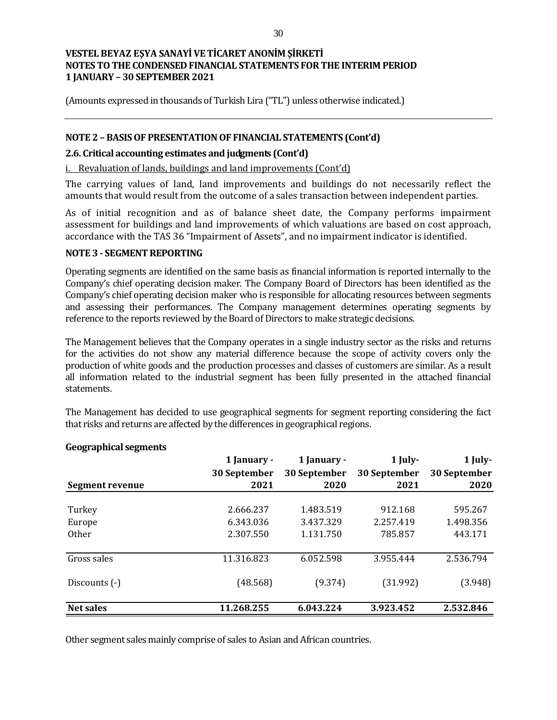(Amounts expressed in thousands of Turkish Lira ("TL") unless otherwise indicated.)

## **NOTE 2 – BASIS OF PRESENTATION OF FINANCIAL STATEMENTS (Cont'd)**

#### **2.6. Critical accounting estimates and judgments (Cont'd)**

i. Revaluation of lands, buildings and land improvements (Cont'd)

The carrying values of land, land improvements and buildings do not necessarily reflect the amounts that would result from the outcome of a sales transaction between independent parties.

As of initial recognition and as of balance sheet date, the Company performs impairment assessment for buildings and land improvements of which valuations are based on cost approach, accordance with the TAS 36 "Impairment of Assets", and no impairment indicator is identified.

#### **NOTE 3 - SEGMENT REPORTING**

Operating segments are identified on the same basis as financial information is reported internally to the Company's chief operating decision maker. The Company Board of Directors has been identified as the Company's chief operating decision maker who is responsible for allocating resources between segments and assessing their performances. The Company management determines operating segments by reference to the reports reviewed by the Board of Directors to make strategic decisions.

The Management believes that the Company operates in a single industry sector as the risks and returns for the activities do not show any material difference because the scope of activity covers only the production of white goods and the production processes and classes of customers are similar. As a result all information related to the industrial segment has been fully presented in the attached financial statements.

The Management has decided to use geographical segments for segment reporting considering the fact that risks and returns are affected by the differences in geographical regions.

| Segment revenue  | 1 January -<br>30 September<br>2021 | 1 January -<br>30 September<br>2020 | 1 July-<br>30 September<br>2021 | 1 July-<br>30 September<br>2020 |
|------------------|-------------------------------------|-------------------------------------|---------------------------------|---------------------------------|
|                  |                                     |                                     |                                 |                                 |
| Turkey           | 2.666.237                           | 1.483.519                           | 912.168                         | 595.267                         |
| Europe           | 6.343.036                           | 3.437.329                           | 2.257.419                       | 1.498.356                       |
| <b>Other</b>     | 2.307.550                           | 1.131.750                           | 785.857                         | 443.171                         |
| Gross sales      | 11.316.823                          | 6.052.598                           | 3.955.444                       | 2.536.794                       |
| Discounts (-)    | (48.568)                            | (9.374)                             | (31.992)                        | (3.948)                         |
| <b>Net sales</b> | 11.268.255                          | 6.043.224                           | 3.923.452                       | 2.532.846                       |

#### **Geographical segments**

Other segment sales mainly comprise of sales to Asian and African countries.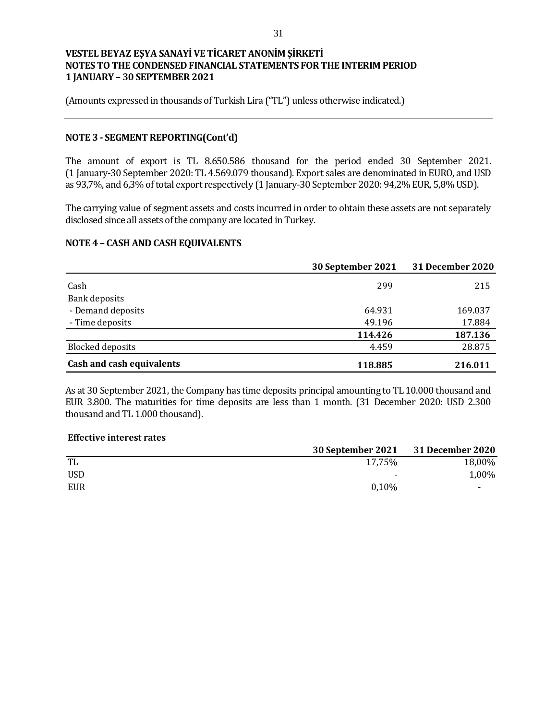(Amounts expressed in thousands of Turkish Lira ("TL") unless otherwise indicated.)

#### **NOTE 3 - SEGMENT REPORTING(Cont'd)**

The amount of export is TL 8.650.586 thousand for the period ended 30 September 2021. (1 January-30 September 2020: TL 4.569.079 thousand). Export sales are denominated in EURO, and USD as 93,7%, and 6,3% of total export respectively (1 January-30 September 2020: 94,2% EUR, 5,8% USD).

The carrying value of segment assets and costs incurred in order to obtain these assets are not separately disclosed since all assets of the company are located in Turkey.

#### **NOTE 4 – CASH AND CASH EQUIVALENTS**

|                           | 30 September 2021 | 31 December 2020 |
|---------------------------|-------------------|------------------|
| Cash                      | 299               | 215              |
| Bank deposits             |                   |                  |
| - Demand deposits         | 64.931            | 169.037          |
| - Time deposits           | 49.196            | 17.884           |
|                           | 114.426           | 187.136          |
| <b>Blocked deposits</b>   | 4.459             | 28.875           |
| Cash and cash equivalents | 118.885           | 216.011          |

As at 30 September 2021, the Company has time deposits principal amounting to TL 10.000 thousand and EUR 3.800. The maturities for time deposits are less than 1 month. (31 December 2020: USD 2.300 thousand and TL 1.000 thousand).

#### **Effective interest rates**

|     | 30 September 2021 31 December 2020 |        |
|-----|------------------------------------|--------|
| TL  | 17,75%                             | 18,00% |
| USD | $\overline{\phantom{0}}$           | 1,00%  |
| EUR | 0.10%                              |        |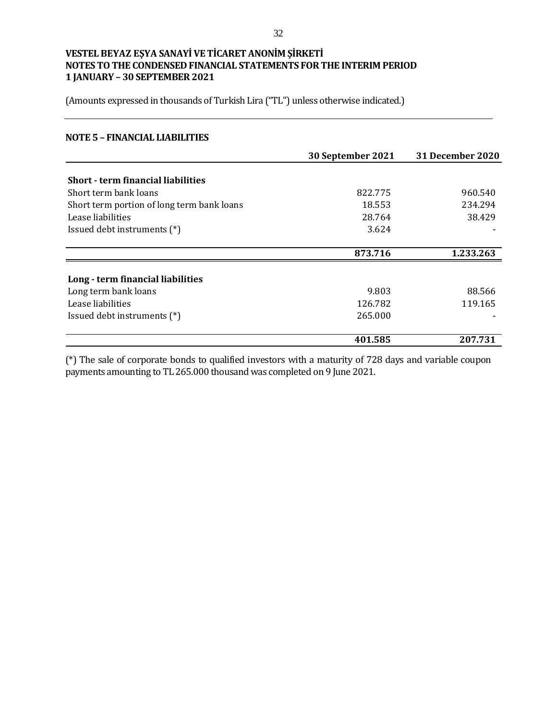(Amounts expressed in thousands of Turkish Lira ("TL") unless otherwise indicated.)

#### **NOTE 5 – FINANCIAL LIABILITIES**

|                                            | 30 September 2021 | 31 December 2020 |
|--------------------------------------------|-------------------|------------------|
|                                            |                   |                  |
| Short - term financial liabilities         |                   |                  |
| Short term bank loans                      | 822.775           | 960.540          |
| Short term portion of long term bank loans | 18.553            | 234.294          |
| Lease liabilities                          | 28.764            | 38.429           |
| Issued debt instruments (*)                | 3.624             |                  |
|                                            | 873.716           | 1.233.263        |
| Long - term financial liabilities          |                   |                  |
|                                            |                   |                  |
| Long term bank loans                       | 9.803             | 88.566           |
| Lease liabilities                          | 126.782           | 119.165          |
| Issued debt instruments (*)                | 265.000           |                  |
|                                            | 401.585           | 207.731          |

(\*) The sale of corporate bonds to qualified investors with a maturity of 728 days and variable coupon payments amounting to TL 265.000 thousand was completed on 9 June 2021.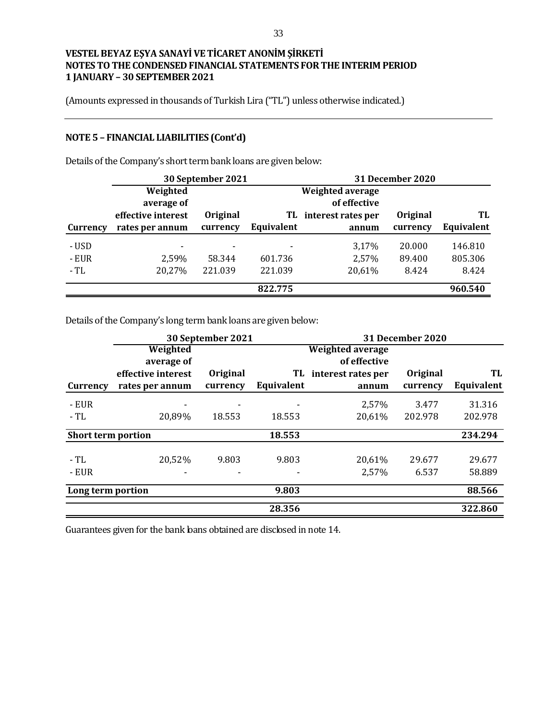(Amounts expressed in thousands of Turkish Lira ("TL") unless otherwise indicated.)

# **NOTE 5 – FINANCIAL LIABILITIES (Cont'd)**

|          |                    | 30 September 2021 |            |                    | 31 December 2020 |            |
|----------|--------------------|-------------------|------------|--------------------|------------------|------------|
|          | Weighted           |                   |            | Weighted average   |                  |            |
|          | average of         |                   |            | of effective       |                  |            |
|          | effective interest | Original          | TL.        | interest rates per | <b>Original</b>  | TL         |
| Currency | rates per annum    | currency          | Equivalent | annum              | currency         | Equivalent |
| - USD    | $\blacksquare$     | $\blacksquare$    | ۰          | 3,17%              | 20.000           | 146.810    |
| - EUR    | 2,59%              | 58.344            | 601.736    | 2,57%              | 89.400           | 805.306    |
| - TL     | 20,27%             | 221.039           | 221.039    | 20,61%             | 8.424            | 8.424      |
|          |                    |                   | 822.775    |                    |                  | 960.540    |

Details of the Company's short term bank loans are given below:

Details of the Company's long term bank loans are given below:

|                           |                          | 30 September 2021 |            |                         | 31 December 2020 |            |
|---------------------------|--------------------------|-------------------|------------|-------------------------|------------------|------------|
|                           | Weighted                 |                   |            | <b>Weighted average</b> |                  |            |
|                           | average of               |                   |            | of effective            |                  |            |
|                           | effective interest       | Original          |            | TL interest rates per   | Original         | TL         |
| Currency                  | rates per annum          | currency          | Equivalent | annum                   | currency         | Equivalent |
| - EUR                     |                          |                   |            | 2,57%                   | 3.477            | 31.316     |
| - TL                      | 20,89%                   | 18.553            | 18.553     | 20,61%                  | 202.978          | 202.978    |
| <b>Short term portion</b> |                          |                   | 18.553     |                         |                  | 234.294    |
|                           |                          |                   |            |                         |                  |            |
| - TL                      | 20,52%                   | 9.803             | 9.803      | 20,61%                  | 29.677           | 29.677     |
| - EUR                     | $\overline{\phantom{0}}$ |                   |            | 2,57%                   | 6.537            | 58.889     |
| Long term portion         |                          |                   | 9.803      |                         |                  | 88.566     |
|                           |                          |                   | 28.356     |                         |                  | 322.860    |

Guarantees given for the bank loans obtained are disclosed in note 14.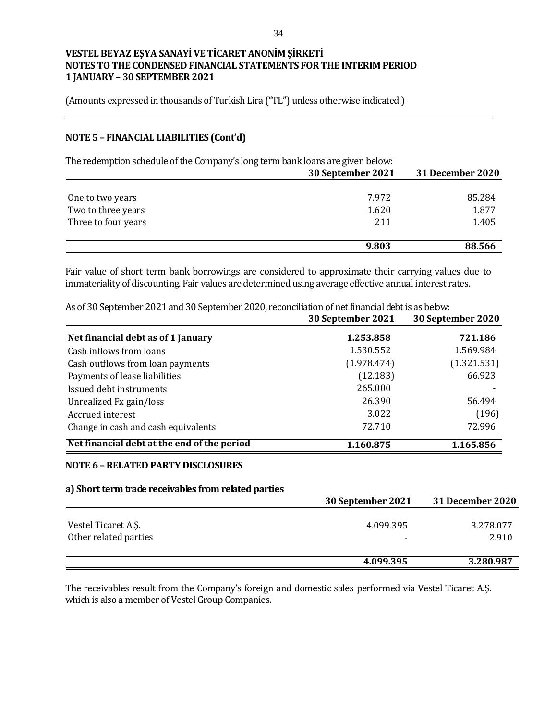(Amounts expressed in thousands of Turkish Lira ("TL") unless otherwise indicated.)

## **NOTE 5 – FINANCIAL LIABILITIES (Cont'd)**

The redemption schedule of the Company's long term bank loans are given below:

|                     | 30 September 2021 | 31 December 2020 |
|---------------------|-------------------|------------------|
|                     |                   |                  |
| One to two years    | 7.972             | 85.284           |
| Two to three years  | 1.620             | 1.877            |
| Three to four years | 211               | 1.405            |
|                     |                   |                  |
|                     | 9.803             | 88.566           |

Fair value of short term bank borrowings are considered to approximate their carrying values due to immateriality of discounting. Fair values are determined using average effective annual interest rates.

As of 30 September 2021 and 30 September 2020, reconciliation of net financial debt is as below:

|                                             | 30 September 2021 | 30 September 2020 |
|---------------------------------------------|-------------------|-------------------|
| Net financial debt as of 1 January          | 1.253.858         | 721.186           |
| Cash inflows from loans                     | 1.530.552         | 1.569.984         |
| Cash outflows from loan payments            | (1.978.474)       | (1.321.531)       |
| Payments of lease liabilities               | (12.183)          | 66.923            |
| Issued debt instruments                     | 265.000           |                   |
| Unrealized Fx gain/loss                     | 26.390            | 56.494            |
| Accrued interest                            | 3.022             | (196)             |
| Change in cash and cash equivalents         | 72.710            | 72.996            |
| Net financial debt at the end of the period | 1.160.875         | 1.165.856         |

#### **NOTE 6 –RELATED PARTY DISCLOSURES**

#### **a) Short term trade receivables from related parties**

|                                              | 30 September 2021 | 31 December 2020   |
|----------------------------------------------|-------------------|--------------------|
| Vestel Ticaret A.S.<br>Other related parties | 4.099.395         | 3.278.077<br>2.910 |
|                                              | 4.099.395         | 3.280.987          |

The receivables result from the Company's foreign and domestic sales performed via Vestel Ticaret A.Ş. which is also a member of Vestel Group Companies.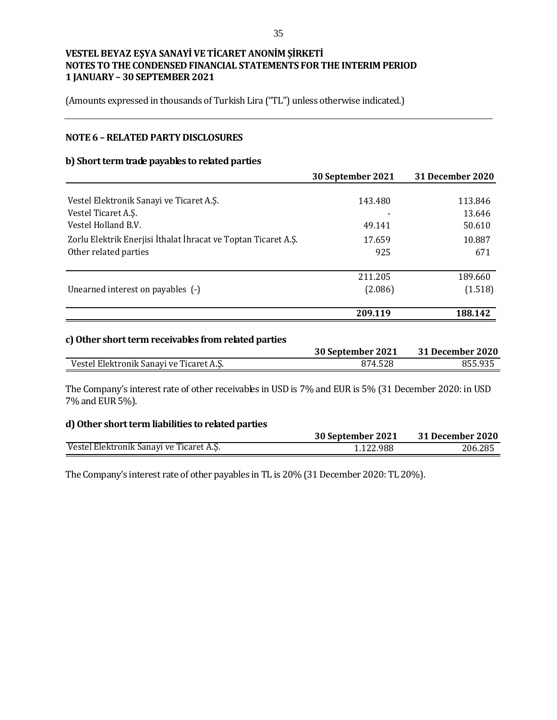(Amounts expressed in thousands of Turkish Lira ("TL") unless otherwise indicated.)

#### **NOTE 6 –RELATED PARTY DISCLOSURES**

#### **b) Short term trade payables to related parties**

|         | <b>31 December 2020</b>                 |
|---------|-----------------------------------------|
|         |                                         |
| 143.480 | 113.846                                 |
|         | 13.646                                  |
| 49.141  | 50.610                                  |
| 17.659  | 10.887                                  |
| 925     | 671                                     |
|         | 189.660                                 |
|         | (1.518)                                 |
|         |                                         |
| 209.119 | 188.142                                 |
|         | 30 September 2021<br>211.205<br>(2.086) |

## **c)Other short term receivables from related parties**

|                                          | 30 September 2021 | 31 December 2020 |
|------------------------------------------|-------------------|------------------|
| Vestel Elektronik Sanavi ve Ticaret A.S. | 874.528           | 855.935          |

The Company's interest rate of other receivables in USD is 7% and EUR is 5% (31 December 2020: in USD 7% and EUR 5%).

#### **d) Other short term liabilities to related parties**

|                                          | 30 September 2021 | 31 December 2020 |
|------------------------------------------|-------------------|------------------|
| Vestel Elektronik Sanayi ve Ticaret A.Ş. | 1.122.988         | 206.285          |

The Company's interest rate of other payables in TL is 20% (31 December 2020: TL 20%).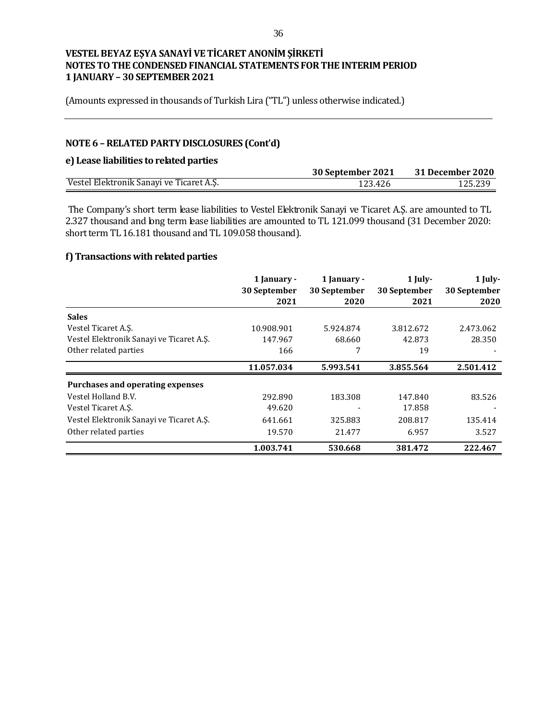(Amounts expressed in thousands of Turkish Lira ("TL") unless otherwise indicated.)

# **NOTE 6 –RELATED PARTY DISCLOSURES (Cont'd)**

## **e) Lease liabilities to related parties**

|                                          | 30 September 2021 | <b>31 December 2020</b> |
|------------------------------------------|-------------------|-------------------------|
| Vestel Elektronik Sanayi ve Ticaret A.S. | 123.426           | .25.239                 |

The Company's short term lease liabilities to Vestel Elektronik Sanayi ve Ticaret A.Ş. are amounted to TL 2.327 thousand and long term lease liabilities are amounted to TL 121.099 thousand (31 December 2020: short term TL 16.181 thousand and TL 109.058 thousand).

## **f) Transactions with related parties**

|                                          | 1 January -  | 1 January -  | 1 July-      | 1 July-      |
|------------------------------------------|--------------|--------------|--------------|--------------|
|                                          | 30 September | 30 September | 30 September | 30 September |
|                                          | 2021         | 2020         | 2021         | 2020         |
| <b>Sales</b>                             |              |              |              |              |
| Vestel Ticaret A.Ş.                      | 10.908.901   | 5.924.874    | 3.812.672    | 2.473.062    |
| Vestel Elektronik Sanavi ve Ticaret A.S. | 147.967      | 68.660       | 42.873       | 28.350       |
| Other related parties                    | 166          |              | 19           |              |
|                                          | 11.057.034   | 5.993.541    | 3.855.564    | 2.501.412    |
| Purchases and operating expenses         |              |              |              |              |
| Vestel Holland B.V.                      | 292.890      | 183.308      | 147.840      | 83.526       |
| Vestel Ticaret A.S.                      | 49.620       |              | 17.858       |              |
| Vestel Elektronik Sanavi ve Ticaret A.S. | 641.661      | 325.883      | 208.817      | 135.414      |
| Other related parties                    | 19.570       | 21.477       | 6.957        | 3.527        |
|                                          | 1.003.741    | 530.668      | 381.472      | 222.467      |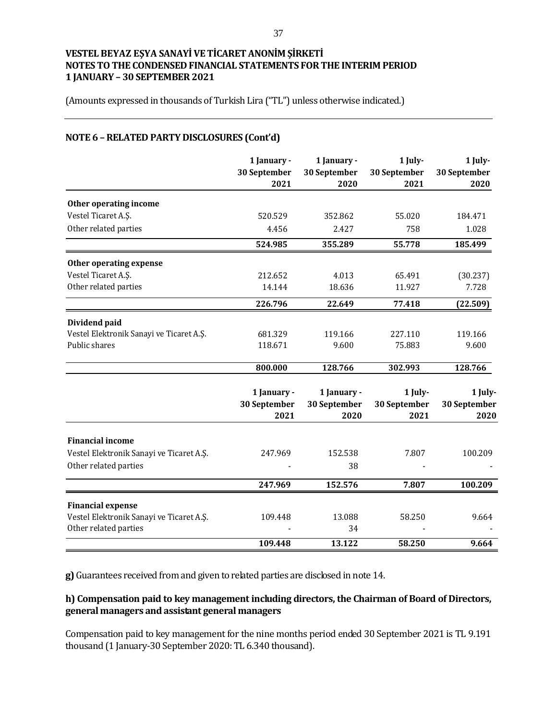(Amounts expressed in thousands of Turkish Lira ("TL") unless otherwise indicated.)

## **NOTE 6 –RELATED PARTY DISCLOSURES (Cont'd)**

|                                          | 1 January -<br>30 September<br>2021 | 1 January -<br>30 September<br>2020 | $1$ July-<br>30 September<br>2021 | 1 July-<br>30 September<br>2020 |
|------------------------------------------|-------------------------------------|-------------------------------------|-----------------------------------|---------------------------------|
| Other operating income                   |                                     |                                     |                                   |                                 |
| Vestel Ticaret A.S.                      | 520.529                             | 352.862                             | 55.020                            | 184.471                         |
| Other related parties                    | 4.456                               | 2.427                               | 758                               | 1.028                           |
|                                          | 524.985                             | 355.289                             | 55.778                            | 185.499                         |
| Other operating expense                  |                                     |                                     |                                   |                                 |
| Vestel Ticaret A.S.                      | 212.652                             | 4.013                               | 65.491                            | (30.237)                        |
| Other related parties                    | 14.144                              | 18.636                              | 11.927                            | 7.728                           |
|                                          | 226.796                             | 22.649                              | 77.418                            | (22.509)                        |
| Dividend paid                            |                                     |                                     |                                   |                                 |
| Vestel Elektronik Sanayi ve Ticaret A.Ş. | 681.329                             | 119.166                             | 227.110                           | 119.166                         |
| Public shares                            | 118.671                             | 9.600                               | 75.883                            | 9.600                           |
|                                          | 800.000                             | 128.766                             | 302.993                           | 128.766                         |
|                                          | 1 January -<br>30 September<br>2021 | 1 January -<br>30 September<br>2020 | 1 July-<br>30 September<br>2021   | 1 July-<br>30 September<br>2020 |
| <b>Financial income</b>                  |                                     |                                     |                                   |                                 |
| Vestel Elektronik Sanayi ve Ticaret A.Ş. | 247.969                             | 152.538                             | 7.807                             | 100.209                         |
| Other related parties                    |                                     | 38                                  |                                   |                                 |
|                                          | 247.969                             | 152.576                             | 7.807                             | 100.209                         |
| <b>Financial expense</b>                 |                                     |                                     |                                   |                                 |
| Vestel Elektronik Sanayi ve Ticaret A.Ş. | 109.448                             | 13.088                              | 58.250                            | 9.664                           |
| Other related parties                    |                                     | 34                                  |                                   |                                 |
|                                          | 109.448                             | 13.122                              | 58.250                            | 9.664                           |

**g)** Guarantees received from and given to related parties are disclosed in note 14.

#### **h) Compensation paid to key management including directors, the Chairman of Board of Directors, general managers and assistant general managers**

Compensation paid to key management for the nine months period ended 30 September 2021 is TL 9.191 thousand (1 January-30 September 2020: TL 6.340 thousand).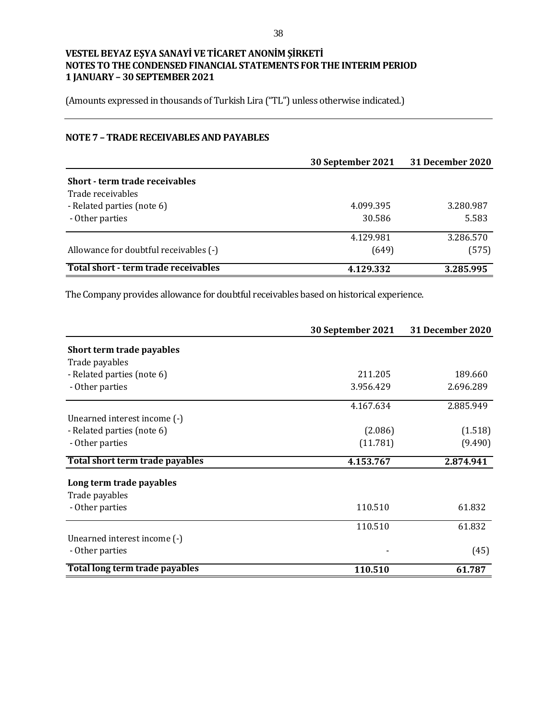(Amounts expressed in thousands of Turkish Lira ("TL") unless otherwise indicated.)

## **NOTE 7 – TRADE RECEIVABLES AND PAYABLES**

|                                        | 30 September 2021 | 31 December 2020 |
|----------------------------------------|-------------------|------------------|
| Short - term trade receivables         |                   |                  |
| Trade receivables                      |                   |                  |
| - Related parties (note 6)             | 4.099.395         | 3.280.987        |
| - Other parties                        | 30.586            | 5.583            |
|                                        | 4.129.981         | 3.286.570        |
| Allowance for doubtful receivables (-) | (649)             | (575)            |
| Total short - term trade receivables   | 4.129.332         | 3.285.995        |

The Company provides allowance for doubtful receivables based on historical experience.

|                                 | 30 September 2021 | <b>31 December 2020</b> |
|---------------------------------|-------------------|-------------------------|
| Short term trade payables       |                   |                         |
| Trade payables                  |                   |                         |
| - Related parties (note 6)      | 211.205           | 189.660                 |
| - Other parties                 | 3.956.429         | 2.696.289               |
|                                 | 4.167.634         | 2.885.949               |
| Unearned interest income (-)    |                   |                         |
| - Related parties (note 6)      | (2.086)           | (1.518)                 |
| - Other parties                 | (11.781)          | (9.490)                 |
| Total short term trade payables | 4.153.767         | 2.874.941               |
| Long term trade payables        |                   |                         |
| Trade payables                  |                   |                         |
| - Other parties                 | 110.510           | 61.832                  |
|                                 | 110.510           | 61.832                  |
| Unearned interest income (-)    |                   |                         |
| - Other parties                 |                   | (45)                    |
| Total long term trade payables  | 110.510           | 61.787                  |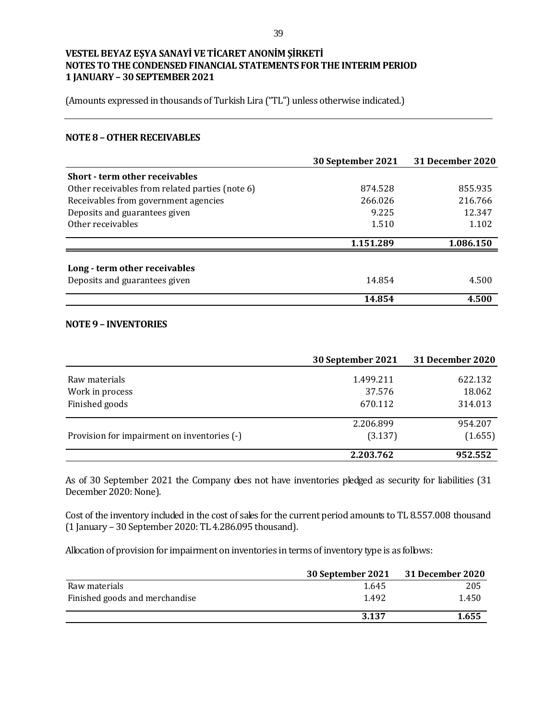(Amounts expressed in thousands of Turkish Lira ("TL") unless otherwise indicated.)

#### **NOTE 8 –OTHER RECEIVABLES**

|                                                 | 30 September 2021 | <b>31 December 2020</b> |
|-------------------------------------------------|-------------------|-------------------------|
| <b>Short - term other receivables</b>           |                   |                         |
| Other receivables from related parties (note 6) | 874.528           | 855.935                 |
| Receivables from government agencies            | 266.026           | 216.766                 |
| Deposits and guarantees given                   | 9.225             | 12.347                  |
| Other receivables                               | 1.510             | 1.102                   |
|                                                 | 1.151.289         | 1.086.150               |
| Long - term other receivables                   |                   |                         |
| Deposits and guarantees given                   | 14.854            | 4.500                   |
|                                                 | 14.854            | 4.500                   |

#### **NOTE 9 – INVENTORIES**

|                                             | 30 September 2021 | 31 December 2020 |
|---------------------------------------------|-------------------|------------------|
| Raw materials                               | 1.499.211         | 622.132          |
| Work in process                             | 37.576            | 18.062           |
| Finished goods                              | 670.112           | 314.013          |
|                                             | 2.206.899         | 954.207          |
| Provision for impairment on inventories (-) | (3.137)           | (1.655)          |
|                                             | 2.203.762         | 952.552          |

As of 30 September 2021 the Company does not have inventories pledged as security for liabilities (31 December 2020: None).

Cost of the inventory included in the cost of sales for the current period amounts to TL 8.557.008 thousand (1 January – 30 September 2020: TL 4.286.095 thousand).

Allocation of provision for impairment on inventories in terms of inventory type is as follows:

|                                | 30 September 2021 | <b>31 December 2020</b> |
|--------------------------------|-------------------|-------------------------|
| Raw materials                  | 1.645             | 205                     |
| Finished goods and merchandise | 1.492             | 1.450                   |
|                                | 3.137             | 1.655                   |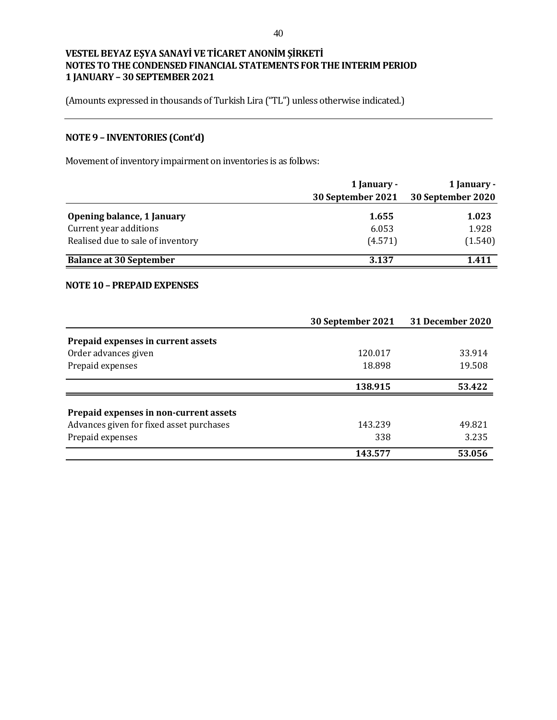(Amounts expressed in thousands of Turkish Lira ("TL") unless otherwise indicated.)

# **NOTE 9 – INVENTORIES (Cont'd)**

Movement of inventory impairment on inventories is as follows:

|                                   | 1 January -       | 1 January -       |
|-----------------------------------|-------------------|-------------------|
|                                   | 30 September 2021 | 30 September 2020 |
| Opening balance, 1 January        | 1.655             | 1.023             |
| Current year additions            | 6.053             | 1.928             |
| Realised due to sale of inventory | (4.571)           | (1.540)           |
| <b>Balance at 30 September</b>    | 3.137             | 1.411             |

#### **NOTE 10 – PREPAID EXPENSES**

|                                          | 30 September 2021 | <b>31 December 2020</b> |
|------------------------------------------|-------------------|-------------------------|
| Prepaid expenses in current assets       |                   |                         |
| Order advances given                     | 120.017           | 33.914                  |
| Prepaid expenses                         | 18.898            | 19.508                  |
|                                          | 138.915           | 53.422                  |
| Prepaid expenses in non-current assets   |                   |                         |
| Advances given for fixed asset purchases | 143.239           | 49.821                  |
| Prepaid expenses                         | 338               | 3.235                   |
|                                          | 143.577           | 53.056                  |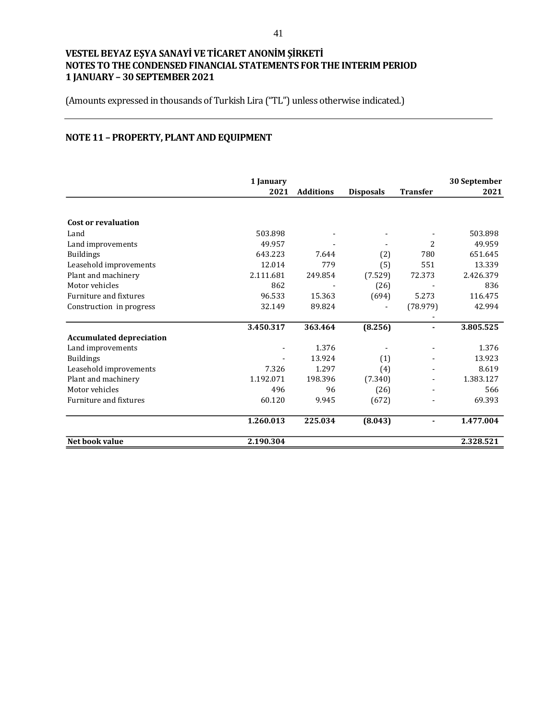(Amounts expressed in thousands of Turkish Lira ("TL") unless otherwise indicated.)

# **NOTE 11 – PROPERTY, PLANT AND EQUIPMENT**

|                                 | 1 January |                  |                  |                 | 30 September |
|---------------------------------|-----------|------------------|------------------|-----------------|--------------|
|                                 | 2021      | <b>Additions</b> | <b>Disposals</b> | <b>Transfer</b> | 2021         |
|                                 |           |                  |                  |                 |              |
| Cost or revaluation             |           |                  |                  |                 |              |
| Land                            | 503.898   |                  |                  |                 | 503.898      |
| Land improvements               | 49.957    |                  |                  | 2               | 49.959       |
| <b>Buildings</b>                | 643.223   | 7.644            | (2)              | 780             | 651.645      |
| Leasehold improvements          | 12.014    | 779              | (5)              | 551             | 13.339       |
| Plant and machinery             | 2.111.681 | 249.854          | (7.529)          | 72.373          | 2.426.379    |
| Motor vehicles                  | 862       |                  | (26)             |                 | 836          |
| Furniture and fixtures          | 96.533    | 15.363           | (694)            | 5.273           | 116.475      |
| Construction in progress        | 32.149    | 89.824           |                  | (78.979)        | 42.994       |
|                                 |           |                  |                  |                 |              |
|                                 | 3.450.317 | 363.464          | (8.256)          |                 | 3.805.525    |
| <b>Accumulated depreciation</b> |           |                  |                  |                 |              |
| Land improvements               |           | 1.376            |                  |                 | 1.376        |
| <b>Buildings</b>                |           | 13.924           | (1)              |                 | 13.923       |
| Leasehold improvements          | 7.326     | 1.297            | (4)              |                 | 8.619        |
| Plant and machinery             | 1.192.071 | 198.396          | (7.340)          |                 | 1.383.127    |
| Motor vehicles                  | 496       | 96               | (26)             |                 | 566          |
| Furniture and fixtures          | 60.120    | 9.945            | (672)            |                 | 69.393       |
|                                 | 1.260.013 | 225.034          | (8.043)          |                 | 1.477.004    |
| Net book value                  | 2.190.304 |                  |                  |                 | 2.328.521    |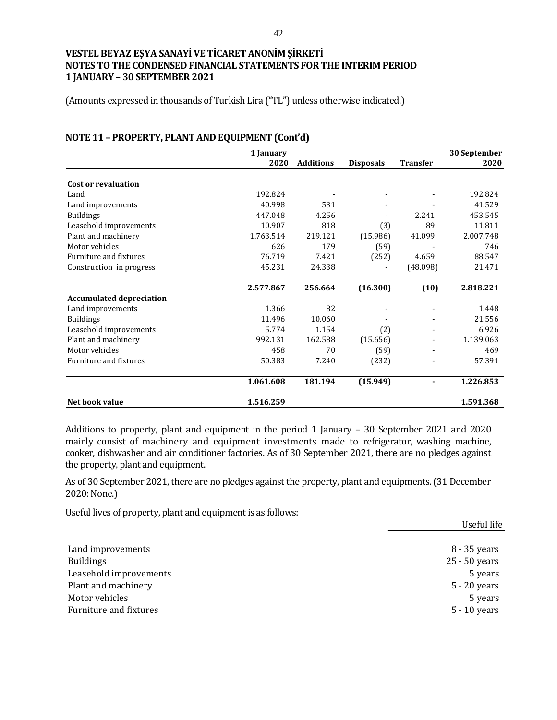(Amounts expressed in thousands of Turkish Lira ("TL") unless otherwise indicated.)

| $1001$ $\mu$ $1001$ $\mu$ $111$ $\mu$ $\mu$ $111$ $\mu$ $\mu$ $\mu$ $\mu$ $\mu$ $\mu$ $\mu$ $\mu$ $\tau$ | 1 January |                  |                  |                 | 30 September |
|----------------------------------------------------------------------------------------------------------|-----------|------------------|------------------|-----------------|--------------|
|                                                                                                          | 2020      | <b>Additions</b> | <b>Disposals</b> | <b>Transfer</b> | 2020         |
|                                                                                                          |           |                  |                  |                 |              |
| Cost or revaluation                                                                                      |           |                  |                  |                 |              |
| Land                                                                                                     | 192.824   |                  |                  |                 | 192.824      |
| Land improvements                                                                                        | 40.998    | 531              |                  |                 | 41.529       |
| <b>Buildings</b>                                                                                         | 447.048   | 4.256            |                  | 2.241           | 453.545      |
| Leasehold improvements                                                                                   | 10.907    | 818              | (3)              | 89              | 11.811       |
| Plant and machinery                                                                                      | 1.763.514 | 219.121          | (15.986)         | 41.099          | 2.007.748    |
| Motor vehicles                                                                                           | 626       | 179              | (59)             |                 | 746          |
| Furniture and fixtures                                                                                   | 76.719    | 7.421            | (252)            | 4.659           | 88.547       |
| Construction in progress                                                                                 | 45.231    | 24.338           |                  | (48.098)        | 21.471       |
|                                                                                                          | 2.577.867 | 256.664          | (16.300)         | (10)            | 2.818.221    |
| <b>Accumulated depreciation</b>                                                                          |           |                  |                  |                 |              |
| Land improvements                                                                                        | 1.366     | 82               |                  |                 | 1.448        |
| <b>Buildings</b>                                                                                         | 11.496    | 10.060           |                  |                 | 21.556       |
| Leasehold improvements                                                                                   | 5.774     | 1.154            | (2)              |                 | 6.926        |
| Plant and machinery                                                                                      | 992.131   | 162.588          | (15.656)         |                 | 1.139.063    |
| Motor vehicles                                                                                           | 458       | 70               | (59)             |                 | 469          |
| Furniture and fixtures                                                                                   | 50.383    | 7.240            | (232)            |                 | 57.391       |
|                                                                                                          | 1.061.608 | 181.194          | (15.949)         |                 | 1.226.853    |
| Net book value                                                                                           | 1.516.259 |                  |                  |                 | 1.591.368    |

# **NOTE 11 – PROPERTY, PLANT AND EQUIPMENT (Cont'd)**

Additions to property, plant and equipment in the period 1 January – 30 September 2021 and 2020 mainly consist of machinery and equipment investments made to refrigerator, washing machine, cooker, dishwasher and air conditioner factories. As of 30 September 2021, there are no pledges against the property, plant and equipment.

As of 30 September 2021, there are no pledges against the property, plant and equipments.(31 December 2020: None.)

Useful lives of property, plant and equipment is as follows:

| Useful life    |
|----------------|
|                |
| 8 - 35 years   |
| 25 - 50 years  |
| 5 years        |
| $5 - 20$ years |
| 5 years        |
| $5 - 10$ years |
|                |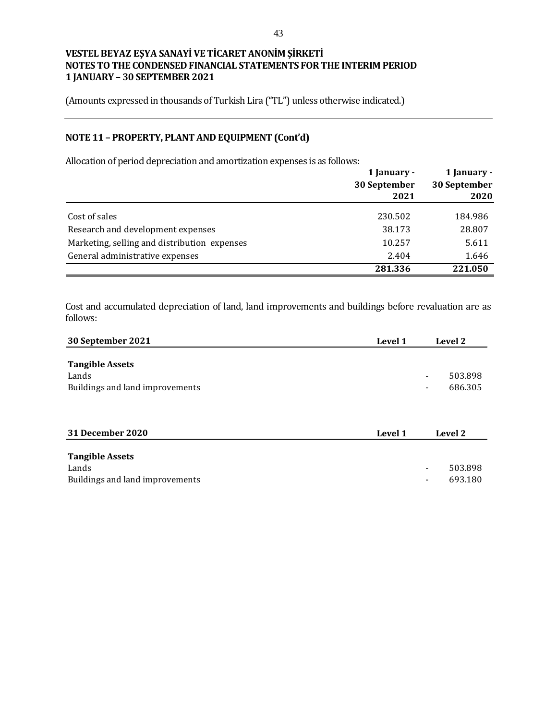(Amounts expressed in thousands of Turkish Lira ("TL") unless otherwise indicated.)

## **NOTE 11 – PROPERTY, PLANT AND EQUIPMENT (Cont'd)**

Allocation of period depreciation and amortization expenses is as follows:

|                                              | 1 January -<br>30 September<br>2021 | 1 January -<br>30 September<br>2020 |
|----------------------------------------------|-------------------------------------|-------------------------------------|
| Cost of sales                                | 230.502                             | 184.986                             |
| Research and development expenses            | 38.173                              | 28.807                              |
| Marketing, selling and distribution expenses | 10.257                              | 5.611                               |
| General administrative expenses              | 2.404                               | 1.646                               |
|                                              | 281.336                             | 221.050                             |

Cost and accumulated depreciation of land, land improvements and buildings before revaluation are as follows:

| 30 September 2021                                                  | Level 1 | Level 2                                                 |
|--------------------------------------------------------------------|---------|---------------------------------------------------------|
| <b>Tangible Assets</b><br>Lands<br>Buildings and land improvements |         | 503.898<br>-<br>686.305<br>$\qquad \qquad \blacksquare$ |
| 31 December 2020                                                   | Level 1 | Level 2                                                 |
| <b>Tangible Assets</b><br>Lands                                    |         | 503.898                                                 |
| Buildings and land improvements                                    |         | -<br>693.180<br>$\overline{\phantom{0}}$                |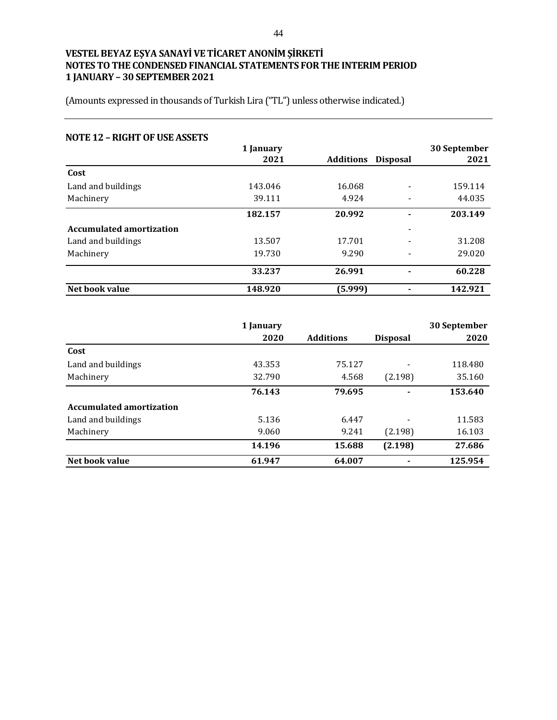| <b>NOTE 12 - RIGHT OF USE ASSETS</b> |           |           |                          |              |
|--------------------------------------|-----------|-----------|--------------------------|--------------|
|                                      | 1 January |           |                          | 30 September |
|                                      | 2021      | Additions | <b>Disposal</b>          | 2021         |
| Cost                                 |           |           |                          |              |
| Land and buildings                   | 143.046   | 16.068    | $\overline{\phantom{a}}$ | 159.114      |
| Machinery                            | 39.111    | 4.924     | $\overline{\phantom{0}}$ | 44.035       |
|                                      | 182.157   | 20.992    | ۰                        | 203.149      |
| <b>Accumulated amortization</b>      |           |           | $\overline{\phantom{a}}$ |              |
| Land and buildings                   | 13.507    | 17.701    | -                        | 31.208       |
| Machinery                            | 19.730    | 9.290     | $\overline{\phantom{a}}$ | 29.020       |
|                                      | 33.237    | 26.991    | $\blacksquare$           | 60.228       |
| Net book value                       | 148.920   | (5.999)   |                          | 142.921      |

|                                 | 1 January |                  |                 | 30 September |
|---------------------------------|-----------|------------------|-----------------|--------------|
|                                 | 2020      | <b>Additions</b> | <b>Disposal</b> | 2020         |
| Cost                            |           |                  |                 |              |
| Land and buildings              | 43.353    | 75.127           | ٠               | 118.480      |
| Machinery                       | 32.790    | 4.568            | (2.198)         | 35.160       |
|                                 | 76.143    | 79.695           | -               | 153.640      |
| <b>Accumulated amortization</b> |           |                  |                 |              |
| Land and buildings              | 5.136     | 6.447            | -               | 11.583       |
| Machinery                       | 9.060     | 9.241            | (2.198)         | 16.103       |
|                                 | 14.196    | 15.688           | (2.198)         | 27.686       |
| Net book value                  | 61.947    | 64.007           |                 | 125.954      |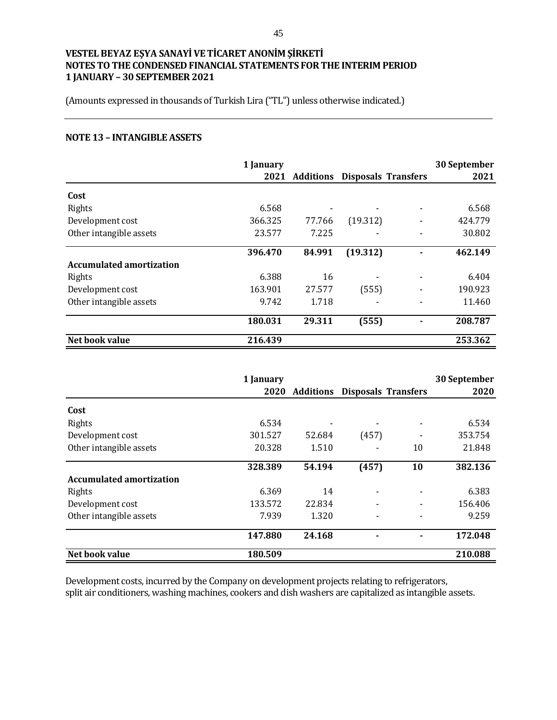(Amounts expressed in thousands of Turkish Lira ("TL") unless otherwise indicated.)

#### **NOTE 13 – INTANGIBLE ASSETS**

|                                 | 1 January |           |                            | 30 September |
|---------------------------------|-----------|-----------|----------------------------|--------------|
|                                 | 2021      | Additions | <b>Disposals Transfers</b> | 2021         |
| Cost                            |           |           |                            |              |
| Rights                          | 6.568     |           |                            | 6.568        |
| Development cost                | 366.325   | 77.766    | (19.312)                   | 424.779      |
| Other intangible assets         | 23.577    | 7.225     |                            | 30.802       |
|                                 | 396.470   | 84.991    | (19.312)                   | 462.149      |
| <b>Accumulated amortization</b> |           |           |                            |              |
| Rights                          | 6.388     | 16        |                            | 6.404        |
| Development cost                | 163.901   | 27.577    | (555)                      | 190.923      |
| Other intangible assets         | 9.742     | 1.718     | -                          | 11.460       |
|                                 | 180.031   | 29.311    | (555)                      | 208.787      |
| Net book value                  | 216.439   |           |                            | 253.362      |

|                                 | 1 January |                                      |       |    | 30 September |
|---------------------------------|-----------|--------------------------------------|-------|----|--------------|
|                                 | 2020      | <b>Additions Disposals Transfers</b> |       |    | 2020         |
| Cost                            |           |                                      |       |    |              |
| Rights                          | 6.534     |                                      |       |    | 6.534        |
| Development cost                | 301.527   | 52.684                               | (457) |    | 353.754      |
| Other intangible assets         | 20.328    | 1.510                                |       | 10 | 21.848       |
|                                 | 328.389   | 54.194                               | (457) | 10 | 382.136      |
| <b>Accumulated amortization</b> |           |                                      |       |    |              |
| Rights                          | 6.369     | 14                                   |       |    | 6.383        |
| Development cost                | 133.572   | 22.834                               |       |    | 156.406      |
| Other intangible assets         | 7.939     | 1.320                                |       |    | 9.259        |
|                                 | 147.880   | 24.168                               |       |    | 172.048      |
| Net book value                  | 180.509   |                                      |       |    | 210.088      |

Development costs, incurred by the Company on development projects relating to refrigerators, split air conditioners, washing machines, cookers and dish washers are capitalized as intangible assets.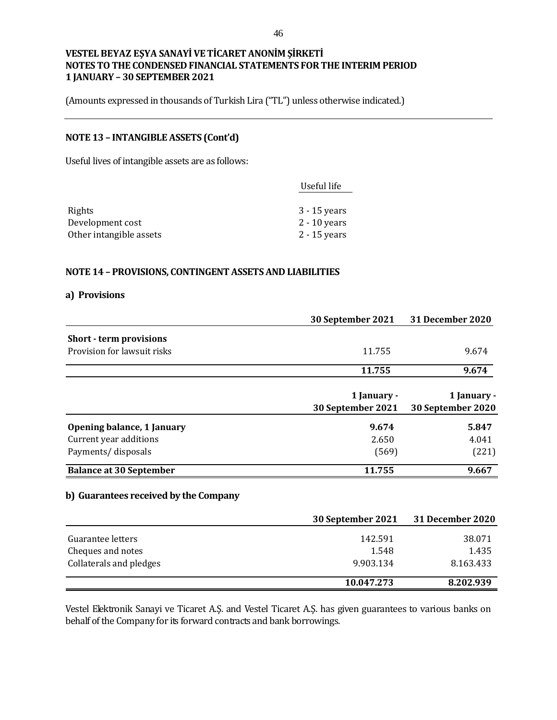(Amounts expressed in thousands of Turkish Lira ("TL") unless otherwise indicated.)

#### **NOTE 13 – INTANGIBLE ASSETS (Cont'd)**

Useful lives of intangible assets are as follows:

| Useful life    |
|----------------|
|                |
| $3 - 15$ years |
| $2 - 10$ years |
| $2 - 15$ years |
|                |

#### **NOTE 14 – PROVISIONS, CONTINGENT ASSETS AND LIABILITIES**

#### **a) Provisions**

|                                | 30 September 2021 | 31 December 2020  |
|--------------------------------|-------------------|-------------------|
| <b>Short - term provisions</b> |                   |                   |
| Provision for lawsuit risks    | 11.755            | 9.674             |
|                                | 11.755            | 9.674             |
|                                | 1 January -       | 1 January -       |
|                                | 30 September 2021 | 30 September 2020 |
| Opening balance, 1 January     | 9.674             | 5.847             |
| Current year additions         | 2.650             | 4.041             |
| Payments/ disposals            | (569)             | (221)             |
| <b>Balance at 30 September</b> | 11.755            | 9.667             |
|                                |                   |                   |

# **b) Guarantees received by the Company**

|                         | 30 September 2021 | 31 December 2020 |
|-------------------------|-------------------|------------------|
| Guarantee letters       | 142.591           | 38.071           |
| Cheques and notes       | 1.548             | 1.435            |
| Collaterals and pledges | 9.903.134         | 8.163.433        |
|                         | 10.047.273        | 8.202.939        |

Vestel Elektronik Sanayi ve Ticaret A.Ş. and Vestel Ticaret A.Ş. has given guarantees to various banks on behalf of the Company for its forward contracts and bank borrowings.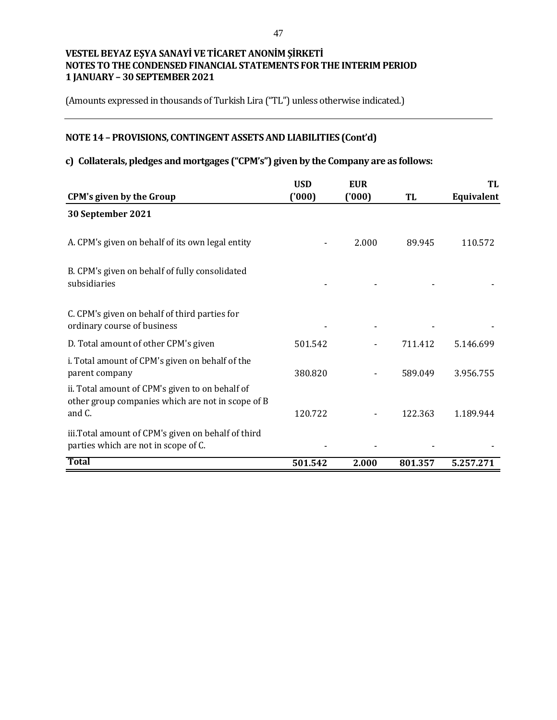(Amounts expressed in thousands of Turkish Lira ("TL") unless otherwise indicated.)

# **NOTE 14 – PROVISIONS, CONTINGENT ASSETS AND LIABILITIES (Cont'd)**

# **c) Collaterals, pledges and mortgages ("CPM's") given by the Company are as follows:**

|                                                                                                                | <b>USD</b> | <b>EUR</b> |         | TL         |
|----------------------------------------------------------------------------------------------------------------|------------|------------|---------|------------|
| <b>CPM's given by the Group</b>                                                                                | (000)      | (000)      | TL      | Equivalent |
| 30 September 2021                                                                                              |            |            |         |            |
| A. CPM's given on behalf of its own legal entity                                                               |            | 2.000      | 89.945  | 110.572    |
| B. CPM's given on behalf of fully consolidated<br>subsidiaries                                                 |            |            |         |            |
| C. CPM's given on behalf of third parties for<br>ordinary course of business                                   |            |            |         |            |
| D. Total amount of other CPM's given                                                                           | 501.542    |            | 711.412 | 5.146.699  |
| i. Total amount of CPM's given on behalf of the<br>parent company                                              | 380.820    |            | 589.049 | 3.956.755  |
| ii. Total amount of CPM's given to on behalf of<br>other group companies which are not in scope of B<br>and C. | 120.722    |            | 122.363 | 1.189.944  |
| iii. Total amount of CPM's given on behalf of third<br>parties which are not in scope of C.                    |            |            |         |            |
| <b>Total</b>                                                                                                   | 501.542    | 2.000      | 801.357 | 5.257.271  |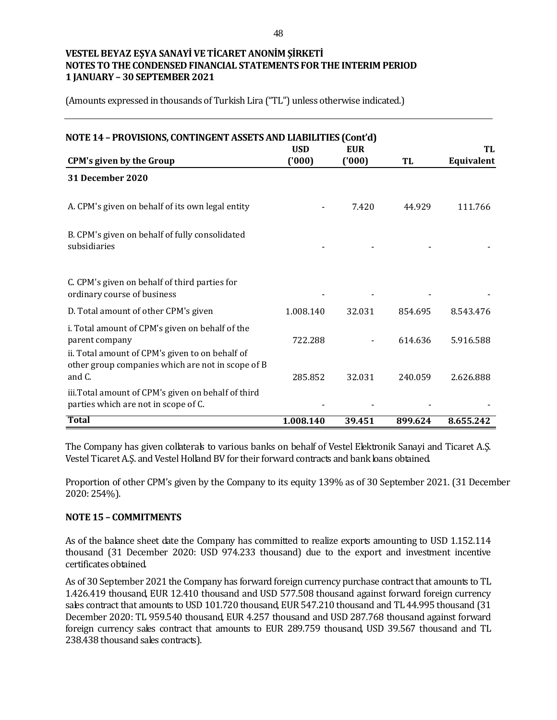(Amounts expressed in thousands of Turkish Lira ("TL") unless otherwise indicated.)

| NOTE 14 - PROVISIONS, CONTINGENT ASSETS AND LIABILITIES (Cont'd)                                                                                                          | <b>USD</b> | <b>EUR</b> |         | TL         |
|---------------------------------------------------------------------------------------------------------------------------------------------------------------------------|------------|------------|---------|------------|
| <b>CPM's given by the Group</b>                                                                                                                                           | (000)      | (000)      | TL      | Equivalent |
| 31 December 2020                                                                                                                                                          |            |            |         |            |
| A. CPM's given on behalf of its own legal entity                                                                                                                          |            | 7.420      | 44.929  | 111.766    |
| B. CPM's given on behalf of fully consolidated<br>subsidiaries                                                                                                            |            |            |         |            |
| C. CPM's given on behalf of third parties for<br>ordinary course of business                                                                                              |            |            |         |            |
| D. Total amount of other CPM's given                                                                                                                                      | 1.008.140  | 32.031     | 854.695 | 8.543.476  |
| i. Total amount of CPM's given on behalf of the<br>parent company<br>ii. Total amount of CPM's given to on behalf of<br>other group companies which are not in scope of B | 722.288    |            | 614.636 | 5.916.588  |
| and C.                                                                                                                                                                    | 285.852    | 32.031     | 240.059 | 2.626.888  |
| iii. Total amount of CPM's given on behalf of third<br>parties which are not in scope of C.                                                                               |            |            |         |            |
| <b>Total</b>                                                                                                                                                              | 1.008.140  | 39.451     | 899.624 | 8.655.242  |

The Company has given collaterals to various banks on behalf of Vestel Elektronik Sanayi and Ticaret A.Ş. Vestel Ticaret A.Ş. and Vestel Holland BV for their forward contracts and bank loans obtained.

Proportion of other CPM's given by the Company to its equity 139% as of 30 September 2021. (31 December 2020: 254%).

#### **NOTE 15 – COMMITMENTS**

As of the balance sheet date the Company has committed to realize exports amounting to USD 1.152.114 thousand (31 December 2020: USD 974.233 thousand) due to the export and investment incentive certificates obtained.

As of 30 September 2021 the Company has forward foreign currency purchase contract that amounts to TL 1.426.419 thousand, EUR 12.410 thousand and USD 577.508 thousand against forward foreign currency sales contract that amounts to USD 101.720 thousand, EUR 547.210 thousand and TL 44.995 thousand (31 December 2020: TL 959.540 thousand, EUR 4.257 thousand and USD 287.768 thousand against forward foreign currency sales contract that amounts to EUR 289.759 thousand, USD 39.567 thousand and TL 238.438 thousand sales contracts).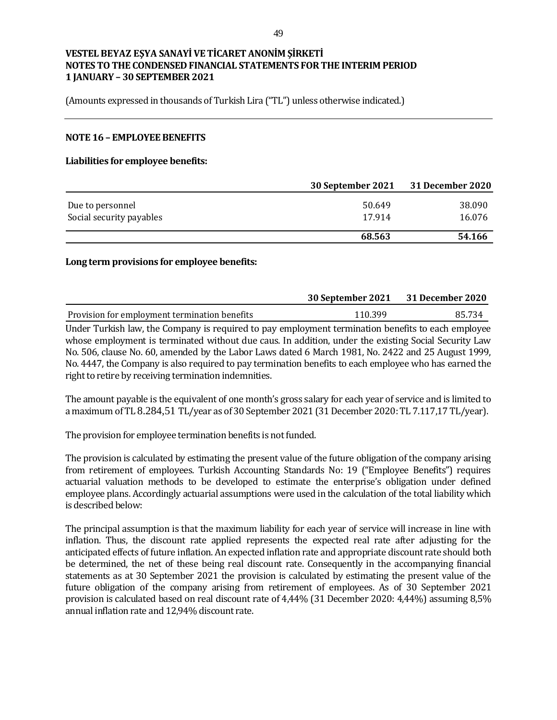(Amounts expressed in thousands of Turkish Lira ("TL") unless otherwise indicated.)

#### **NOTE 16 – EMPLOYEE BENEFITS**

#### **Liabilities for employee benefits:**

|                          | 30 September 2021 | <b>31 December 2020</b> |
|--------------------------|-------------------|-------------------------|
| Due to personnel         | 50.649            | 38.090                  |
| Social security payables | 17.914            | 16.076                  |
|                          | 68.563            | 54.166                  |

#### **Long term provisions for employee benefits:**

|                                                                                                   | 30 September 2021 31 December 2020 |        |
|---------------------------------------------------------------------------------------------------|------------------------------------|--------|
| Provision for employment termination benefits                                                     | 110.399                            | 85.734 |
| Under Turkich law the Company is required to pay employment termination benefits to each employee |                                    |        |

Under Turkish law, the Company is required to pay employment termination benefits to each employee whose employment is terminated without due caus. In addition, under the existing Social Security Law No. 506, clause No. 60, amended by the Labor Laws dated 6 March 1981, No. 2422 and 25 August 1999, No. 4447, the Company is also required to pay termination benefits to each employee who has earned the right to retire by receiving termination indemnities.

The amount payable is the equivalent of one month's gross salary for each year of service and is limited to a maximum of TL 8.284,51 TL/year as of 30 September 2021 (31 December 2020: TL 7.117,17 TL/year).

The provision for employee termination benefits is not funded.

The provision is calculated by estimating the present value of the future obligation of the company arising from retirement of employees. Turkish Accounting Standards No: 19 ("Employee Benefits") requires actuarial valuation methods to be developed to estimate the enterprise's obligation under defined employee plans. Accordingly actuarial assumptions were used in the calculation of the total liability which is described below:

The principal assumption is that the maximum liability for each year of service will increase in line with inflation. Thus, the discount rate applied represents the expected real rate after adjusting for the anticipated effects of future inflation. An expected inflation rate and appropriate discount rate should both be determined, the net of these being real discount rate. Consequently in the accompanying financial statements as at 30 September 2021 the provision is calculated by estimating the present value of the future obligation of the company arising from retirement of employees. As of 30 September 2021 provision is calculated based on real discount rate of 4,44% (31 December 2020: 4,44%) assuming 8,5% annual inflation rate and 12,94% discount rate.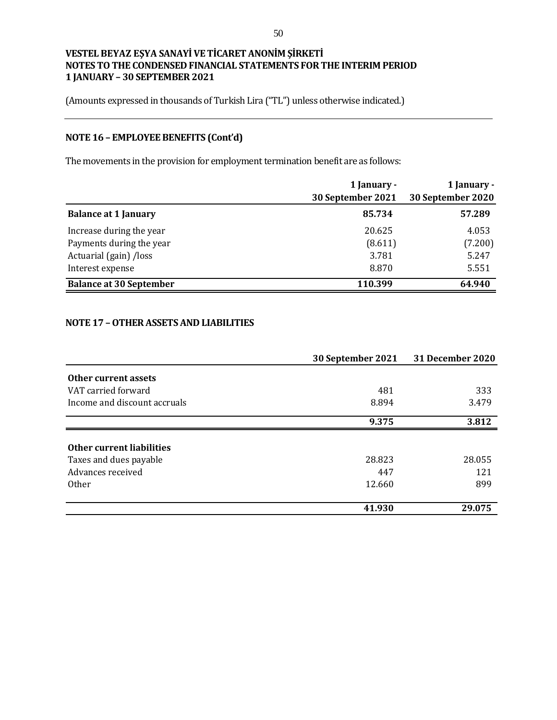(Amounts expressed in thousands of Turkish Lira ("TL") unless otherwise indicated.)

# **NOTE 16 – EMPLOYEE BENEFITS (Cont'd)**

The movements in the provision for employment termination benefit are as follows:

|                                | 1 January -<br>30 September 2021 | 1 January -<br>30 September 2020 |
|--------------------------------|----------------------------------|----------------------------------|
| <b>Balance at 1 January</b>    | 85.734                           | 57.289                           |
| Increase during the year       | 20.625                           | 4.053                            |
| Payments during the year       | (8.611)                          | (7.200)                          |
| Actuarial (gain) /loss         | 3.781                            | 5.247                            |
| Interest expense               | 8.870                            | 5.551                            |
| <b>Balance at 30 September</b> | 110.399                          | 64.940                           |

#### **NOTE 17 –OTHER ASSETS AND LIABILITIES**

|                              | 30 September 2021 | 31 December 2020 |
|------------------------------|-------------------|------------------|
| Other current assets         |                   |                  |
| VAT carried forward          | 481               | 333              |
| Income and discount accruals | 8.894             | 3.479            |
|                              | 9.375             | 3.812            |
|                              |                   |                  |
| Other current liabilities    |                   |                  |
| Taxes and dues payable       | 28.823            | 28.055           |
| Advances received            | 447               | 121              |
| <b>Other</b>                 | 12.660            | 899              |
|                              |                   |                  |
|                              | 41.930            | 29.075           |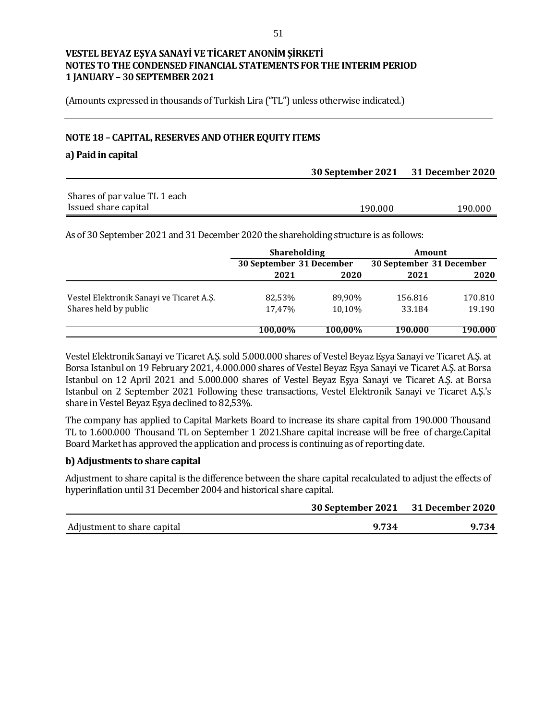(Amounts expressed in thousands of Turkish Lira ("TL") unless otherwise indicated.)

#### **NOTE 18 – CAPITAL, RESERVES AND OTHER EQUITY ITEMS**

#### **a) Paid in capital**

|                               | 30 September 2021 31 December 2020 |         |  |
|-------------------------------|------------------------------------|---------|--|
|                               |                                    |         |  |
| Shares of par value TL 1 each |                                    |         |  |
| Issued share capital          | 190.000                            | 190.000 |  |

As of 30 September 2021 and 31 December 2020 the shareholding structure is as follows:

|                                          | <b>Shareholding</b> |                          | Amount  |                          |
|------------------------------------------|---------------------|--------------------------|---------|--------------------------|
|                                          |                     | 30 September 31 December |         | 30 September 31 December |
|                                          | 2021                | 2020                     | 2021    | 2020                     |
| Vestel Elektronik Sanayi ve Ticaret A.Ş. | 82.53%              | 89,90%                   | 156.816 | 170.810                  |
| Shares held by public                    | 17.47%              | 10.10%                   | 33.184  | 19.190                   |
|                                          | 100,00%             | 100,00%                  | 190.000 | 190.000                  |

Vestel Elektronik Sanayi ve Ticaret A.Ş. sold 5.000.000 shares of Vestel Beyaz Eşya Sanayi ve Ticaret A.Ş. at Borsa Istanbul on 19 February 2021, 4.000.000 shares of Vestel Beyaz Eşya Sanayi ve Ticaret A.Ş. at Borsa Istanbul on 12 April 2021 and 5.000.000 shares of Vestel Beyaz Eşya Sanayi ve Ticaret A.Ş. at Borsa Istanbul on 2 September 2021 Following these transactions, Vestel Elektronik Sanayi ve Ticaret A.Ş.'s share in Vestel Beyaz Eşya declined to 82,53%.

The company has applied to Capital Markets Board to increase its share capital from 190.000 Thousand TL to 1.600.000 Thousand TL on September 1 2021.Share capital increase will be free of charge.Capital Board Market has approved the application and process is continuing as of reporting date.

#### **b) Adjustments to share capital**

Adjustment to share capital is the difference between the share capital recalculated to adjust the effects of hyperinflation until 31 December 2004 and historical share capital.

|                             | 30 September 2021 31 December 2020 |       |
|-----------------------------|------------------------------------|-------|
| Adjustment to share capital | 9.734                              | 9.734 |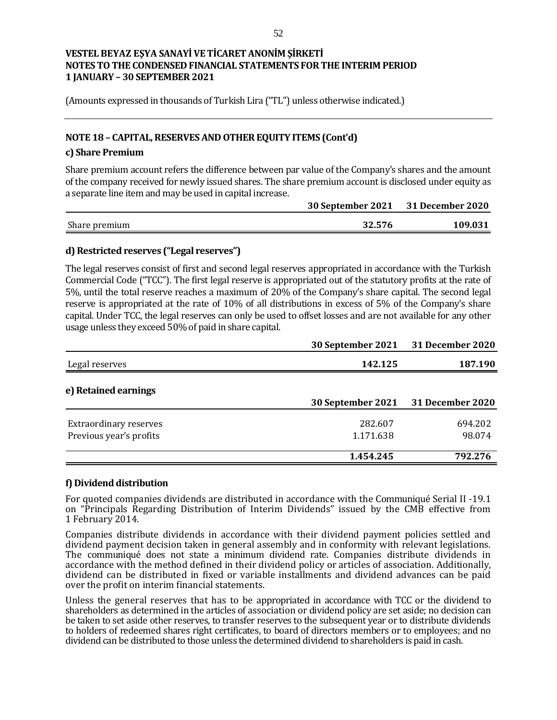(Amounts expressed in thousands of Turkish Lira ("TL") unless otherwise indicated.)

# **NOTE 18 – CAPITAL, RESERVES AND OTHER EQUITY ITEMS (Cont'd)**

#### **c) Share Premium**

Share premium account refers the difference between par value of the Company's shares and the amount of the company received for newly issued shares. The share premium account is disclosed under equity as a separate line item and may be used in capital increase.

|               | 30 September 2021 31 December 2020 |         |  |
|---------------|------------------------------------|---------|--|
| Share premium | 32.576                             | 109.031 |  |
|               |                                    |         |  |

## **d) Restricted reserves ("Legal reserves")**

The legal reserves consist of first and second legal reserves appropriated in accordance with the Turkish Commercial Code ("TCC"). The first legal reserve is appropriated out of the statutory profits at the rate of 5%, until the total reserve reaches a maximum of 20% of the Company's share capital. The second legal reserve is appropriated at the rate of 10% of all distributions in excess of 5% of the Company's share capital. Under TCC, the legal reserves can only be used to offset losses and are not available for any other usage unless they exceed 50% of paid in share capital.

|                               | 30 September 2021 | <b>31 December 2020</b> |
|-------------------------------|-------------------|-------------------------|
| Legal reserves                | 142.125           | 187.190                 |
| e) Retained earnings          | 30 September 2021 | 31 December 2020        |
|                               |                   |                         |
| <b>Extraordinary reserves</b> | 282.607           | 694.202                 |
| Previous year's profits       | 1.171.638         | 98.074                  |
|                               |                   |                         |
|                               | 1.454.245         | 792.276                 |

## **f) Dividend distribution**

For quoted companies dividends are distributed in accordance with the Communiqué Serial II -19.1 on "Principals Regarding Distribution of Interim Dividends" issued by the CMB effective from 1 February 2014.

Companies distribute dividends in accordance with their dividend payment policies settled and dividend payment decision taken in general assembly and in conformity with relevant legislations. The communiqué does not state a minimum dividend rate. Companies distribute dividends in accordance with the method defined in their dividend policy or articles of association. Additionally, dividend can be distributed in fixed or variable installments and dividend advances can be paid over the profit on interim financial statements.

Unless the general reserves that has to be appropriated in accordance with TCC or the dividend to shareholders as determined in the articles of association or dividend policy are set aside; no decision can be taken to set aside other reserves, to transfer reserves to the subsequent year or to distribute dividends to holders of redeemed shares right certificates, to board of directors members or to employees; and no dividend can be distributed to those unless the determined dividend to shareholders is paid in cash.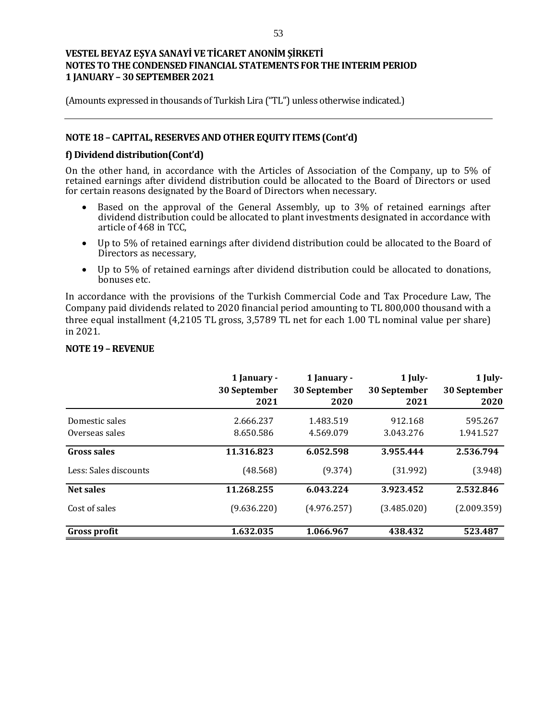(Amounts expressed in thousands of Turkish Lira ("TL") unless otherwise indicated.)

## **NOTE 18 – CAPITAL, RESERVES AND OTHER EQUITY ITEMS (Cont'd)**

#### **f) Dividend distribution(Cont'd)**

On the other hand, in accordance with the Articles of Association of the Company, up to 5% of retained earnings after dividend distribution could be allocated to the Board of Directors or used for certain reasons designated by the Board of Directors when necessary.

- Based on the approval of the General Assembly, up to 3% of retained earnings after dividend distribution could be allocated to plant investments designated in accordance with article of 468 in TCC,
- Up to 5% of retained earnings after dividend distribution could be allocated to the Board of Directors as necessary,
- Up to 5% of retained earnings after dividend distribution could be allocated to donations, bonuses etc.

In accordance with the provisions of the Turkish Commercial Code and Tax Procedure Law, The Company paid dividends related to 2020 financial period amounting to TL 800,000 thousand with a three equal installment (4,2105 TL gross, 3,5789 TL net for each 1.00 TL nominal value per share) in 2021.

|                       | 1 January -<br>30 September<br>2021 | 1 January -<br>30 September<br>2020 | 1 July-<br>30 September<br>2021 | $1$ July-<br>30 September<br>2020 |
|-----------------------|-------------------------------------|-------------------------------------|---------------------------------|-----------------------------------|
| Domestic sales        | 2.666.237                           | 1.483.519                           | 912.168                         | 595.267                           |
| Overseas sales        | 8.650.586                           | 4.569.079                           | 3.043.276                       | 1.941.527                         |
| <b>Gross sales</b>    | 11.316.823                          | 6.052.598                           | 3.955.444                       | 2.536.794                         |
| Less: Sales discounts | (48.568)                            | (9.374)                             | (31.992)                        | (3.948)                           |
| Net sales             | 11.268.255                          | 6.043.224                           | 3.923.452                       | 2.532.846                         |
| Cost of sales         | (9.636.220)                         | (4.976.257)                         | (3.485.020)                     | (2.009.359)                       |
| Gross profit          | 1.632.035                           | 1.066.967                           | 438.432                         | 523.487                           |

#### **NOTE 19 –REVENUE**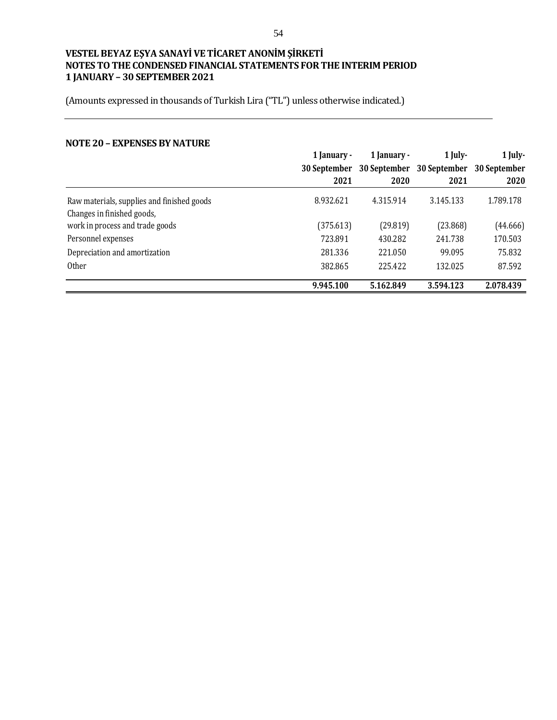(Amounts expressed in thousands of Turkish Lira ("TL") unless otherwise indicated.)

#### **NOTE 20 – EXPENSES BY NATURE**

|                                            | 1 January -         | 1 January -  |                           | 1 July-<br>$1$ July- |  |
|--------------------------------------------|---------------------|--------------|---------------------------|----------------------|--|
|                                            | <b>30 September</b> | 30 September | 30 September 30 September |                      |  |
|                                            | 2021                | 2020         | 2021                      | 2020                 |  |
| Raw materials, supplies and finished goods | 8.932.621           | 4.315.914    | 3.145.133                 | 1.789.178            |  |
| Changes in finished goods,                 |                     |              |                           |                      |  |
| work in process and trade goods            | (375.613)           | (29.819)     | (23.868)                  | (44.666)             |  |
| Personnel expenses                         | 723.891             | 430.282      | 241.738                   | 170.503              |  |
| Depreciation and amortization              | 281.336             | 221.050      | 99.095                    | 75.832               |  |
| <b>Other</b>                               | 382.865             | 225.422      | 132.025                   | 87.592               |  |
|                                            | 9.945.100           | 5.162.849    | 3.594.123                 | 2.078.439            |  |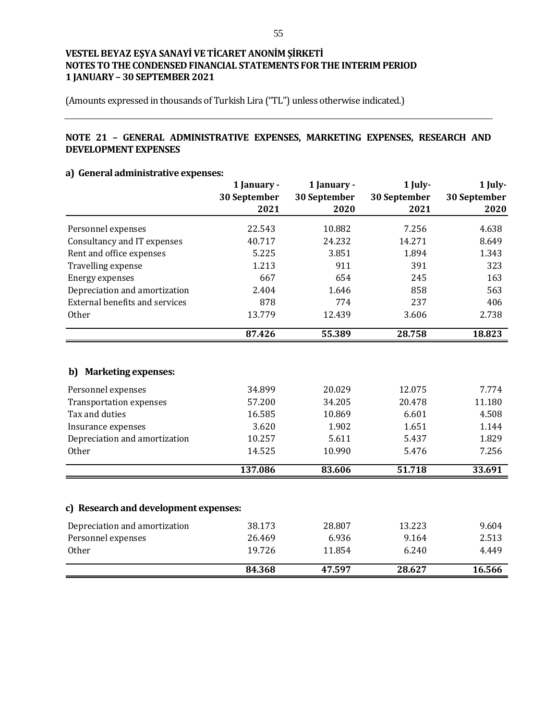(Amounts expressed in thousands of Turkish Lira ("TL") unless otherwise indicated.)

## **NOTE 21 – GENERAL ADMINISTRATIVE EXPENSES, MARKETING EXPENSES, RESEARCH AND DEVELOPMENT EXPENSES**

#### **a) General administrative expenses:**

|                                                                                                                                                                            | 1 January -<br>30 September<br>2021                     | 1 January -<br>30 September<br>2020                    | 1 July-<br>30 September<br>2021                      | 1 July-<br>30 September<br>2020                     |
|----------------------------------------------------------------------------------------------------------------------------------------------------------------------------|---------------------------------------------------------|--------------------------------------------------------|------------------------------------------------------|-----------------------------------------------------|
| Personnel expenses                                                                                                                                                         | 22.543                                                  | 10.882                                                 | 7.256                                                | 4.638                                               |
| Consultancy and IT expenses                                                                                                                                                | 40.717                                                  | 24.232                                                 | 14.271                                               | 8.649                                               |
| Rent and office expenses                                                                                                                                                   | 5.225                                                   | 3.851                                                  | 1.894                                                | 1.343                                               |
| Travelling expense                                                                                                                                                         | 1.213                                                   | 911                                                    | 391                                                  | 323                                                 |
| Energy expenses                                                                                                                                                            | 667                                                     | 654                                                    | 245                                                  | 163                                                 |
| Depreciation and amortization                                                                                                                                              | 2.404                                                   | 1.646                                                  | 858                                                  | 563                                                 |
| <b>External benefits and services</b>                                                                                                                                      | 878                                                     | 774                                                    | 237                                                  | 406                                                 |
| Other                                                                                                                                                                      | 13.779                                                  | 12.439                                                 | 3.606                                                | 2.738                                               |
|                                                                                                                                                                            | 87.426                                                  | 55.389                                                 | 28.758                                               | 18.823                                              |
| <b>Marketing expenses:</b><br>b)<br>Personnel expenses<br><b>Transportation expenses</b><br>Tax and duties<br>Insurance expenses<br>Depreciation and amortization<br>Other | 34.899<br>57.200<br>16.585<br>3.620<br>10.257<br>14.525 | 20.029<br>34.205<br>10.869<br>1.902<br>5.611<br>10.990 | 12.075<br>20.478<br>6.601<br>1.651<br>5.437<br>5.476 | 7.774<br>11.180<br>4.508<br>1.144<br>1.829<br>7.256 |
|                                                                                                                                                                            | 137.086                                                 | 83.606                                                 | 51.718                                               | 33.691                                              |
| c) Research and development expenses:                                                                                                                                      |                                                         |                                                        |                                                      |                                                     |
| Depreciation and amortization                                                                                                                                              | 38.173                                                  | 28.807                                                 | 13.223                                               | 9.604                                               |
| Personnel expenses                                                                                                                                                         | 26.469                                                  | 6.936                                                  | 9.164                                                | 2.513                                               |
| Other                                                                                                                                                                      | 19.726                                                  | 11.854                                                 | 6.240                                                | 4.449                                               |
|                                                                                                                                                                            | 84.368                                                  | 47.597                                                 | 28.627                                               | 16.566                                              |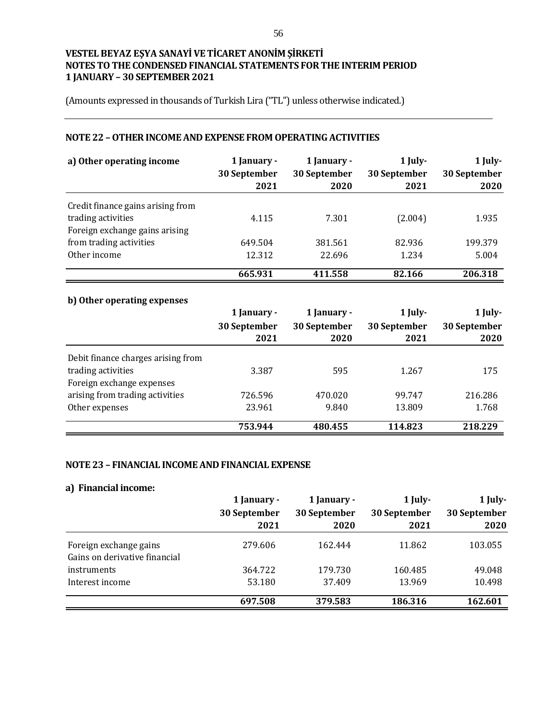(Amounts expressed in thousands of Turkish Lira ("TL") unless otherwise indicated.)

## **NOTE 22 –OTHER INCOME AND EXPENSE FROM OPERATING ACTIVITIES**

| a) Other operating income         | 1 January -<br>30 September<br>2021 | 1 January -<br>30 September<br>2020 | 1 July-<br>30 September<br>2021 | 1 July-<br>30 September<br>2020 |
|-----------------------------------|-------------------------------------|-------------------------------------|---------------------------------|---------------------------------|
| Credit finance gains arising from |                                     |                                     |                                 |                                 |
| trading activities                | 4.115                               | 7.301                               | (2.004)                         | 1.935                           |
| Foreign exchange gains arising    |                                     |                                     |                                 |                                 |
| from trading activities           | 649.504                             | 381.561                             | 82.936                          | 199.379                         |
| Other income                      | 12.312                              | 22.696                              | 1.234                           | 5.004                           |
|                                   | 665.931                             | 411.558                             | 82.166                          | 206.318                         |

# **b) Other operating expenses**

|                                    | 1 January -  | 1 January -  | $1$ July-    | 1 July-      |
|------------------------------------|--------------|--------------|--------------|--------------|
|                                    | 30 September | 30 September | 30 September | 30 September |
|                                    | 2021         | 2020         | 2021         | 2020         |
| Debit finance charges arising from |              |              |              |              |
| trading activities                 | 3.387        | 595          | 1.267        | 175          |
| Foreign exchange expenses          |              |              |              |              |
| arising from trading activities    | 726.596      | 470.020      | 99.747       | 216.286      |
| Other expenses                     | 23.961       | 9.840        | 13.809       | 1.768        |
|                                    | 753.944      | 480.455      | 114.823      | 218.229      |

#### **NOTE 23 – FINANCIAL INCOME AND FINANCIAL EXPENSE**

# **a) Financial income:**

|                               | 1 January -  | 1 January -  | $1$ July-    | 1 July-      |
|-------------------------------|--------------|--------------|--------------|--------------|
|                               | 30 September | 30 September | 30 September | 30 September |
|                               | 2021         | 2020         | 2021         | 2020         |
| Foreign exchange gains        | 279.606      | 162.444      | 11.862       | 103.055      |
| Gains on derivative financial |              |              |              |              |
| instruments                   | 364.722      | 179.730      | 160.485      | 49.048       |
| Interest income               | 53.180       | 37.409       | 13.969       | 10.498       |
|                               | 697.508      | 379.583      | 186.316      | 162.601      |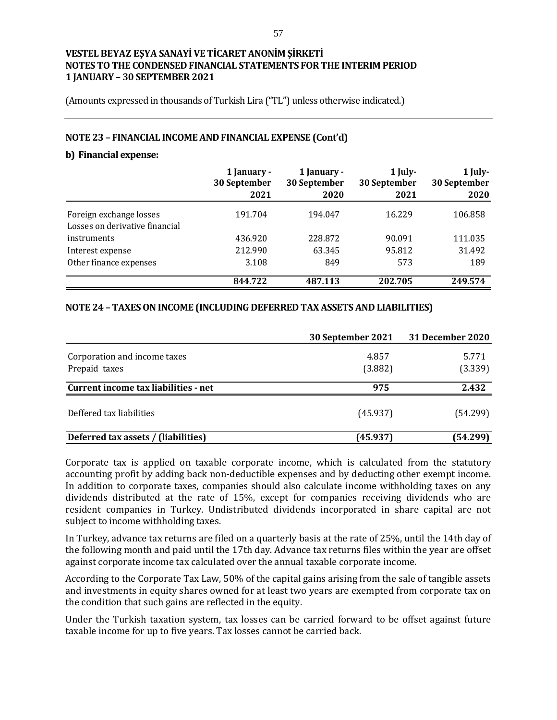(Amounts expressed in thousands of Turkish Lira ("TL") unless otherwise indicated.)

## **NOTE 23 – FINANCIAL INCOME AND FINANCIAL EXPENSE (Cont'd)**

#### **b) Financial expense:**

|                                | 1 January -<br>30 September<br>2021 | 1 January -<br>30 September<br>2020 | $1$ July-<br>30 September<br>2021 | 1 July-<br>30 September<br>2020 |
|--------------------------------|-------------------------------------|-------------------------------------|-----------------------------------|---------------------------------|
| Foreign exchange losses        | 191.704                             | 194.047                             | 16.229                            | 106.858                         |
| Losses on derivative financial |                                     |                                     |                                   |                                 |
| instruments                    | 436.920                             | 228.872                             | 90.091                            | 111.035                         |
| Interest expense               | 212.990                             | 63.345                              | 95.812                            | 31.492                          |
| Other finance expenses         | 3.108                               | 849                                 | 573                               | 189                             |
|                                | 844.722                             | 487.113                             | 202.705                           | 249.574                         |

## **NOTE 24 – TAXES ON INCOME (INCLUDING DEFERRED TAX ASSETS AND LIABILITIES)**

|                                      | 30 September 2021 | 31 December 2020 |
|--------------------------------------|-------------------|------------------|
| Corporation and income taxes         | 4.857             | 5.771            |
| Prepaid taxes                        | (3.882)           | (3.339)          |
| Current income tax liabilities - net | 975               | 2.432            |
| Deffered tax liabilities             | (45.937)          | (54.299)         |
| Deferred tax assets / (liabilities)  | (45.937)          | (54.299)         |

Corporate tax is applied on taxable corporate income, which is calculated from the statutory accounting profit by adding back non-deductible expenses and by deducting other exempt income. In addition to corporate taxes, companies should also calculate income withholding taxes on any dividends distributed at the rate of 15%, except for companies receiving dividends who are resident companies in Turkey. Undistributed dividends incorporated in share capital are not subject to income withholding taxes.

In Turkey, advance tax returns are filed on a quarterly basis at the rate of 25%, until the 14th day of the following month and paid until the 17th day. Advance tax returns files within the year are offset against corporate income tax calculated over the annual taxable corporate income.

According to the Corporate Tax Law, 50% of the capital gains arising from the sale of tangible assets and investments in equity shares owned for at least two years are exempted from corporate tax on the condition that such gains are reflected in the equity.

Under the Turkish taxation system, tax losses can be carried forward to be offset against future taxable income for up to five years. Tax losses cannot be carried back.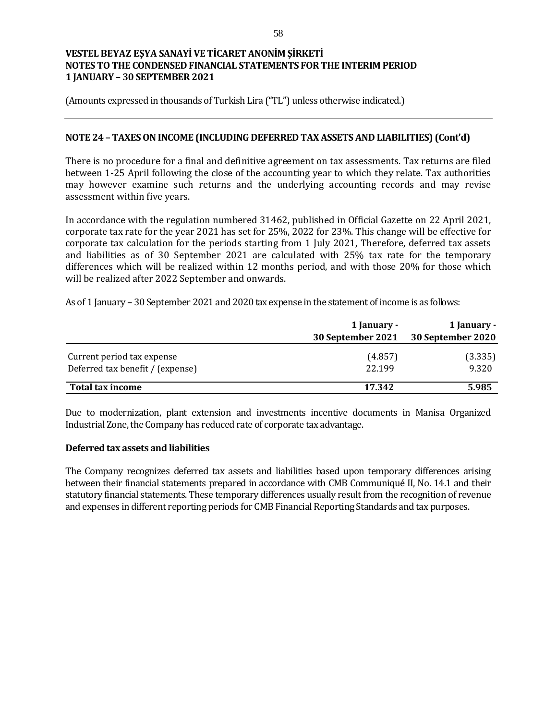(Amounts expressed in thousands of Turkish Lira ("TL") unless otherwise indicated.)

## **NOTE 24 – TAXES ON INCOME (INCLUDING DEFERRED TAX ASSETS AND LIABILITIES) (Cont'd)**

There is no procedure for a final and definitive agreement on tax assessments. Tax returns are filed between 1-25 April following the close of the accounting year to which they relate. Tax authorities may however examine such returns and the underlying accounting records and may revise assessment within five years.

In accordance with the regulation numbered 31462, published in Official Gazette on 22 April 2021, corporate tax rate for the year 2021 has set for 25%, 2022 for 23%. This change will be effective for corporate tax calculation for the periods starting from 1 July 2021, Therefore, deferred tax assets and liabilities as of 30 September 2021 are calculated with 25% tax rate for the temporary differences which will be realized within 12 months period, and with those 20% for those which will be realized after 2022 September and onwards.

As of 1 January – 30 September 2021 and 2020 tax expense in the statement of income is as follows:

|                                  | 1 January -       | 1 January -       |
|----------------------------------|-------------------|-------------------|
|                                  | 30 September 2021 | 30 September 2020 |
| Current period tax expense       | (4.857)           | (3.335)           |
| Deferred tax benefit / (expense) | 22.199            | 9.320             |
| Total tax income                 | 17.342            | 5.985             |

Due to modernization, plant extension and investments incentive documents in Manisa Organized Industrial Zone, the Company has reduced rate of corporate tax advantage.

#### **Deferred tax assets and liabilities**

The Company recognizes deferred tax assets and liabilities based upon temporary differences arising between their financial statements prepared in accordance with CMB Communiqué II, No. 14.1 and their statutory financial statements. These temporary differences usually result from the recognition of revenue and expenses in different reporting periods for CMB Financial Reporting Standards and tax purposes.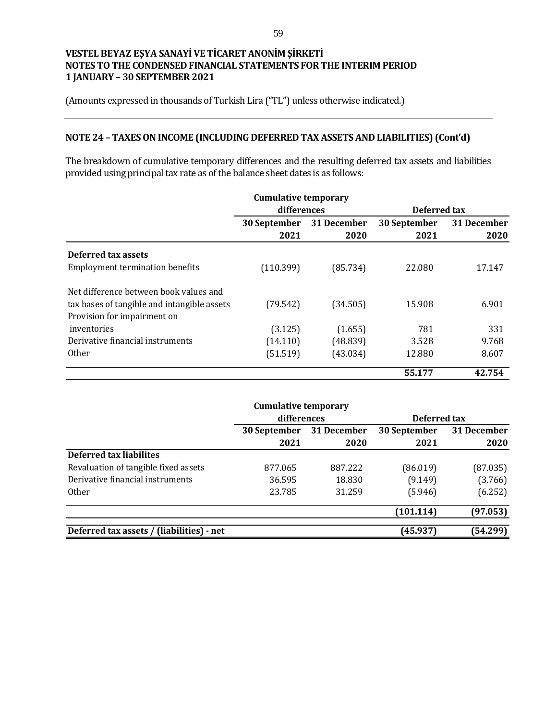(Amounts expressed in thousands of Turkish Lira ("TL") unless otherwise indicated.)

# **NOTE 24 – TAXES ON INCOME (INCLUDING DEFERRED TAX ASSETS AND LIABILITIES) (Cont'd)**

The breakdown of cumulative temporary differences and the resulting deferred tax assets and liabilities provided using principal tax rate as of the balance sheet dates is as follows:

|                                                                            | <b>Cumulative temporary</b><br>differences |                     | Deferred tax         |                     |
|----------------------------------------------------------------------------|--------------------------------------------|---------------------|----------------------|---------------------|
|                                                                            | 30 September<br>2021                       | 31 December<br>2020 | 30 September<br>2021 | 31 December<br>2020 |
| Deferred tax assets                                                        |                                            |                     |                      |                     |
| <b>Employment termination benefits</b>                                     | (110.399)                                  | (85.734)            | 22.080               | 17.147              |
| Net difference between book values and                                     |                                            |                     |                      |                     |
| tax bases of tangible and intangible assets<br>Provision for impairment on | (79.542)                                   | (34.505)            | 15.908               | 6.901               |
| inventories                                                                | (3.125)                                    | (1.655)             | 781                  | 331                 |
| Derivative financial instruments                                           | (14.110)                                   | (48.839)            | 3.528                | 9.768               |
| <b>Other</b>                                                               | (51.519)                                   | (43.034)            | 12.880               | 8.607               |
|                                                                            |                                            |                     | 55.177               | 42.754              |

|                                           | <b>Cumulative temporary</b> |             |              |             |
|-------------------------------------------|-----------------------------|-------------|--------------|-------------|
|                                           | differences                 |             | Deferred tax |             |
|                                           | 30 September                | 31 December | 30 September | 31 December |
|                                           | 2021                        | 2020        | 2021         | 2020        |
| <b>Deferred tax liabilites</b>            |                             |             |              |             |
| Revaluation of tangible fixed assets      | 877.065                     | 887.222     | (86.019)     | (87.035)    |
| Derivative financial instruments          | 36.595                      | 18.830      | (9.149)      | (3.766)     |
| <b>Other</b>                              | 23.785                      | 31.259      | (5.946)      | (6.252)     |
|                                           |                             |             | (101.114)    | (97.053)    |
| Deferred tax assets / (liabilities) - net |                             |             | (45.937)     | (54.299)    |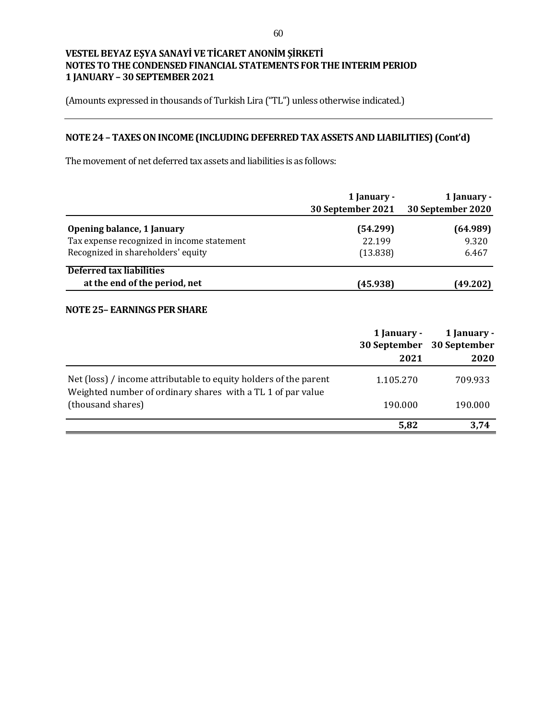(Amounts expressed in thousands of Turkish Lira ("TL") unless otherwise indicated.)

# **NOTE 24 – TAXES ON INCOME (INCLUDING DEFERRED TAX ASSETS AND LIABILITIES) (Cont'd)**

The movement of net deferred tax assets and liabilities is as follows:

|                                            | 1 January -       | 1 January -       |
|--------------------------------------------|-------------------|-------------------|
|                                            | 30 September 2021 | 30 September 2020 |
| <b>Opening balance, 1 January</b>          | (54.299)          | (64.989)          |
| Tax expense recognized in income statement | 22.199            | 9.320             |
| Recognized in shareholders' equity         | (13.838)          | 6.467             |
| Deferred tax liabilities                   |                   |                   |
| at the end of the period, net              | (45.938)          | (49.202)          |

#### **NOTE 25– EARNINGS PER SHARE**

|                                                                                                                                 | 1 January -<br>2021 | 1 January -<br>30 September 30 September<br>2020 |
|---------------------------------------------------------------------------------------------------------------------------------|---------------------|--------------------------------------------------|
| Net (loss) / income attributable to equity holders of the parent<br>Weighted number of ordinary shares with a TL 1 of par value | 1.105.270           | 709.933                                          |
| (thousand shares)                                                                                                               | 190.000             | 190.000                                          |
|                                                                                                                                 | 5,82                | 3.74                                             |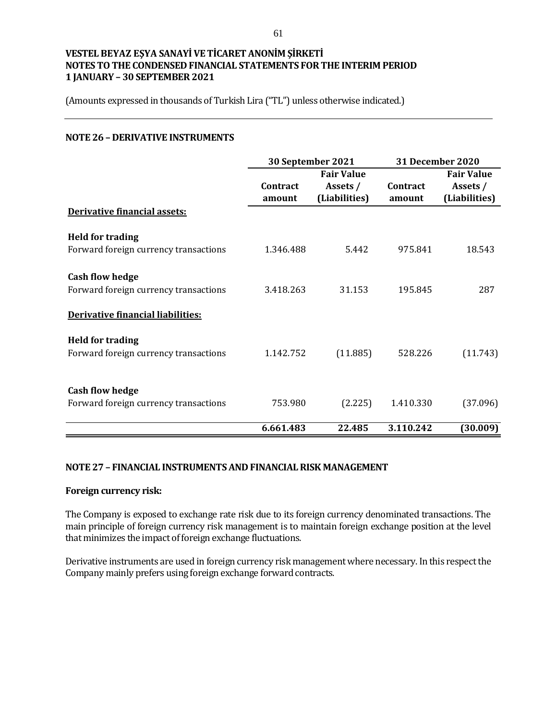(Amounts expressed in thousands of Turkish Lira ("TL") unless otherwise indicated.)

## **NOTE 26 – DERIVATIVE INSTRUMENTS**

|                                                                  | 30 September 2021  |                                                | <b>31 December 2020</b> |                                                |
|------------------------------------------------------------------|--------------------|------------------------------------------------|-------------------------|------------------------------------------------|
|                                                                  | Contract<br>amount | <b>Fair Value</b><br>Assets /<br>(Liabilities) | Contract<br>amount      | <b>Fair Value</b><br>Assets /<br>(Liabilities) |
| Derivative financial assets:                                     |                    |                                                |                         |                                                |
| <b>Held for trading</b><br>Forward foreign currency transactions | 1.346.488          | 5.442                                          | 975.841                 | 18.543                                         |
| <b>Cash flow hedge</b><br>Forward foreign currency transactions  | 3.418.263          | 31.153                                         | 195.845                 | 287                                            |
| Derivative financial liabilities:                                |                    |                                                |                         |                                                |
| <b>Held for trading</b><br>Forward foreign currency transactions | 1.142.752          | (11.885)                                       | 528.226                 | (11.743)                                       |
| <b>Cash flow hedge</b><br>Forward foreign currency transactions  | 753.980            | (2.225)                                        | 1.410.330               | (37.096)                                       |
|                                                                  | 6.661.483          | 22.485                                         | 3.110.242               | (30.009)                                       |

#### **NOTE 27 – FINANCIAL INSTRUMENTS AND FINANCIAL RISK MANAGEMENT**

#### **Foreign currency risk:**

The Company is exposed to exchange rate risk due to its foreign currency denominated transactions. The main principle of foreign currency risk management is to maintain foreign exchange position at the level that minimizes the impact of foreign exchange fluctuations.

Derivative instruments are used in foreign currency risk management where necessary. In this respect the Company mainly prefers using foreign exchange forward contracts.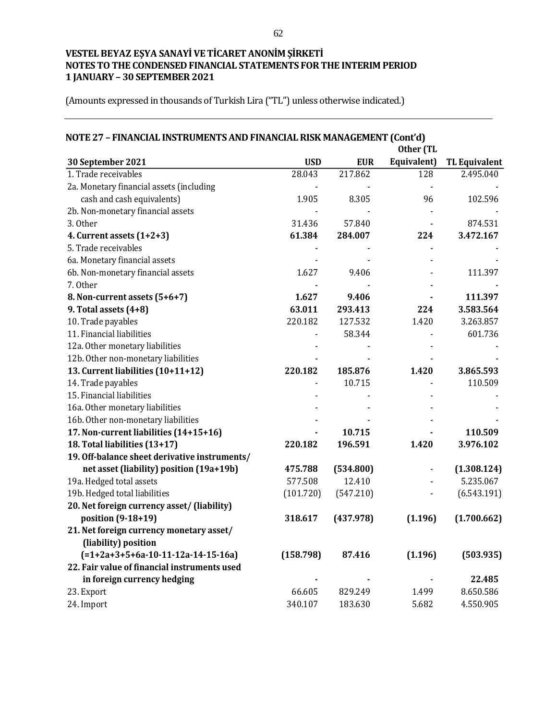| NOTE 27 - FINANCIAL INSTRUMENTS AND FINANCIAL RISK MANAGEMENT (Cont'd) | Other (TL  |            |             |                      |
|------------------------------------------------------------------------|------------|------------|-------------|----------------------|
| 30 September 2021                                                      | <b>USD</b> | <b>EUR</b> | Equivalent) | <b>TL Equivalent</b> |
| 1. Trade receivables                                                   | 28.043     | 217.862    | 128         | 2.495.040            |
| 2a. Monetary financial assets (including                               |            |            |             |                      |
| cash and cash equivalents)                                             | 1.905      | 8.305      | 96          | 102.596              |
| 2b. Non-monetary financial assets                                      |            |            |             |                      |
| 3. Other                                                               | 31.436     | 57.840     |             | 874.531              |
| 4. Current assets $(1+2+3)$                                            | 61.384     | 284.007    | 224         | 3.472.167            |
| 5. Trade receivables                                                   |            |            |             |                      |
| 6a. Monetary financial assets                                          |            |            |             |                      |
| 6b. Non-monetary financial assets                                      | 1.627      | 9.406      |             | 111.397              |
| 7. Other                                                               |            |            |             |                      |
| 8. Non-current assets (5+6+7)                                          | 1.627      | 9.406      |             | 111.397              |
| 9. Total assets (4+8)                                                  | 63.011     | 293.413    | 224         | 3.583.564            |
| 10. Trade payables                                                     | 220.182    | 127.532    | 1.420       | 3.263.857            |
| 11. Financial liabilities                                              |            | 58.344     |             | 601.736              |
| 12a. Other monetary liabilities                                        |            |            |             |                      |
| 12b. Other non-monetary liabilities                                    |            |            |             |                      |
| 13. Current liabilities (10+11+12)                                     | 220.182    | 185.876    | 1.420       | 3.865.593            |
| 14. Trade payables                                                     |            | 10.715     |             | 110.509              |
| 15. Financial liabilities                                              |            |            |             |                      |
| 16a. Other monetary liabilities                                        |            |            |             |                      |
| 16b. Other non-monetary liabilities                                    |            |            |             |                      |
| 17. Non-current liabilities (14+15+16)                                 |            | 10.715     |             | 110.509              |
| 18. Total liabilities (13+17)                                          | 220.182    | 196.591    | 1.420       | 3.976.102            |
| 19. Off-balance sheet derivative instruments/                          |            |            |             |                      |
| net asset (liability) position (19a+19b)                               | 475.788    | (534.800)  |             | (1.308.124)          |
| 19a. Hedged total assets                                               | 577.508    | 12.410     |             | 5.235.067            |
| 19b. Hedged total liabilities                                          | (101.720)  | (547.210)  |             | (6.543.191)          |
| 20. Net foreign currency asset/ (liability)                            |            |            |             |                      |
| position (9-18+19)                                                     | 318.617    | (437.978)  | (1.196)     | (1.700.662)          |
| 21. Net foreign currency monetary asset/                               |            |            |             |                      |
| (liability) position                                                   |            |            |             |                      |
| $(=1+2a+3+5+6a-10-11-12a-14-15-16a)$                                   | (158.798)  | 87.416     | (1.196)     | (503.935)            |
| 22. Fair value of financial instruments used                           |            |            |             |                      |
| in foreign currency hedging                                            |            |            |             | 22.485               |
| 23. Export                                                             | 66.605     | 829.249    | 1.499       | 8.650.586            |
| 24. Import                                                             | 340.107    | 183.630    | 5.682       | 4.550.905            |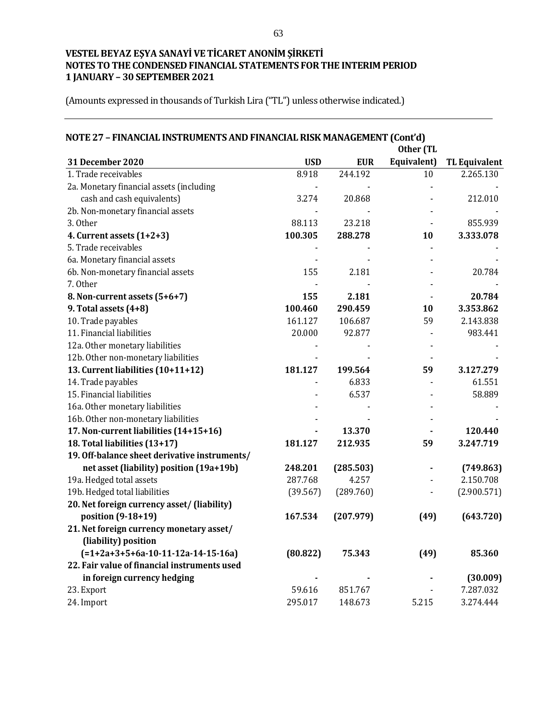| NOTE 27 - FINANCIAL INSTRUMENTS AND FINANCIAL RISK MANAGEMENT (Cont'd) | Other (TL  |            |             |                      |  |
|------------------------------------------------------------------------|------------|------------|-------------|----------------------|--|
| 31 December 2020                                                       | <b>USD</b> | <b>EUR</b> | Equivalent) | <b>TL Equivalent</b> |  |
| 1. Trade receivables                                                   | 8.918      | 244.192    | 10          | 2.265.130            |  |
| 2a. Monetary financial assets (including                               |            |            |             |                      |  |
| cash and cash equivalents)                                             | 3.274      | 20.868     |             | 212.010              |  |
| 2b. Non-monetary financial assets                                      |            |            |             |                      |  |
| 3. Other                                                               | 88.113     | 23.218     |             | 855.939              |  |
| 4. Current assets $(1+2+3)$                                            | 100.305    | 288.278    | 10          | 3.333.078            |  |
| 5. Trade receivables                                                   |            |            |             |                      |  |
| 6a. Monetary financial assets                                          |            |            |             |                      |  |
| 6b. Non-monetary financial assets                                      | 155        | 2.181      |             | 20.784               |  |
| 7. Other                                                               |            |            |             |                      |  |
| 8. Non-current assets (5+6+7)                                          | 155        | 2.181      |             | 20.784               |  |
| 9. Total assets (4+8)                                                  | 100.460    | 290.459    | 10          | 3.353.862            |  |
| 10. Trade payables                                                     | 161.127    | 106.687    | 59          | 2.143.838            |  |
| 11. Financial liabilities                                              | 20.000     | 92.877     |             | 983.441              |  |
| 12a. Other monetary liabilities                                        |            |            |             |                      |  |
| 12b. Other non-monetary liabilities                                    |            |            |             |                      |  |
| 13. Current liabilities (10+11+12)                                     | 181.127    | 199.564    | 59          | 3.127.279            |  |
| 14. Trade payables                                                     |            | 6.833      |             | 61.551               |  |
| 15. Financial liabilities                                              |            | 6.537      |             | 58.889               |  |
| 16a. Other monetary liabilities                                        |            |            |             |                      |  |
| 16b. Other non-monetary liabilities                                    |            |            |             |                      |  |
| 17. Non-current liabilities (14+15+16)                                 |            | 13.370     |             | 120.440              |  |
| 18. Total liabilities (13+17)                                          | 181.127    | 212.935    | 59          | 3.247.719            |  |
| 19. Off-balance sheet derivative instruments/                          |            |            |             |                      |  |
| net asset (liability) position (19a+19b)                               | 248.201    | (285.503)  |             | (749.863)            |  |
| 19a. Hedged total assets                                               | 287.768    | 4.257      |             | 2.150.708            |  |
| 19b. Hedged total liabilities                                          | (39.567)   | (289.760)  |             | (2.900.571)          |  |
| 20. Net foreign currency asset/ (liability)                            |            |            |             |                      |  |
| position (9-18+19)                                                     | 167.534    | (207.979)  | (49)        | (643.720)            |  |
| 21. Net foreign currency monetary asset/                               |            |            |             |                      |  |
| (liability) position                                                   |            |            |             |                      |  |
| $(=1+2a+3+5+6a-10-11-12a-14-15-16a)$                                   | (80.822)   | 75.343     | (49)        | 85.360               |  |
| 22. Fair value of financial instruments used                           |            |            |             |                      |  |
| in foreign currency hedging                                            |            |            |             | (30.009)             |  |
| 23. Export                                                             | 59.616     | 851.767    |             | 7.287.032            |  |
| 24. Import                                                             | 295.017    | 148.673    | 5.215       | 3.274.444            |  |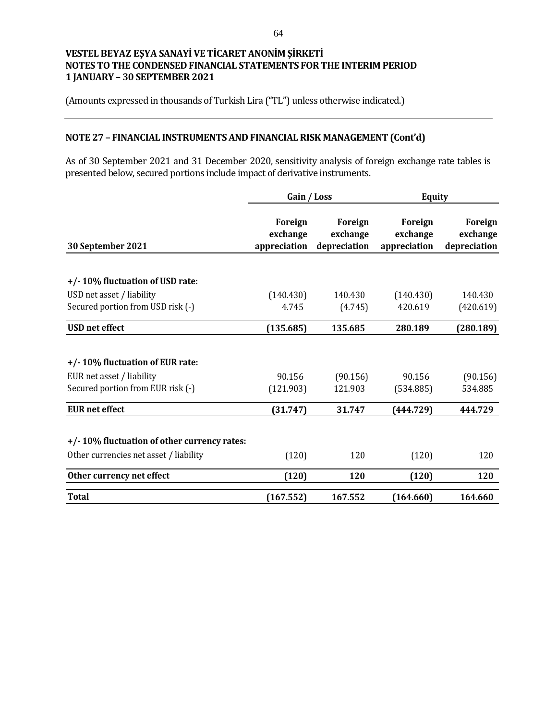(Amounts expressed in thousands of Turkish Lira ("TL") unless otherwise indicated.)

# **NOTE 27 – FINANCIAL INSTRUMENTS AND FINANCIAL RISK MANAGEMENT (Cont'd)**

As of 30 September 2021 and 31 December 2020, sensitivity analysis of foreign exchange rate tables is presented below, secured portions include impact of derivative instruments.

|                                             | Gain / Loss                                |                                     | <b>Equity</b>                              |                                     |
|---------------------------------------------|--------------------------------------------|-------------------------------------|--------------------------------------------|-------------------------------------|
| 30 September 2021                           | <b>Foreign</b><br>exchange<br>appreciation | Foreign<br>exchange<br>depreciation | <b>Foreign</b><br>exchange<br>appreciation | Foreign<br>exchange<br>depreciation |
|                                             |                                            |                                     |                                            |                                     |
| +/-10% fluctuation of USD rate:             |                                            |                                     |                                            |                                     |
| USD net asset / liability                   | (140.430)                                  | 140.430                             | (140.430)                                  | 140.430                             |
| Secured portion from USD risk (-)           | 4.745                                      | (4.745)                             | 420.619                                    | (420.619)                           |
| <b>USD</b> net effect                       | (135.685)                                  | 135.685                             | 280.189                                    | (280.189)                           |
|                                             |                                            |                                     |                                            |                                     |
| +/-10% fluctuation of EUR rate:             |                                            |                                     |                                            |                                     |
| EUR net asset / liability                   | 90.156                                     | (90.156)                            | 90.156                                     | (90.156)                            |
| Secured portion from EUR risk (-)           | (121.903)                                  | 121.903                             | (534.885)                                  | 534.885                             |
| <b>EUR</b> net effect                       | (31.747)                                   | 31.747                              | (444.729)                                  | 444.729                             |
| +/-10% fluctuation of other currency rates: |                                            |                                     |                                            |                                     |
| Other currencies net asset / liability      | (120)                                      | 120                                 | (120)                                      | 120                                 |
| Other currency net effect                   | (120)                                      | 120                                 | (120)                                      | 120                                 |
| <b>Total</b>                                | (167.552)                                  | 167.552                             | (164.660)                                  | 164.660                             |